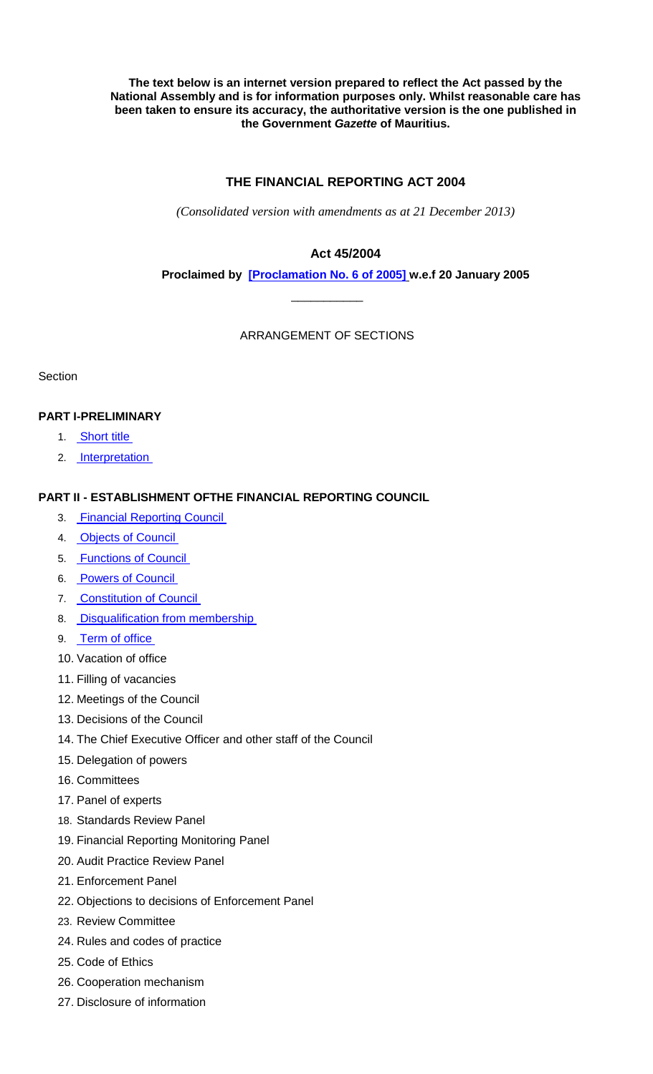**The text below is an internet version prepared to reflect the Act passed by the National Assembly and is for information purposes only. Whilst reasonable care has been taken to ensure its accuracy, the authoritative version is the one published in the Government** *Gazette* **of Mauritius.**

# **THE FINANCIAL REPORTING ACT 2004**

*(Consolidated version with amendments as at 21 December 2013)*

# **Act 45/2004**

**Proclaimed by [\[Proclamation No. 6 of 2005\]](http://www.gov.mu/scourt/doc/showDoc.do?dk=Proclamation%20No.%206%20of%202005&dt=A) w.e.f 20 January 2005**

ARRANGEMENT OF SECTIONS

\_\_\_\_\_\_\_\_\_\_\_

**Section** 

# **PART I-PRELIMINARY**

- 1. [Short title](#page-3-0)
- 2. [Interpretation](#page-3-0)

### **PART II - ESTABLISHMENT OFTHE FINANCIAL REPORTING COUNCIL**

- 3. [Financial Reporting Council](#page-8-0)
- 4. [Objects of Council](#page-8-0)
- 5. [Functions of Council](#page-9-0)
- 6. [Powers of Council](#page-10-0)
- 7. [Constitution of Council](#page-11-0)
- 8. [Disqualification from membership](#page-12-0)
- 9. [Term of office](#page-12-0)
- 10. Vacation of office
- 11. Filling of vacancies
- 12. Meetings of the Council
- 13. Decisions of the Council
- 14. The Chief Executive Officer and other staff of the Council
- 15. Delegation of powers
- 16. Committees
- 17. Panel of experts
- 18. Standards Review Panel
- 19. Financial Reporting Monitoring Panel
- 20. Audit Practice Review Panel
- 21. Enforcement Panel
- 22. Objections to decisions of Enforcement Panel
- 23. Review Committee
- 24. Rules and codes of practice
- 25. Code of Ethics
- 26. Cooperation mechanism
- 27. Disclosure of information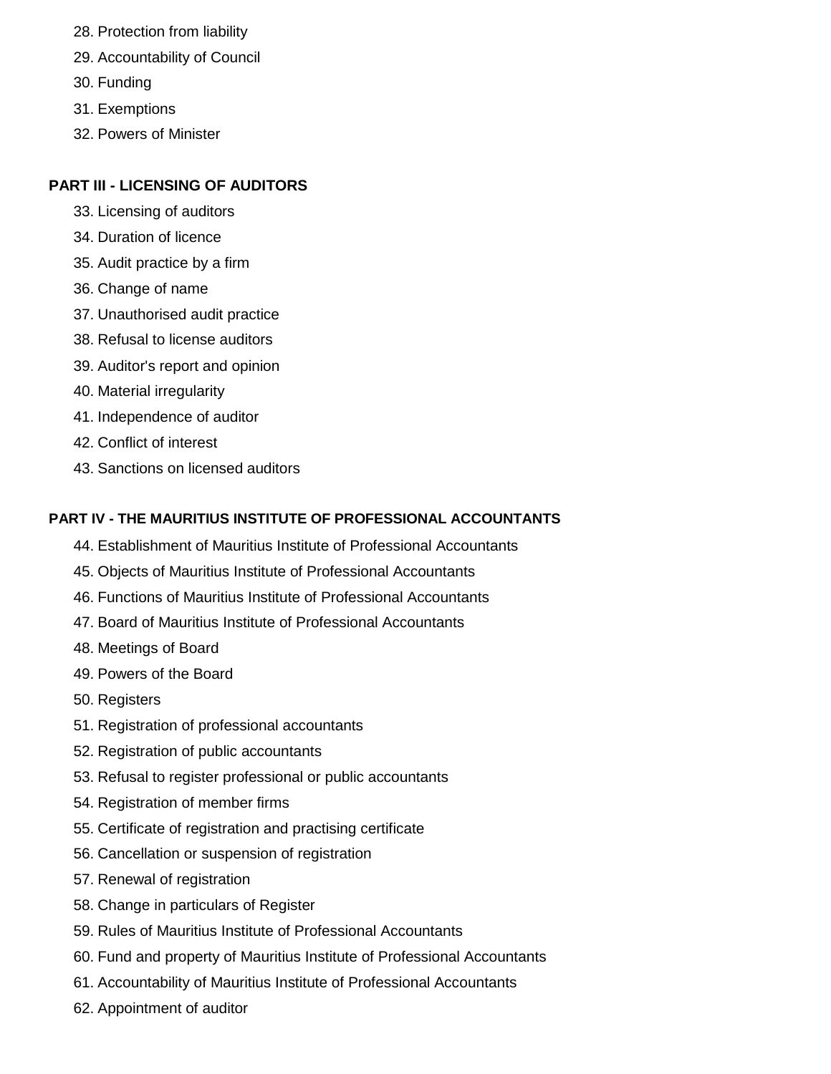- 28. Protection from liability
- 29. Accountability of Council
- 30. Funding
- 31. Exemptions
- 32. Powers of Minister

# **PART III - LICENSING OF AUDITORS**

- 33. Licensing of auditors
- 34. Duration of licence
- 35. Audit practice by a firm
- 36. Change of name
- 37. Unauthorised audit practice
- 38. Refusal to license auditors
- 39. Auditor's report and opinion
- 40. Material irregularity
- 41. Independence of auditor
- 42. Conflict of interest
- 43. Sanctions on licensed auditors

# **PART IV - THE MAURITIUS INSTITUTE OF PROFESSIONAL ACCOUNTANTS**

- 44. Establishment of Mauritius Institute of Professional Accountants
- 45. Objects of Mauritius Institute of Professional Accountants
- 46. Functions of Mauritius Institute of Professional Accountants
- 47. Board of Mauritius Institute of Professional Accountants
- 48. Meetings of Board
- 49. Powers of the Board
- 50. Registers
- 51. Registration of professional accountants
- 52. Registration of public accountants
- 53. Refusal to register professional or public accountants
- 54. Registration of member firms
- 55. Certificate of registration and practising certificate
- 56. Cancellation or suspension of registration
- 57. Renewal of registration
- 58. Change in particulars of Register
- 59. Rules of Mauritius Institute of Professional Accountants
- 60. Fund and property of Mauritius Institute of Professional Accountants
- 61. Accountability of Mauritius Institute of Professional Accountants
- 62. Appointment of auditor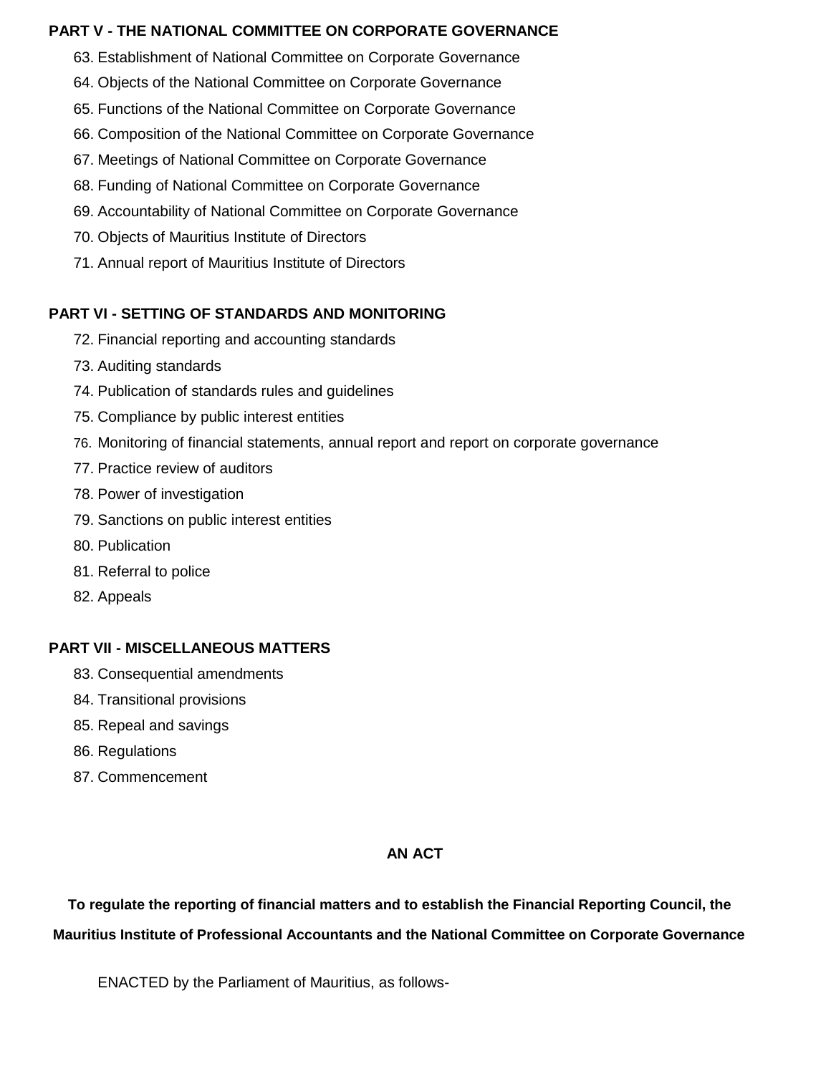### **PART V - THE NATIONAL COMMITTEE ON CORPORATE GOVERNANCE**

- 63. Establishment of National Committee on Corporate Governance
- 64. Objects of the National Committee on Corporate Governance
- 65. Functions of the National Committee on Corporate Governance
- 66. Composition of the National Committee on Corporate Governance
- 67. Meetings of National Committee on Corporate Governance
- 68. Funding of National Committee on Corporate Governance
- 69. Accountability of National Committee on Corporate Governance
- 70. Objects of Mauritius Institute of Directors
- 71. Annual report of Mauritius Institute of Directors

# **PART VI - SETTING OF STANDARDS AND MONITORING**

- 72. Financial reporting and accounting standards
- 73. Auditing standards
- 74. Publication of standards rules and guidelines
- 75. Compliance by public interest entities
- 76. Monitoring of financial statements, annual report and report on corporate governance
- 77. Practice review of auditors
- 78. Power of investigation
- 79. Sanctions on public interest entities
- 80. Publication
- 81. Referral to police
- 82. Appeals

# **PART VII - MISCELLANEOUS MATTERS**

- 83. Consequential amendments
- 84. Transitional provisions
- 85. Repeal and savings
- 86. Regulations
- 87. Commencement

# **AN ACT**

**To regulate the reporting of financial matters and to establish the Financial Reporting Council, the** 

# **Mauritius Institute of Professional Accountants and the National Committee on Corporate Governance**

ENACTED by the Parliament of Mauritius, as follows-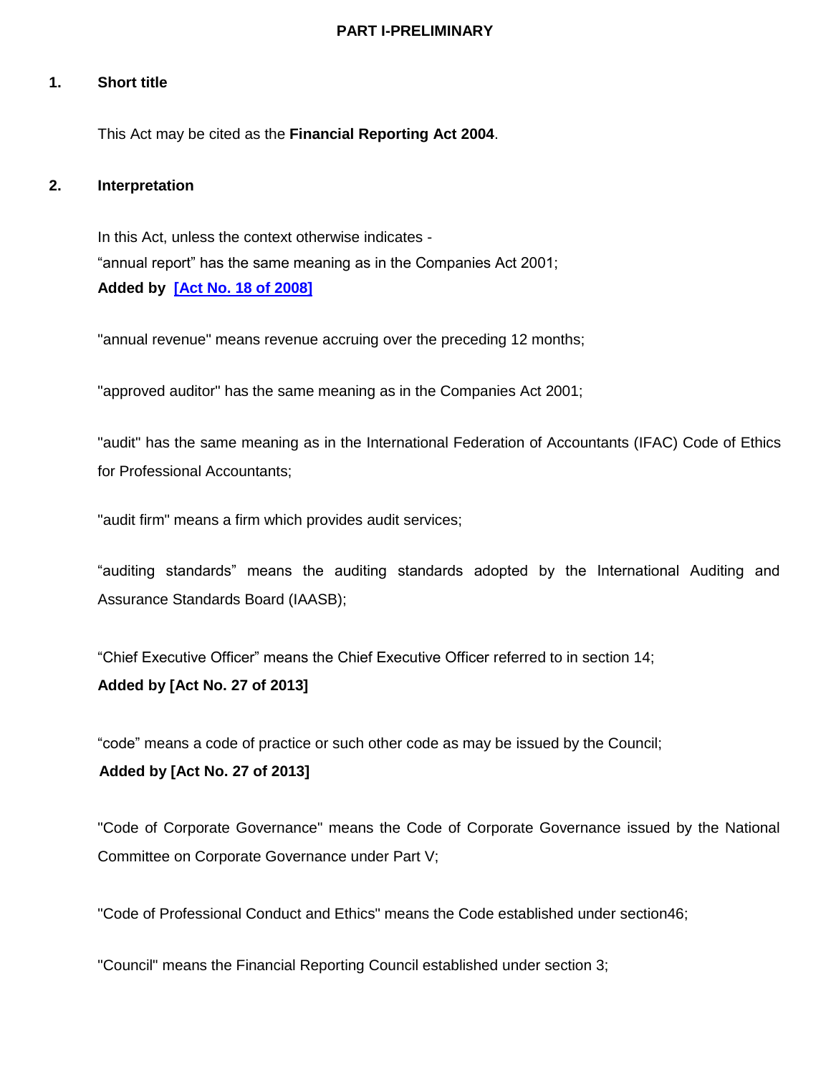#### **PART I-PRELIMINARY**

### **1. Short title**

This Act may be cited as the **Financial Reporting Act 2004**.

#### **2. Interpretation**

In this Act, unless the context otherwise indicates - "annual report" has the same meaning as in the Companies Act 2001; **Added by [\[Act No. 18 of 2008\]](http://www.gov.mu/scourt/doc/showDoc.do?dk=Act%20No.%2018%20of%202008&dt=A)**

<span id="page-3-0"></span>"annual revenue" means revenue accruing over the preceding 12 months;

"approved auditor" has the same meaning as in the Companies Act 2001;

"audit" has the same meaning as in the International Federation of Accountants (IFAC) Code of Ethics for Professional Accountants;

"audit firm" means a firm which provides audit services;

"auditing standards" means the auditing standards adopted by the International Auditing and Assurance Standards Board (IAASB);

"Chief Executive Officer" means the Chief Executive Officer referred to in section 14;

#### **Added by [Act No. 27 of 2013]**

"code" means a code of practice or such other code as may be issued by the Council;

### **Added by [Act No. 27 of 2013]**

"Code of Corporate Governance" means the Code of Corporate Governance issued by the National Committee on Corporate Governance under Part V;

"Code of Professional Conduct and Ethics" means the Code established under section46;

"Council" means the Financial Reporting Council established under section 3;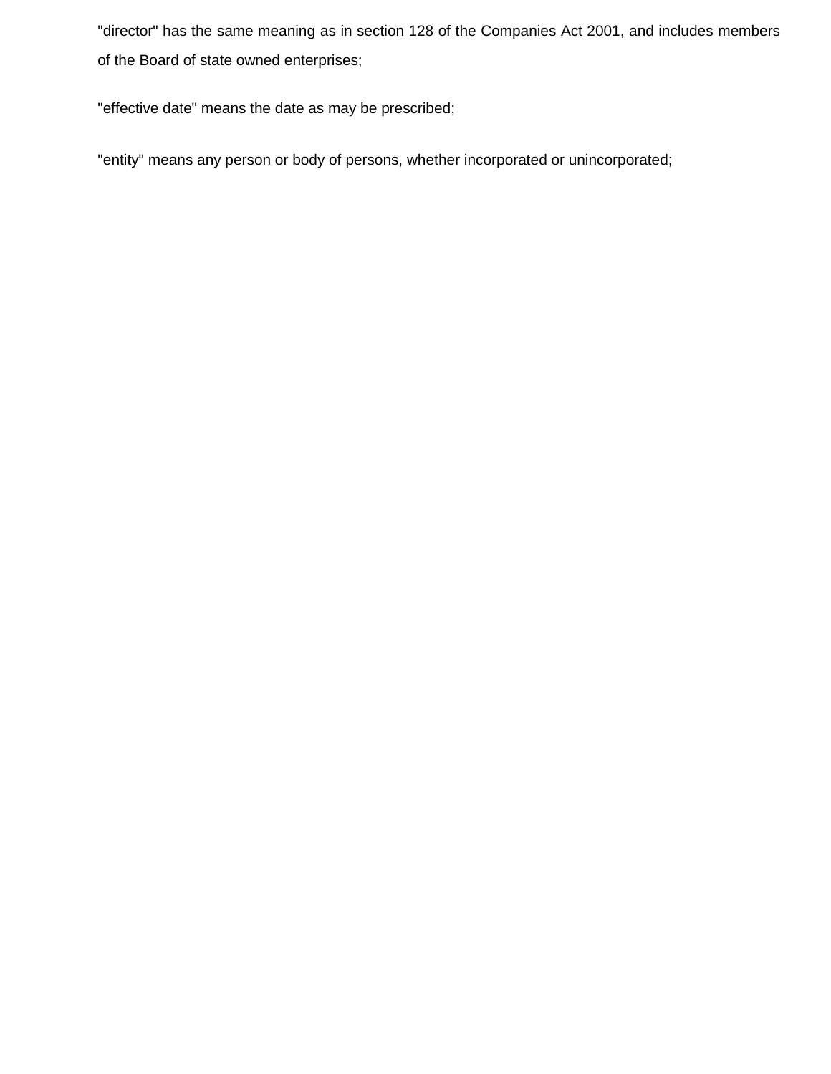"director" has the same meaning as in section 128 of the Companies Act 2001, and includes members of the Board of state owned enterprises;

"effective date" means the date as may be prescribed;

"entity" means any person or body of persons, whether incorporated or unincorporated;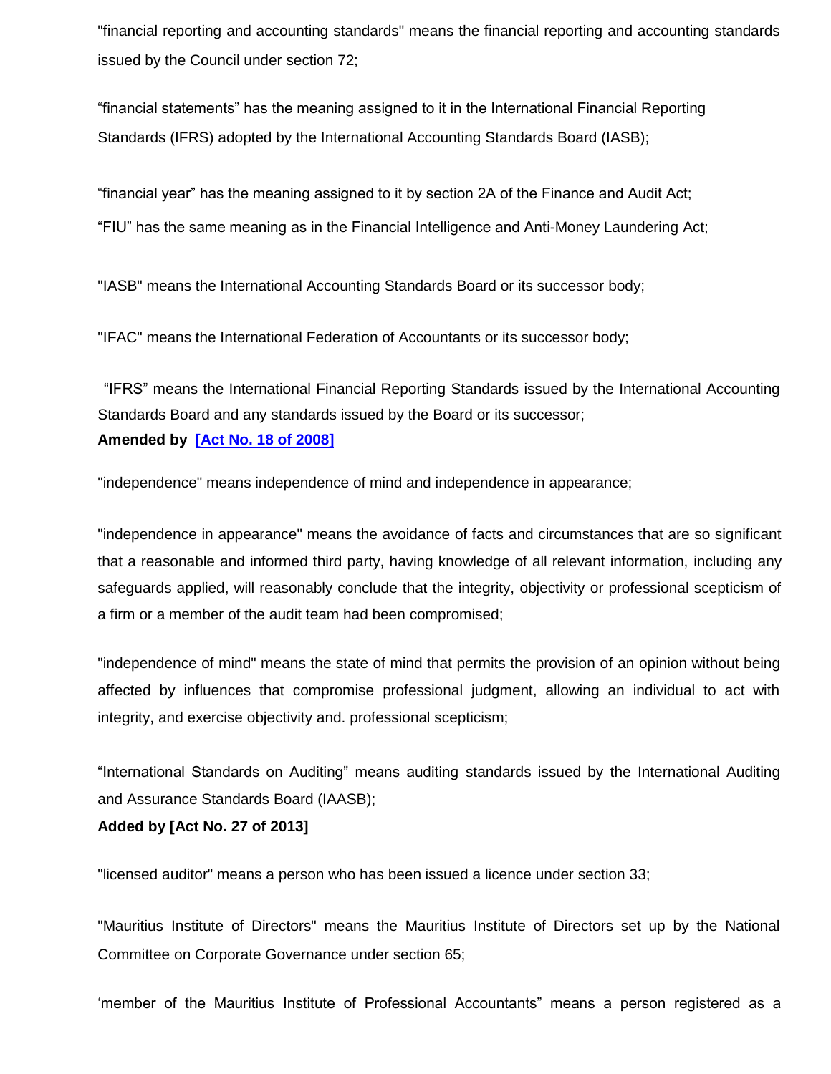"financial reporting and accounting standards" means the financial reporting and accounting standards issued by the Council under section 72;

"financial statements" has the meaning assigned to it in the International Financial Reporting Standards (IFRS) adopted by the International Accounting Standards Board (IASB);

"financial year" has the meaning assigned to it by section 2A of the Finance and Audit Act;

"FIU" has the same meaning as in the Financial Intelligence and Anti-Money Laundering Act;

"IASB" means the International Accounting Standards Board or its successor body;

"IFAC" means the International Federation of Accountants or its successor body;

"IFRS" means the International Financial Reporting Standards issued by the International Accounting Standards Board and any standards issued by the Board or its successor; **Amended by [\[Act No. 18 of 2008\]](http://www.gov.mu/scourt/doc/showDoc.do?dk=Act%20No.%2018%20of%202008&dt=A)**

"independence" means independence of mind and independence in appearance;

"independence in appearance" means the avoidance of facts and circumstances that are so significant that a reasonable and informed third party, having knowledge of all relevant information, including any safeguards applied, will reasonably conclude that the integrity, objectivity or professional scepticism of a firm or a member of the audit team had been compromised;

"independence of mind" means the state of mind that permits the provision of an opinion without being affected by influences that compromise professional judgment, allowing an individual to act with integrity, and exercise objectivity and. professional scepticism;

"International Standards on Auditing" means auditing standards issued by the International Auditing and Assurance Standards Board (IAASB);

**Added by [Act No. 27 of 2013]**

"licensed auditor" means a person who has been issued a licence under section 33;

"Mauritius Institute of Directors" means the Mauritius Institute of Directors set up by the National Committee on Corporate Governance under section 65;

'member of the Mauritius Institute of Professional Accountants" means a person registered as a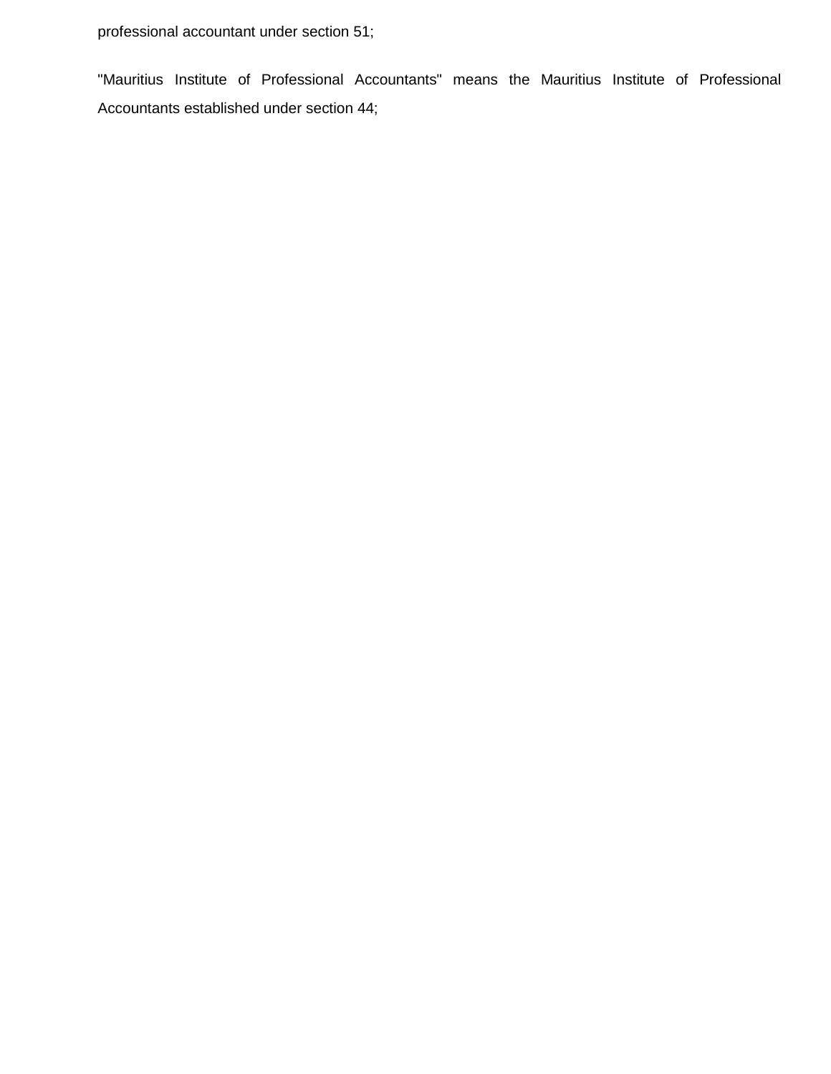professional accountant under section 51;

"Mauritius Institute of Professional Accountants" means the Mauritius Institute of Professional Accountants established under section 44;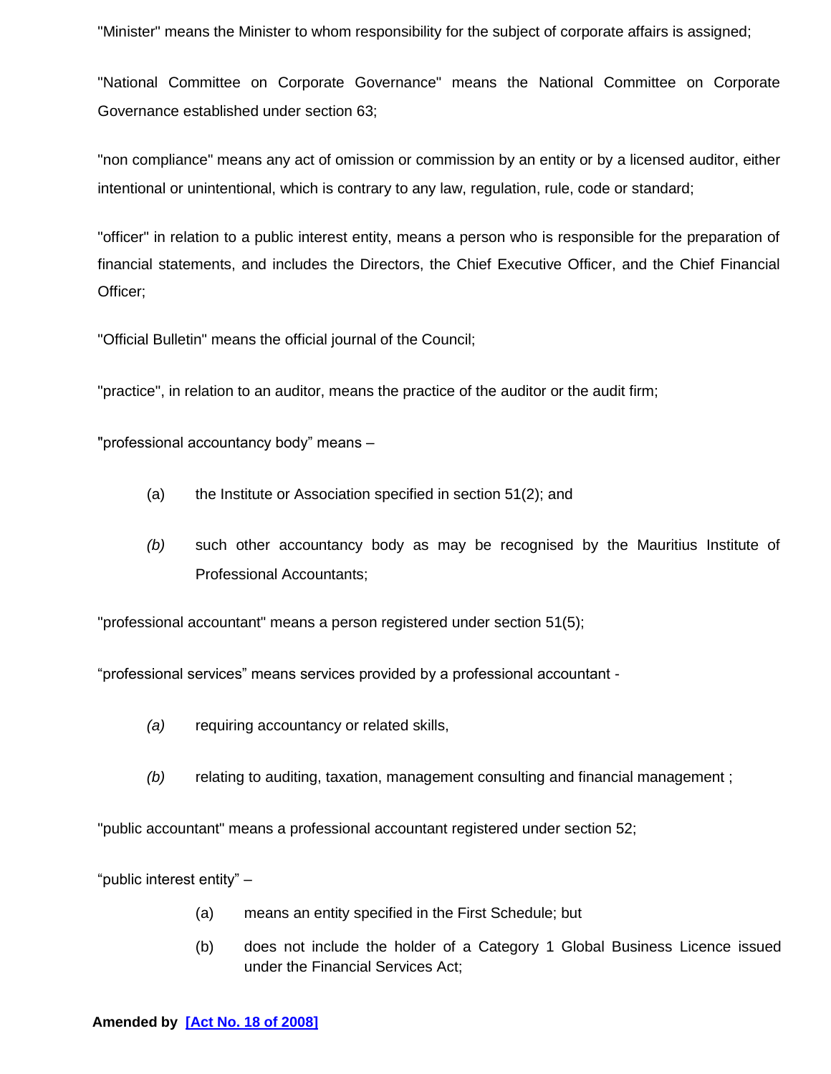"Minister" means the Minister to whom responsibility for the subject of corporate affairs is assigned;

"National Committee on Corporate Governance" means the National Committee on Corporate Governance established under section 63;

"non compliance" means any act of omission or commission by an entity or by a licensed auditor, either intentional or unintentional, which is contrary to any law, regulation, rule, code or standard;

"officer" in relation to a public interest entity, means a person who is responsible for the preparation of financial statements, and includes the Directors, the Chief Executive Officer, and the Chief Financial Officer;

"Official Bulletin" means the official journal of the Council;

"practice", in relation to an auditor, means the practice of the auditor or the audit firm;

"professional accountancy body" means –

- (a) the Institute or Association specified in section 51(2); and
- *(b)* such other accountancy body as may be recognised by the Mauritius Institute of Professional Accountants;

"professional accountant" means a person registered under section 51(5);

"professional services" means services provided by a professional accountant -

- *(a)* requiring accountancy or related skills,
- *(b)* relating to auditing, taxation, management consulting and financial management ;

"public accountant" means a professional accountant registered under section 52;

"public interest entity" –

- (a) means an entity specified in the First Schedule; but
- (b) does not include the holder of a Category 1 Global Business Licence issued under the Financial Services Act;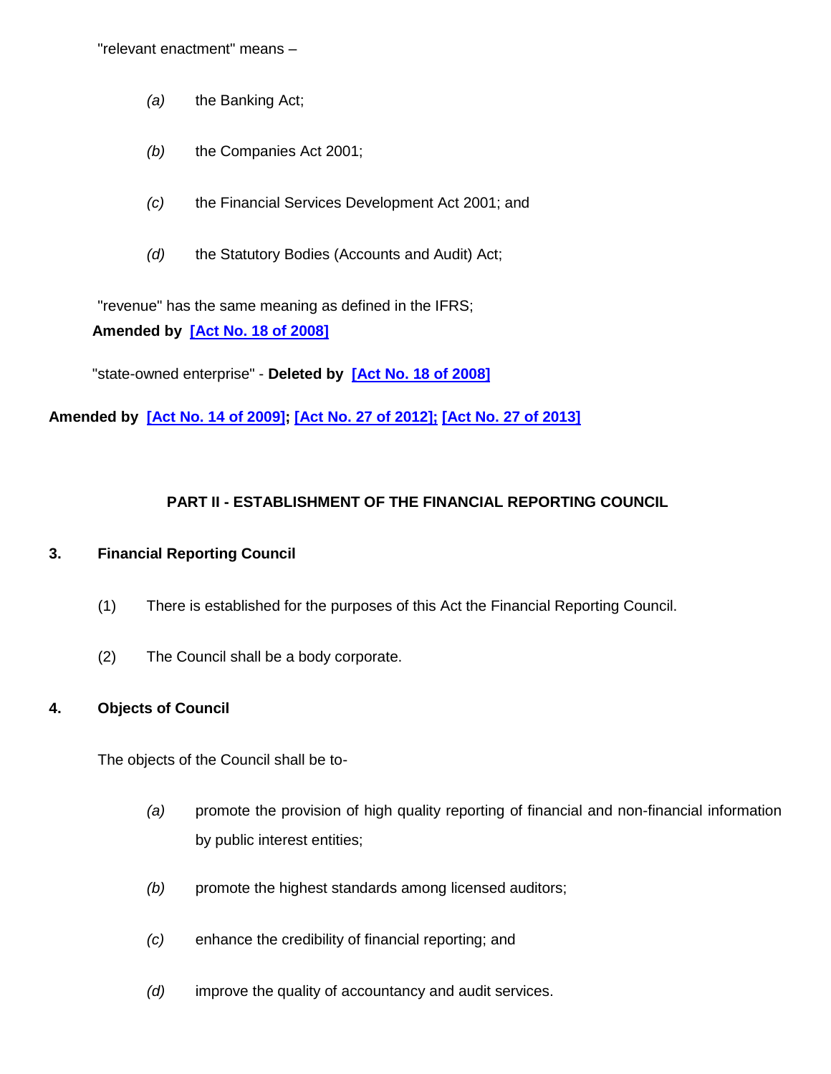"relevant enactment" means –

- *(a)* the Banking Act;
- *(b)* the Companies Act 2001;
- *(c)* the Financial Services Development Act 2001; and
- *(d)* the Statutory Bodies (Accounts and Audit) Act;

"revenue" has the same meaning as defined in the IFRS; **Amended by [\[Act No. 18 of 2008\]](http://www.gov.mu/scourt/doc/showDoc.do?dk=Act%20No.%2018%20of%202008&dt=A)**

<span id="page-8-0"></span>"state-owned enterprise" - **Deleted by [\[Act No. 18 of 2008\]](http://www.gov.mu/scourt/doc/showDoc.do?dk=Act%20No.%2018%20of%202008&dt=A)**

**Amended by [\[Act No. 14 of 2009\]](http://www.gov.mu/scourt/doc/showDoc.do?dk=Act%20No.%2014%20of%202009&dt=A); [\[Act No. 27 of 2012\]](http://www.gov.mu/scourt/doc/showDoc.do?dk=Act%20No.%2027%20of%202012&dt=A); [Act No. 27 of 2013]**

# **PART II - ESTABLISHMENT OF THE FINANCIAL REPORTING COUNCIL**

# **3. Financial Reporting Council**

- (1) There is established for the purposes of this Act the Financial Reporting Council.
- (2) The Council shall be a body corporate.

### **4. Objects of Council**

The objects of the Council shall be to-

- *(a)* promote the provision of high quality reporting of financial and non-financial information by public interest entities;
- *(b)* promote the highest standards among licensed auditors;
- *(c)* enhance the credibility of financial reporting; and
- *(d)* improve the quality of accountancy and audit services.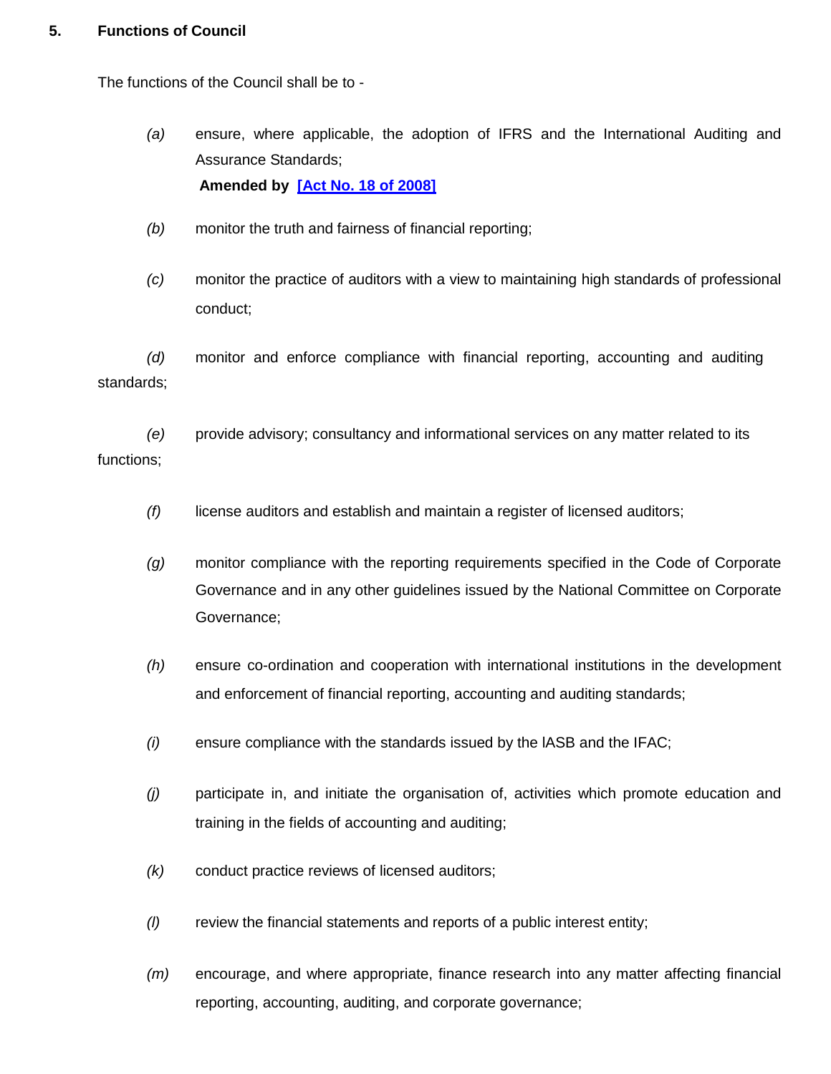### **5. Functions of Council**

The functions of the Council shall be to -

- *(a)* ensure, where applicable, the adoption of IFRS and the International Auditing and Assurance Standards; **Amended by [\[Act No. 18 of 2008\]](http://www.gov.mu/scourt/doc/showDoc.do?dk=Act%20No.%2018%20of%202008&dt=A)**
- *(b)* monitor the truth and fairness of financial reporting;
- *(c)* monitor the practice of auditors with a view to maintaining high standards of professional conduct;

<span id="page-9-0"></span>*(d)* monitor and enforce compliance with financial reporting, accounting and auditing standards;

*(e)* provide advisory; consultancy and informational services on any matter related to its functions;

- *(f)* license auditors and establish and maintain a register of licensed auditors;
- *(g)* monitor compliance with the reporting requirements specified in the Code of Corporate Governance and in any other guidelines issued by the National Committee on Corporate Governance;
- *(h)* ensure co-ordination and cooperation with international institutions in the development and enforcement of financial reporting, accounting and auditing standards;
- *(i)* ensure compliance with the standards issued by the lASB and the IFAC;
- *(j)* participate in, and initiate the organisation of, activities which promote education and training in the fields of accounting and auditing;
- *(k)* conduct practice reviews of licensed auditors;
- *(l)* review the financial statements and reports of a public interest entity;
- *(m)* encourage, and where appropriate, finance research into any matter affecting financial reporting, accounting, auditing, and corporate governance;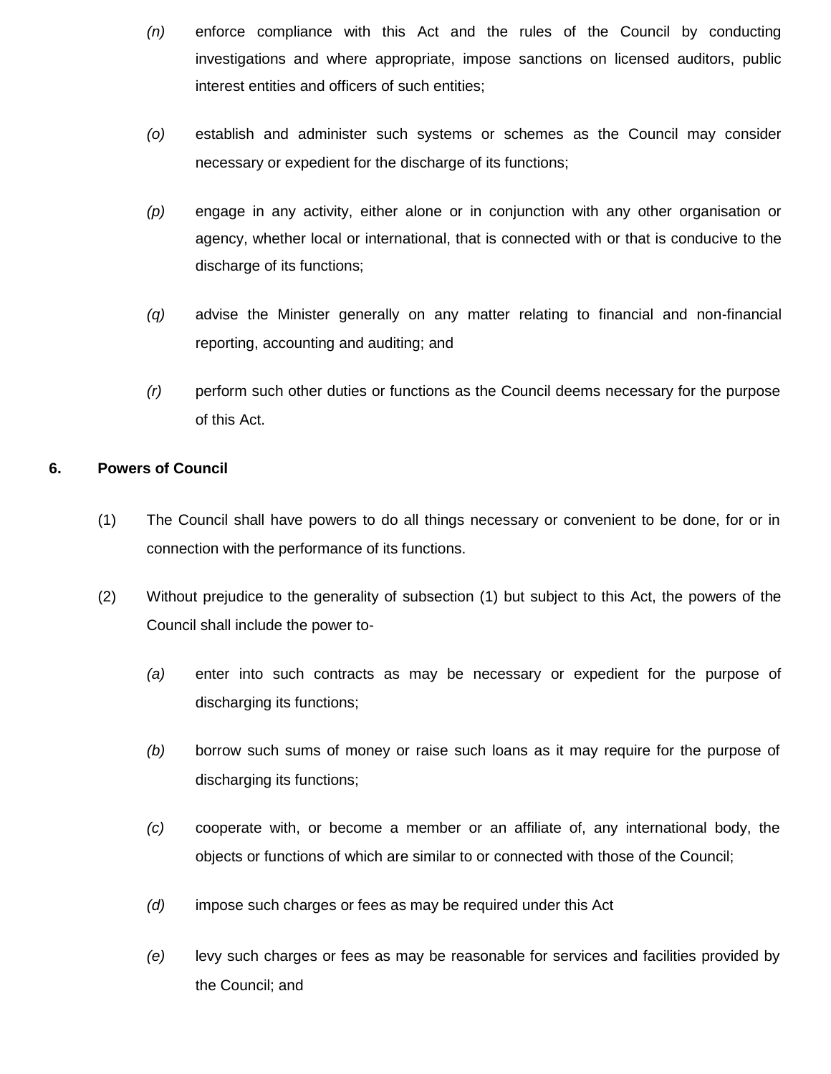- *(n)* enforce compliance with this Act and the rules of the Council by conducting investigations and where appropriate, impose sanctions on licensed auditors, public interest entities and officers of such entities;
- *(o)* establish and administer such systems or schemes as the Council may consider necessary or expedient for the discharge of its functions;
- *(p)* engage in any activity, either alone or in conjunction with any other organisation or agency, whether local or international, that is connected with or that is conducive to the discharge of its functions;
- <span id="page-10-0"></span>*(q)* advise the Minister generally on any matter relating to financial and non-financial reporting, accounting and auditing; and
- *(r)* perform such other duties or functions as the Council deems necessary for the purpose of this Act.

### **6. Powers of Council**

- (1) The Council shall have powers to do all things necessary or convenient to be done, for or in connection with the performance of its functions.
- (2) Without prejudice to the generality of subsection (1) but subject to this Act, the powers of the Council shall include the power to-
	- *(a)* enter into such contracts as may be necessary or expedient for the purpose of discharging its functions;
	- *(b)* borrow such sums of money or raise such loans as it may require for the purpose of discharging its functions;
	- *(c)* cooperate with, or become a member or an affiliate of, any international body, the objects or functions of which are similar to or connected with those of the Council;
	- *(d)* impose such charges or fees as may be required under this Act
	- *(e)* levy such charges or fees as may be reasonable for services and facilities provided by the Council; and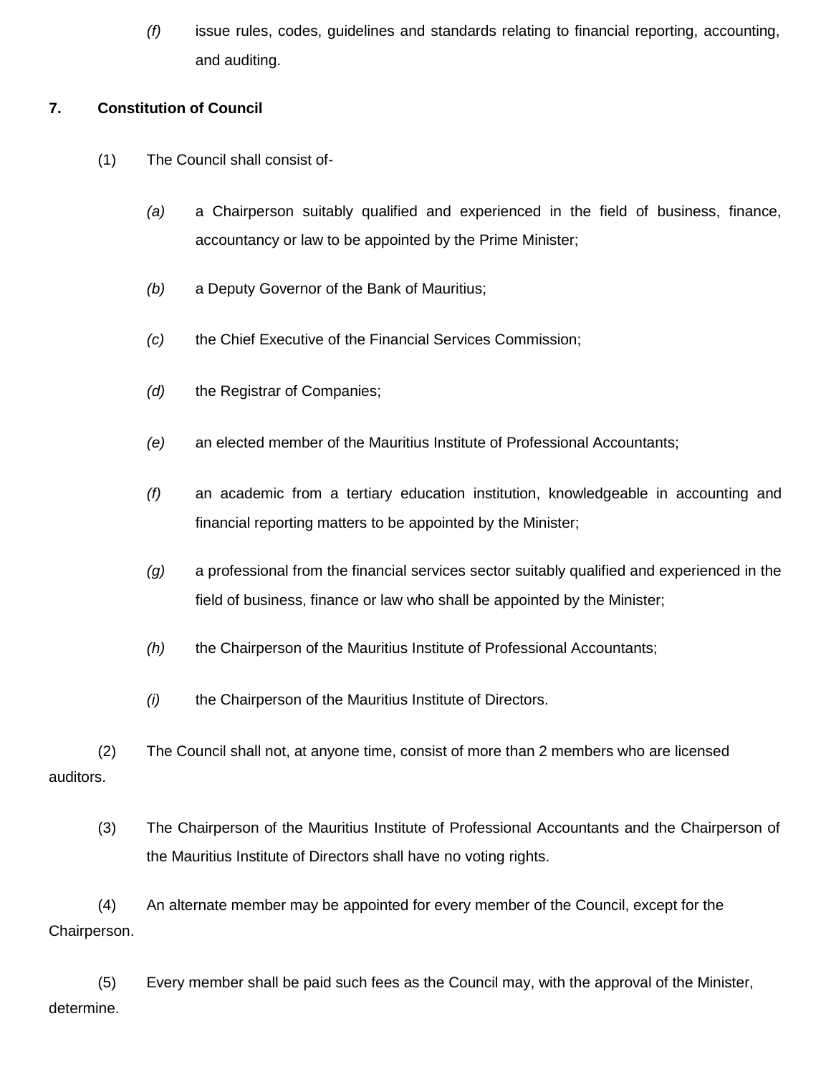*(f)* issue rules, codes, guidelines and standards relating to financial reporting, accounting, and auditing.

### **7. Constitution of Council**

- <span id="page-11-0"></span>(1) The Council shall consist of-
	- *(a)* a Chairperson suitably qualified and experienced in the field of business, finance, accountancy or law to be appointed by the Prime Minister;
	- *(b)* a Deputy Governor of the Bank of Mauritius;
	- *(c)* the Chief Executive of the Financial Services Commission;
	- *(d)* the Registrar of Companies;
	- *(e)* an elected member of the Mauritius Institute of Professional Accountants;
	- *(f)* an academic from a tertiary education institution, knowledgeable in accounting and financial reporting matters to be appointed by the Minister;
	- *(g)* a professional from the financial services sector suitably qualified and experienced in the field of business, finance or law who shall be appointed by the Minister;
	- *(h)* the Chairperson of the Mauritius Institute of Professional Accountants;
	- *(i)* the Chairperson of the Mauritius Institute of Directors.

(2) The Council shall not, at anyone time, consist of more than 2 members who are licensed auditors.

(3) The Chairperson of the Mauritius Institute of Professional Accountants and the Chairperson of the Mauritius Institute of Directors shall have no voting rights.

(4) An alternate member may be appointed for every member of the Council, except for the Chairperson.

(5) Every member shall be paid such fees as the Council may, with the approval of the Minister, determine.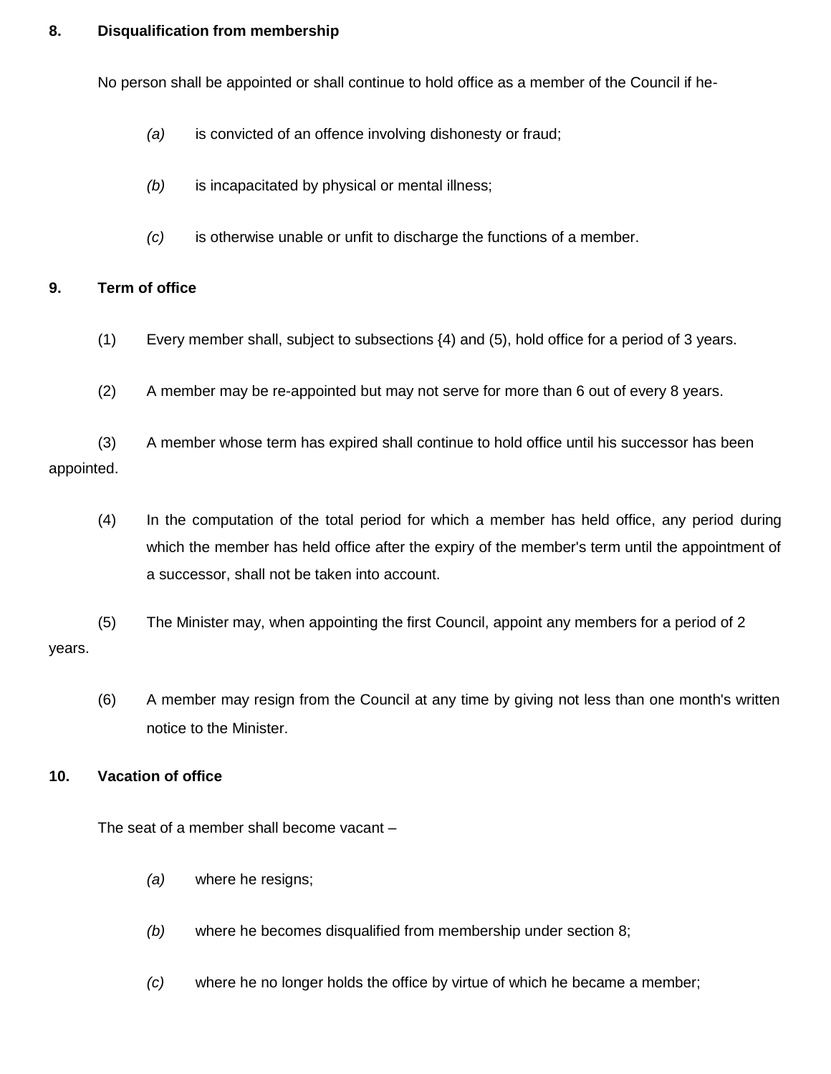### **8. Disqualification from membership**

No person shall be appointed or shall continue to hold office as a member of the Council if he-

- *(a)* is convicted of an offence involving dishonesty or fraud;
- *(b)* is incapacitated by physical or mental illness;
- *(c)* is otherwise unable or unfit to discharge the functions of a member.

#### <span id="page-12-0"></span>**9. Term of office**

- (1) Every member shall, subject to subsections {4) and (5), hold office for a period of 3 years.
- (2) A member may be re-appointed but may not serve for more than 6 out of every 8 years.

(3) A member whose term has expired shall continue to hold office until his successor has been appointed.

(4) In the computation of the total period for which a member has held office, any period during which the member has held office after the expiry of the member's term until the appointment of a successor, shall not be taken into account.

(5) The Minister may, when appointing the first Council, appoint any members for a period of 2 years.

(6) A member may resign from the Council at any time by giving not less than one month's written notice to the Minister.

#### **10. Vacation of office**

The seat of a member shall become vacant –

- *(a)* where he resigns;
- *(b)* where he becomes disqualified from membership under section 8;
- *(c)* where he no longer holds the office by virtue of which he became a member;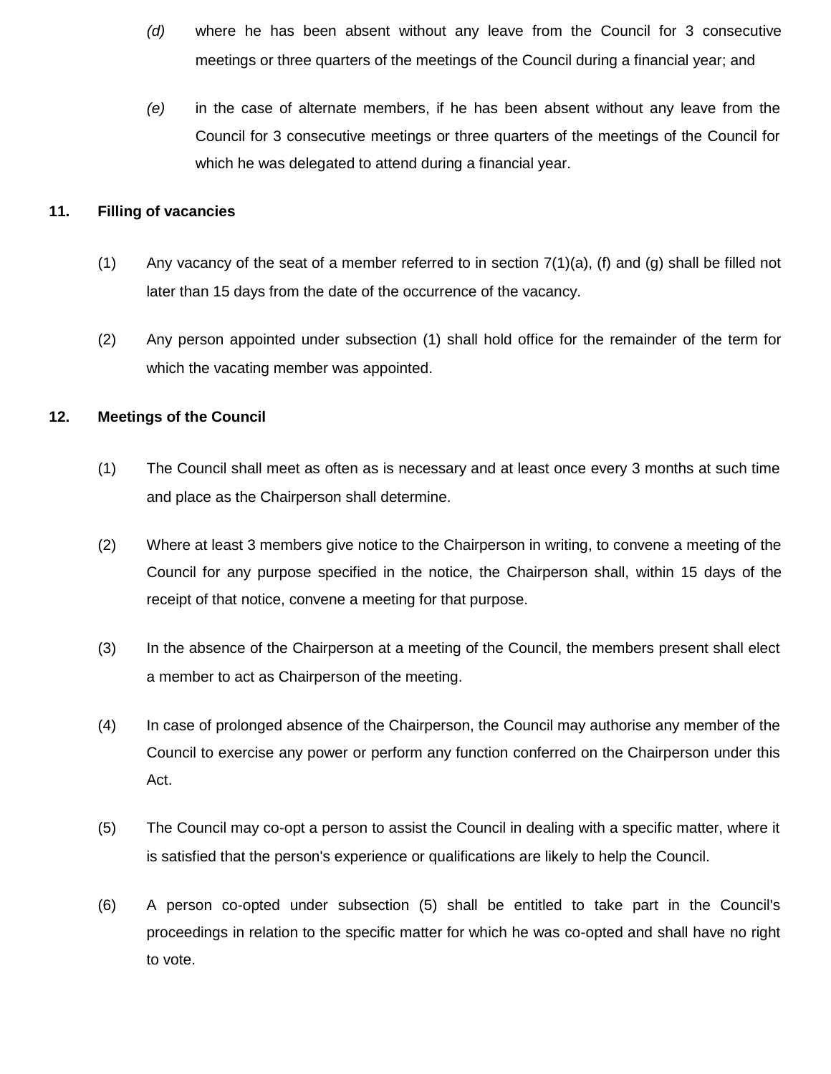- *(d)* where he has been absent without any leave from the Council for 3 consecutive meetings or three quarters of the meetings of the Council during a financial year; and
- *(e)* in the case of alternate members, if he has been absent without any leave from the Council for 3 consecutive meetings or three quarters of the meetings of the Council for which he was delegated to attend during a financial year.

#### **11. Filling of vacancies**

- (1) Any vacancy of the seat of a member referred to in section  $7(1)(a)$ , (f) and (g) shall be filled not later than 15 days from the date of the occurrence of the vacancy.
- (2) Any person appointed under subsection (1) shall hold office for the remainder of the term for which the vacating member was appointed.

### **12. Meetings of the Council**

- (1) The Council shall meet as often as is necessary and at least once every 3 months at such time and place as the Chairperson shall determine.
- (2) Where at least 3 members give notice to the Chairperson in writing, to convene a meeting of the Council for any purpose specified in the notice, the Chairperson shall, within 15 days of the receipt of that notice, convene a meeting for that purpose.
- (3) In the absence of the Chairperson at a meeting of the Council, the members present shall elect a member to act as Chairperson of the meeting.
- (4) In case of prolonged absence of the Chairperson, the Council may authorise any member of the Council to exercise any power or perform any function conferred on the Chairperson under this Act.
- (5) The Council may co-opt a person to assist the Council in dealing with a specific matter, where it is satisfied that the person's experience or qualifications are likely to help the Council.
- (6) A person co-opted under subsection (5) shall be entitled to take part in the Council's proceedings in relation to the specific matter for which he was co-opted and shall have no right to vote.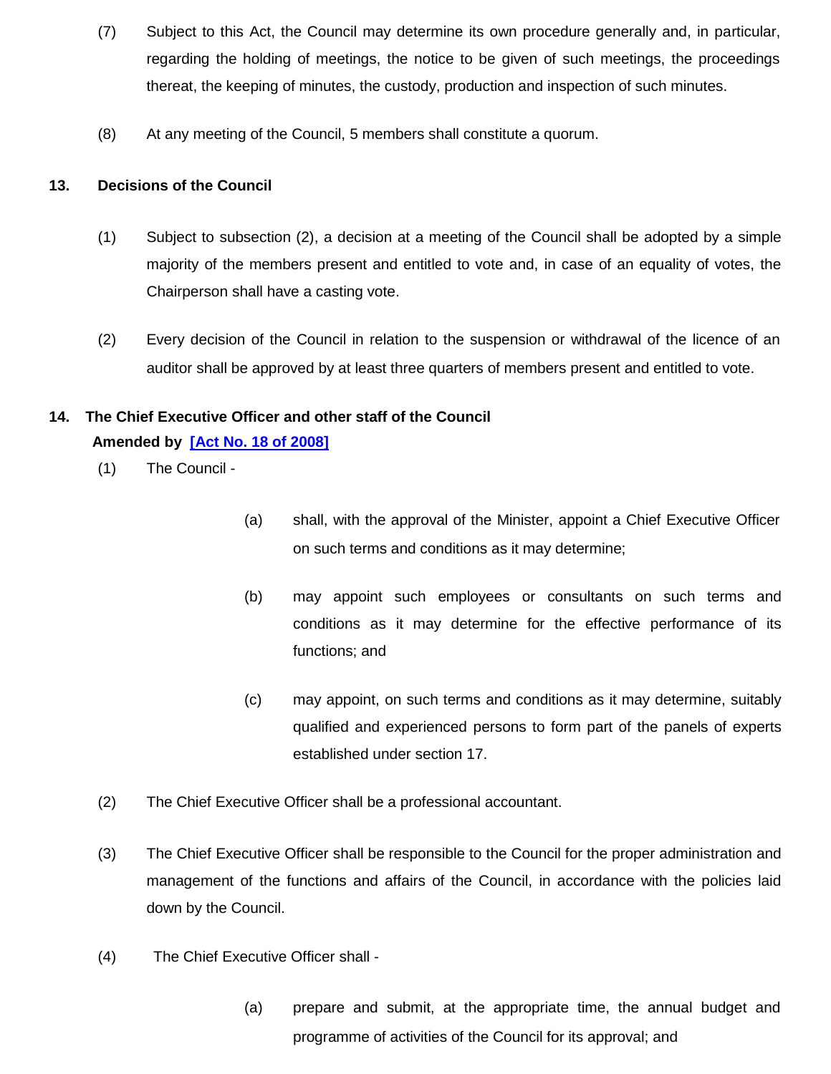- (7) Subject to this Act, the Council may determine its own procedure generally and, in particular, regarding the holding of meetings, the notice to be given of such meetings, the proceedings thereat, the keeping of minutes, the custody, production and inspection of such minutes.
- (8) At any meeting of the Council, 5 members shall constitute a quorum.

### **13. Decisions of the Council**

- (1) Subject to subsection (2), a decision at a meeting of the Council shall be adopted by a simple majority of the members present and entitled to vote and, in case of an equality of votes, the Chairperson shall have a casting vote.
- (2) Every decision of the Council in relation to the suspension or withdrawal of the licence of an auditor shall be approved by at least three quarters of members present and entitled to vote.

# **14. The Chief Executive Officer and other staff of the Council**

### **Amended by [\[Act No. 18 of 2008\]](http://www.gov.mu/scourt/doc/showDoc.do?dk=Act%20No.%2018%20of%202008&dt=A)**

- (1) The Council -
- (a) shall, with the approval of the Minister, appoint a Chief Executive Officer on such terms and conditions as it may determine;
- (b) may appoint such employees or consultants on such terms and conditions as it may determine for the effective performance of its functions; and
- (c) may appoint, on such terms and conditions as it may determine, suitably qualified and experienced persons to form part of the panels of experts established under section 17.
- (2) The Chief Executive Officer shall be a professional accountant.
- (3) The Chief Executive Officer shall be responsible to the Council for the proper administration and management of the functions and affairs of the Council, in accordance with the policies laid down by the Council.
- (4) The Chief Executive Officer shall
	- (a) prepare and submit, at the appropriate time, the annual budget and programme of activities of the Council for its approval; and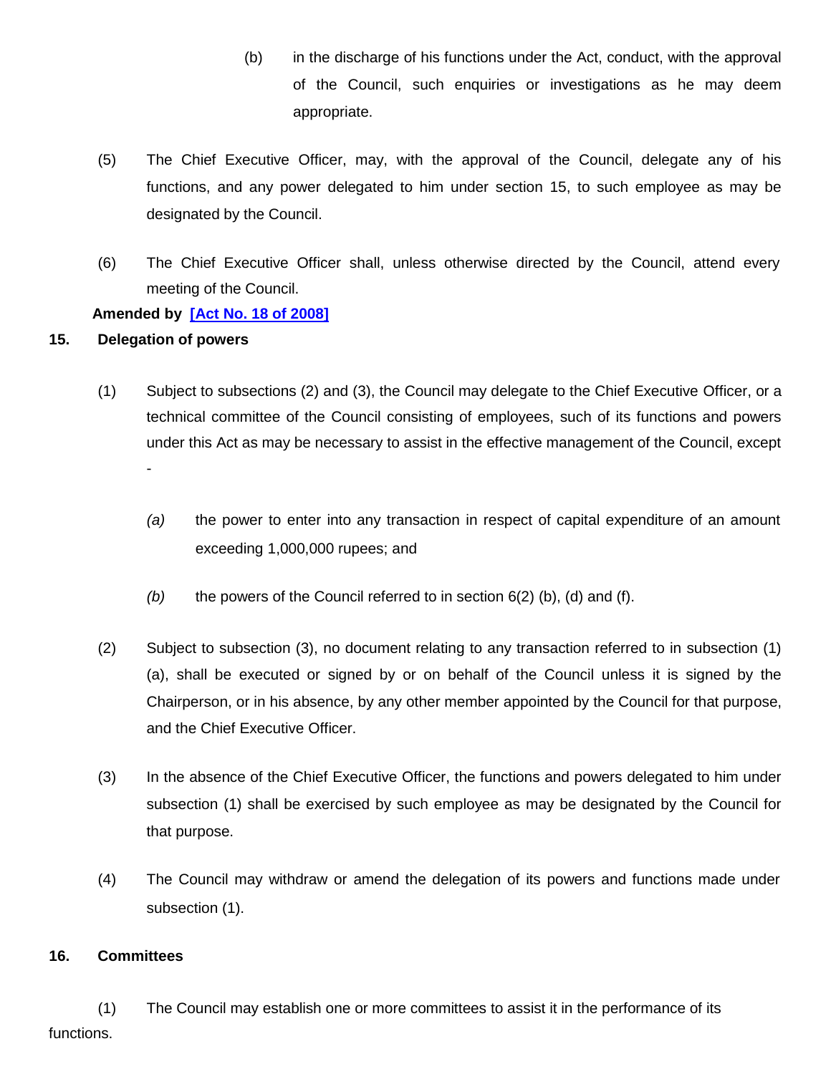- (b) in the discharge of his functions under the Act, conduct, with the approval of the Council, such enquiries or investigations as he may deem appropriate.
- (5) The Chief Executive Officer, may, with the approval of the Council, delegate any of his functions, and any power delegated to him under section 15, to such employee as may be designated by the Council.
- (6) The Chief Executive Officer shall, unless otherwise directed by the Council, attend every meeting of the Council.

### **Amended by [\[Act No. 18 of 2008\]](http://www.gov.mu/scourt/doc/showDoc.do?dk=Act%20No.%2018%20of%202008&dt=A)**

### **15. Delegation of powers**

- (1) Subject to subsections (2) and (3), the Council may delegate to the Chief Executive Officer, or a technical committee of the Council consisting of employees, such of its functions and powers under this Act as may be necessary to assist in the effective management of the Council, except -
	- *(a)* the power to enter into any transaction in respect of capital expenditure of an amount exceeding 1,000,000 rupees; and
	- *(b)* the powers of the Council referred to in section 6(2) (b), (d) and (f).
- (2) Subject to subsection (3), no document relating to any transaction referred to in subsection (1) (a), shall be executed or signed by or on behalf of the Council unless it is signed by the Chairperson, or in his absence, by any other member appointed by the Council for that purpose, and the Chief Executive Officer.
- (3) In the absence of the Chief Executive Officer, the functions and powers delegated to him under subsection (1) shall be exercised by such employee as may be designated by the Council for that purpose.
- (4) The Council may withdraw or amend the delegation of its powers and functions made under subsection (1).

### **16. Committees**

(1) The Council may establish one or more committees to assist it in the performance of its functions.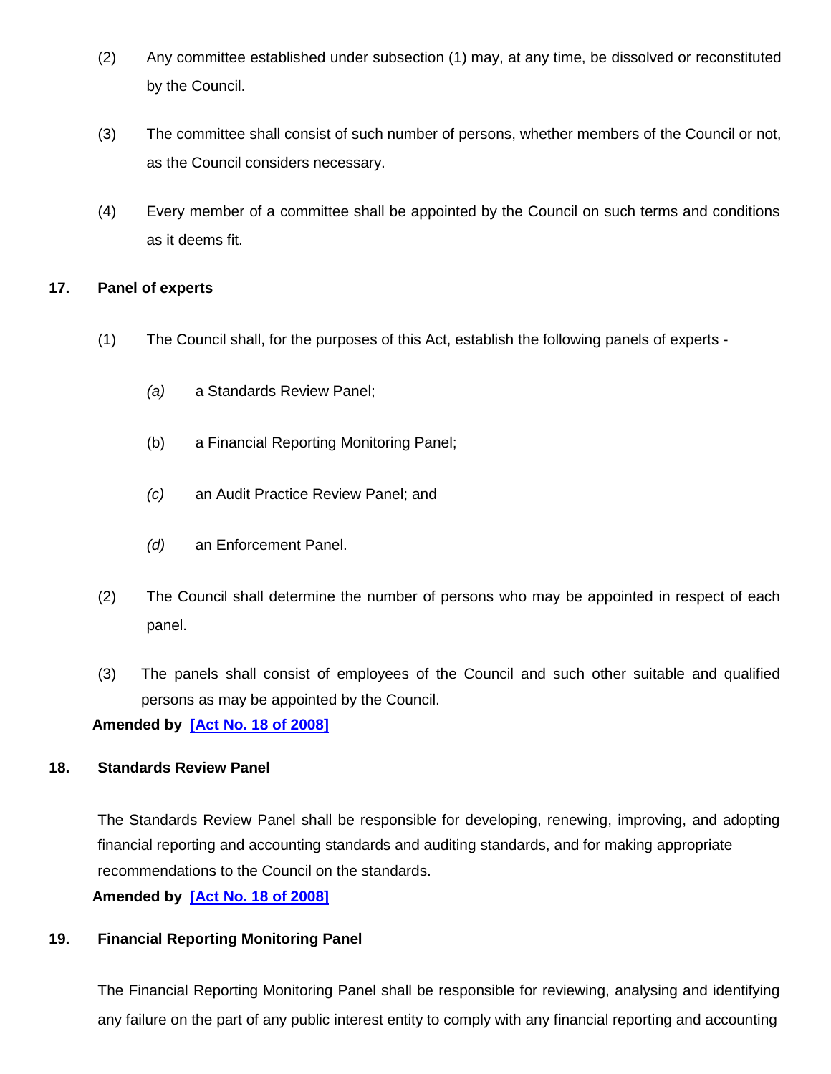- (2) Any committee established under subsection (1) may, at any time, be dissolved or reconstituted by the Council.
- (3) The committee shall consist of such number of persons, whether members of the Council or not, as the Council considers necessary.
- (4) Every member of a committee shall be appointed by the Council on such terms and conditions as it deems fit.

### **17. Panel of experts**

- (1) The Council shall, for the purposes of this Act, establish the following panels of experts
	- *(a)* a Standards Review Panel;
	- (b) a Financial Reporting Monitoring Panel;
	- *(c)* an Audit Practice Review Panel; and
	- *(d)* an Enforcement Panel.
- (2) The Council shall determine the number of persons who may be appointed in respect of each panel.
- (3) The panels shall consist of employees of the Council and such other suitable and qualified persons as may be appointed by the Council.

**Amended by [\[Act No. 18 of 2008\]](http://www.gov.mu/scourt/doc/showDoc.do?dk=Act%20No.%2018%20of%202008&dt=A)**

### **18. Standards Review Panel**

The Standards Review Panel shall be responsible for developing, renewing, improving, and adopting financial reporting and accounting standards and auditing standards, and for making appropriate recommendations to the Council on the standards.

**Amended by [\[Act No. 18 of 2008\]](http://www.gov.mu/scourt/doc/showDoc.do?dk=Act%20No.%2018%20of%202008&dt=A)**

### **19. Financial Reporting Monitoring Panel**

The Financial Reporting Monitoring Panel shall be responsible for reviewing, analysing and identifying any failure on the part of any public interest entity to comply with any financial reporting and accounting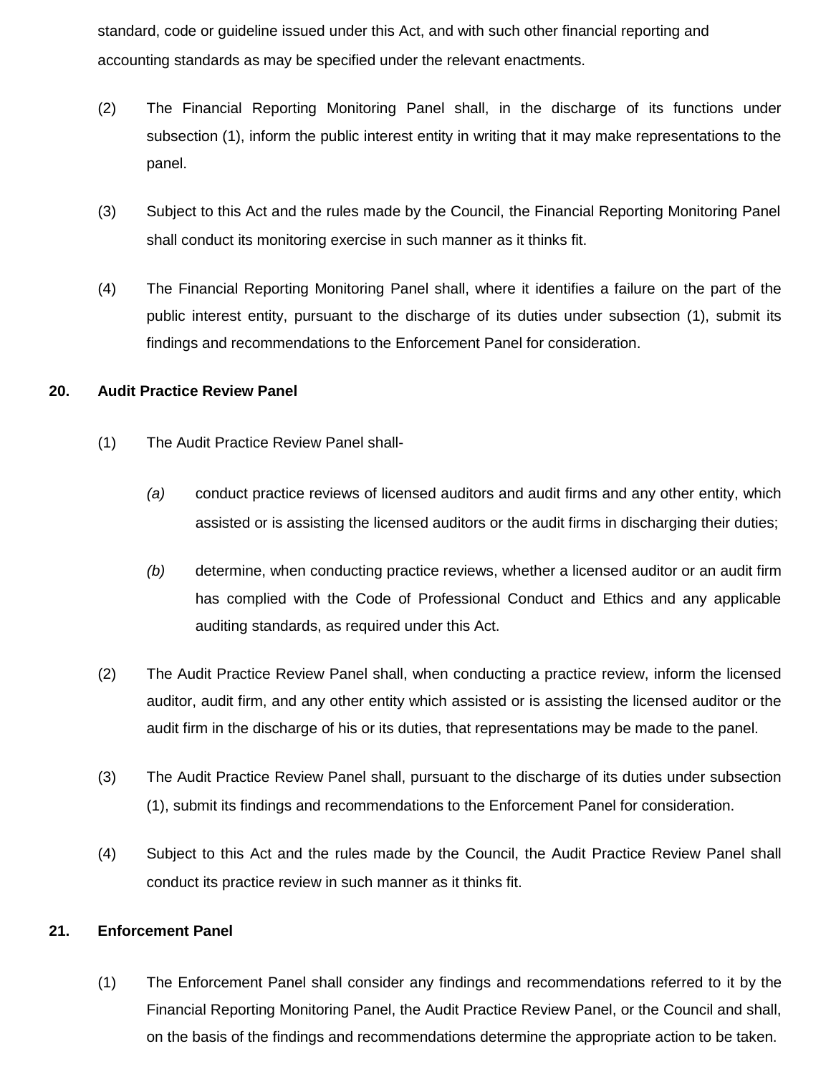standard, code or guideline issued under this Act, and with such other financial reporting and accounting standards as may be specified under the relevant enactments.

- (2) The Financial Reporting Monitoring Panel shall, in the discharge of its functions under subsection (1), inform the public interest entity in writing that it may make representations to the panel.
- (3) Subject to this Act and the rules made by the Council, the Financial Reporting Monitoring Panel shall conduct its monitoring exercise in such manner as it thinks fit.
- (4) The Financial Reporting Monitoring Panel shall, where it identifies a failure on the part of the public interest entity, pursuant to the discharge of its duties under subsection (1), submit its findings and recommendations to the Enforcement Panel for consideration.

#### **20. Audit Practice Review Panel**

- (1) The Audit Practice Review Panel shall-
	- *(a)* conduct practice reviews of licensed auditors and audit firms and any other entity, which assisted or is assisting the licensed auditors or the audit firms in discharging their duties;
	- *(b)* determine, when conducting practice reviews, whether a licensed auditor or an audit firm has complied with the Code of Professional Conduct and Ethics and any applicable auditing standards, as required under this Act.
- (2) The Audit Practice Review Panel shall, when conducting a practice review, inform the licensed auditor, audit firm, and any other entity which assisted or is assisting the licensed auditor or the audit firm in the discharge of his or its duties, that representations may be made to the panel.
- (3) The Audit Practice Review Panel shall, pursuant to the discharge of its duties under subsection (1), submit its findings and recommendations to the Enforcement Panel for consideration.
- (4) Subject to this Act and the rules made by the Council, the Audit Practice Review Panel shall conduct its practice review in such manner as it thinks fit.

#### **21. Enforcement Panel**

(1) The Enforcement Panel shall consider any findings and recommendations referred to it by the Financial Reporting Monitoring Panel, the Audit Practice Review Panel, or the Council and shall, on the basis of the findings and recommendations determine the appropriate action to be taken.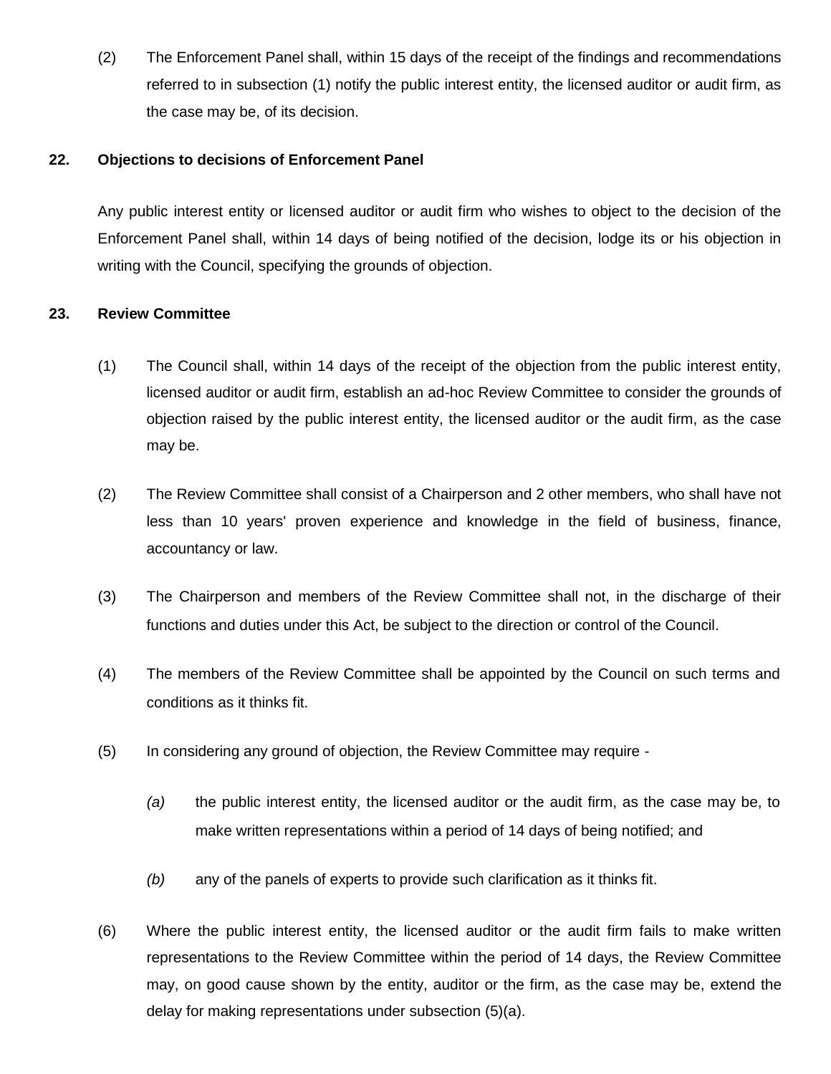(2) The Enforcement Panel shall, within 15 days of the receipt of the findings and recommendations referred to in subsection (1) notify the public interest entity, the licensed auditor or audit firm, as the case may be, of its decision.

#### **22. Objections to decisions of Enforcement Panel**

Any public interest entity or licensed auditor or audit firm who wishes to object to the decision of the Enforcement Panel shall, within 14 days of being notified of the decision, lodge its or his objection in writing with the Council, specifying the grounds of objection.

### **23. Review Committee**

- (1) The Council shall, within 14 days of the receipt of the objection from the public interest entity, licensed auditor or audit firm, establish an ad-hoc Review Committee to consider the grounds of objection raised by the public interest entity, the licensed auditor or the audit firm, as the case may be.
- (2) The Review Committee shall consist of a Chairperson and 2 other members, who shall have not less than 10 years' proven experience and knowledge in the field of business, finance, accountancy or law.
- (3) The Chairperson and members of the Review Committee shall not, in the discharge of their functions and duties under this Act, be subject to the direction or control of the Council.
- (4) The members of the Review Committee shall be appointed by the Council on such terms and conditions as it thinks fit.
- (5) In considering any ground of objection, the Review Committee may require
	- *(a)* the public interest entity, the licensed auditor or the audit firm, as the case may be, to make written representations within a period of 14 days of being notified; and
	- *(b)* any of the panels of experts to provide such clarification as it thinks fit.
- (6) Where the public interest entity, the licensed auditor or the audit firm fails to make written representations to the Review Committee within the period of 14 days, the Review Committee may, on good cause shown by the entity, auditor or the firm, as the case may be, extend the delay for making representations under subsection (5)(a).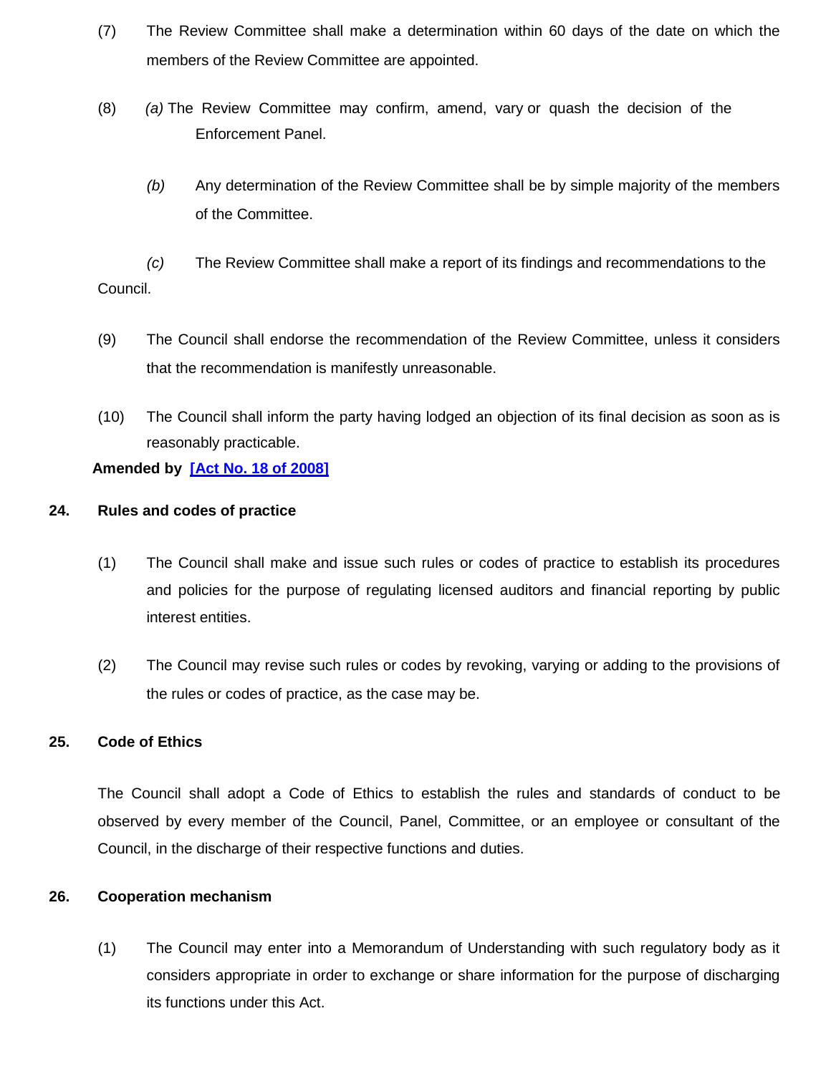- (7) The Review Committee shall make a determination within 60 days of the date on which the members of the Review Committee are appointed.
- (8) *(a)* The Review Committee may confirm, amend, vary or quash the decision of the Enforcement Panel.
	- *(b)* Any determination of the Review Committee shall be by simple majority of the members of the Committee.

*(c)* The Review Committee shall make a report of its findings and recommendations to the Council.

- (9) The Council shall endorse the recommendation of the Review Committee, unless it considers that the recommendation is manifestly unreasonable.
- (10) The Council shall inform the party having lodged an objection of its final decision as soon as is reasonably practicable.

### **Amended by [\[Act No. 18 of 2008\]](http://www.gov.mu/scourt/doc/showDoc.do?dk=Act%20No.%2018%20of%202008&dt=A)**

#### **24. Rules and codes of practice**

- (1) The Council shall make and issue such rules or codes of practice to establish its procedures and policies for the purpose of regulating licensed auditors and financial reporting by public interest entities.
- (2) The Council may revise such rules or codes by revoking, varying or adding to the provisions of the rules or codes of practice, as the case may be.

### **25. Code of Ethics**

The Council shall adopt a Code of Ethics to establish the rules and standards of conduct to be observed by every member of the Council, Panel, Committee, or an employee or consultant of the Council, in the discharge of their respective functions and duties.

#### **26. Cooperation mechanism**

(1) The Council may enter into a Memorandum of Understanding with such regulatory body as it considers appropriate in order to exchange or share information for the purpose of discharging its functions under this Act.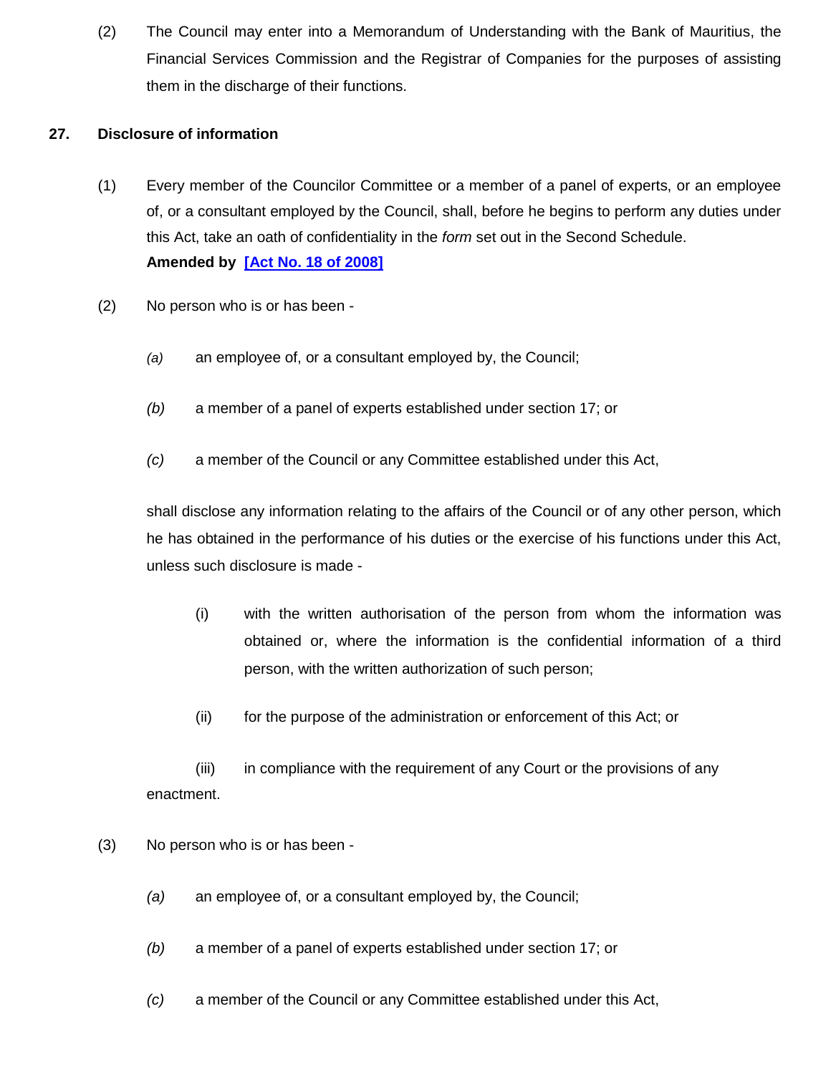(2) The Council may enter into a Memorandum of Understanding with the Bank of Mauritius, the Financial Services Commission and the Registrar of Companies for the purposes of assisting them in the discharge of their functions.

### **27. Disclosure of information**

- (1) Every member of the Councilor Committee or a member of a panel of experts, or an employee of, or a consultant employed by the Council, shall, before he begins to perform any duties under this Act, take an oath of confidentiality in the *form* set out in the Second Schedule. **Amended by [\[Act No. 18 of 2008\]](http://www.gov.mu/scourt/doc/showDoc.do?dk=Act%20No.%2018%20of%202008&dt=A)**
- (2) No person who is or has been
	- *(a)* an employee of, or a consultant employed by, the Council;
	- *(b)* a member of a panel of experts established under section 17; or
	- *(c)* a member of the Council or any Committee established under this Act,

shall disclose any information relating to the affairs of the Council or of any other person, which he has obtained in the performance of his duties or the exercise of his functions under this Act, unless such disclosure is made -

- (i) with the written authorisation of the person from whom the information was obtained or, where the information is the confidential information of a third person, with the written authorization of such person;
- (ii) for the purpose of the administration or enforcement of this Act; or

(iii) in compliance with the requirement of any Court or the provisions of any enactment.

- (3) No person who is or has been
	- *(a)* an employee of, or a consultant employed by, the Council;
	- *(b)* a member of a panel of experts established under section 17; or
	- *(c)* a member of the Council or any Committee established under this Act,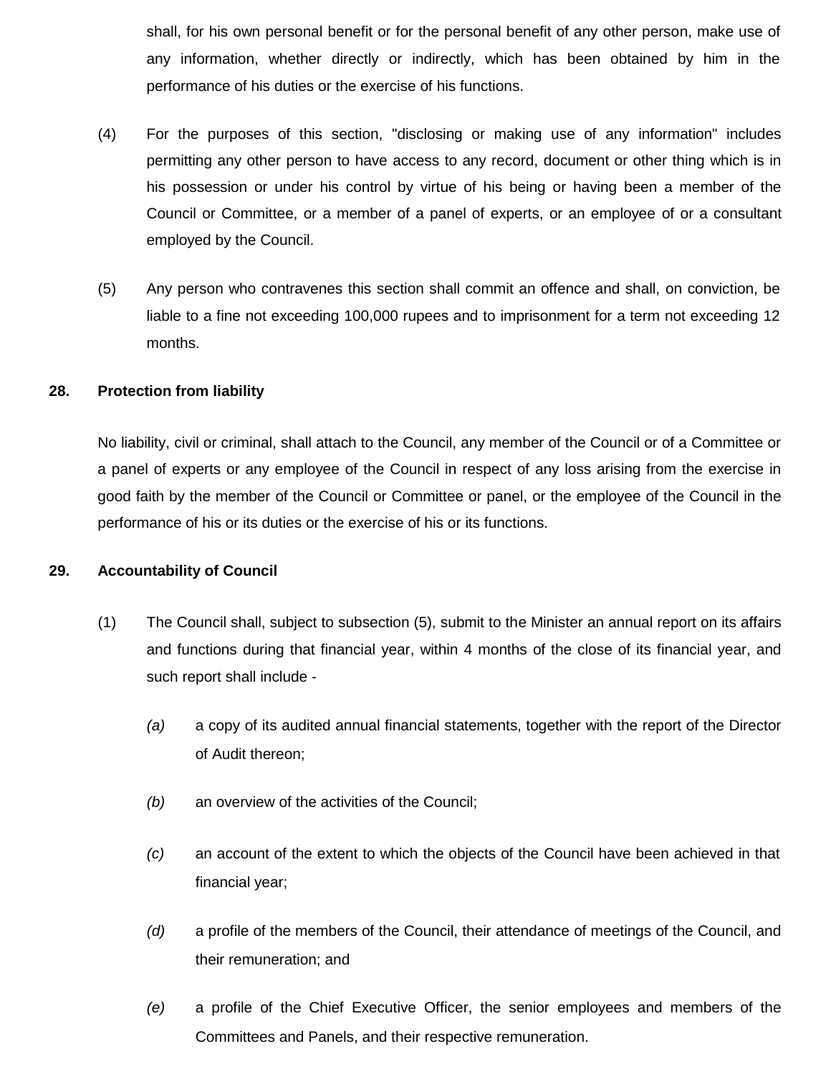shall, for his own personal benefit or for the personal benefit of any other person, make use of any information, whether directly or indirectly, which has been obtained by him in the performance of his duties or the exercise of his functions.

- (4) For the purposes of this section, "disclosing or making use of any information" includes permitting any other person to have access to any record, document or other thing which is in his possession or under his control by virtue of his being or having been a member of the Council or Committee, or a member of a panel of experts, or an employee of or a consultant employed by the Council.
- (5) Any person who contravenes this section shall commit an offence and shall, on conviction, be liable to a fine not exceeding 100,000 rupees and to imprisonment for a term not exceeding 12 months.

#### **28. Protection from liability**

No liability, civil or criminal, shall attach to the Council, any member of the Council or of a Committee or a panel of experts or any employee of the Council in respect of any loss arising from the exercise in good faith by the member of the Council or Committee or panel, or the employee of the Council in the performance of his or its duties or the exercise of his or its functions.

#### **29. Accountability of Council**

- (1) The Council shall, subject to subsection (5), submit to the Minister an annual report on its affairs and functions during that financial year, within 4 months of the close of its financial year, and such report shall include -
	- *(a)* a copy of its audited annual financial statements, together with the report of the Director of Audit thereon;
	- *(b)* an overview of the activities of the Council;
	- *(c)* an account of the extent to which the objects of the Council have been achieved in that financial year;
	- *(d)* a profile of the members of the Council, their attendance of meetings of the Council, and their remuneration; and
	- *(e)* a profile of the Chief Executive Officer, the senior employees and members of the Committees and Panels, and their respective remuneration.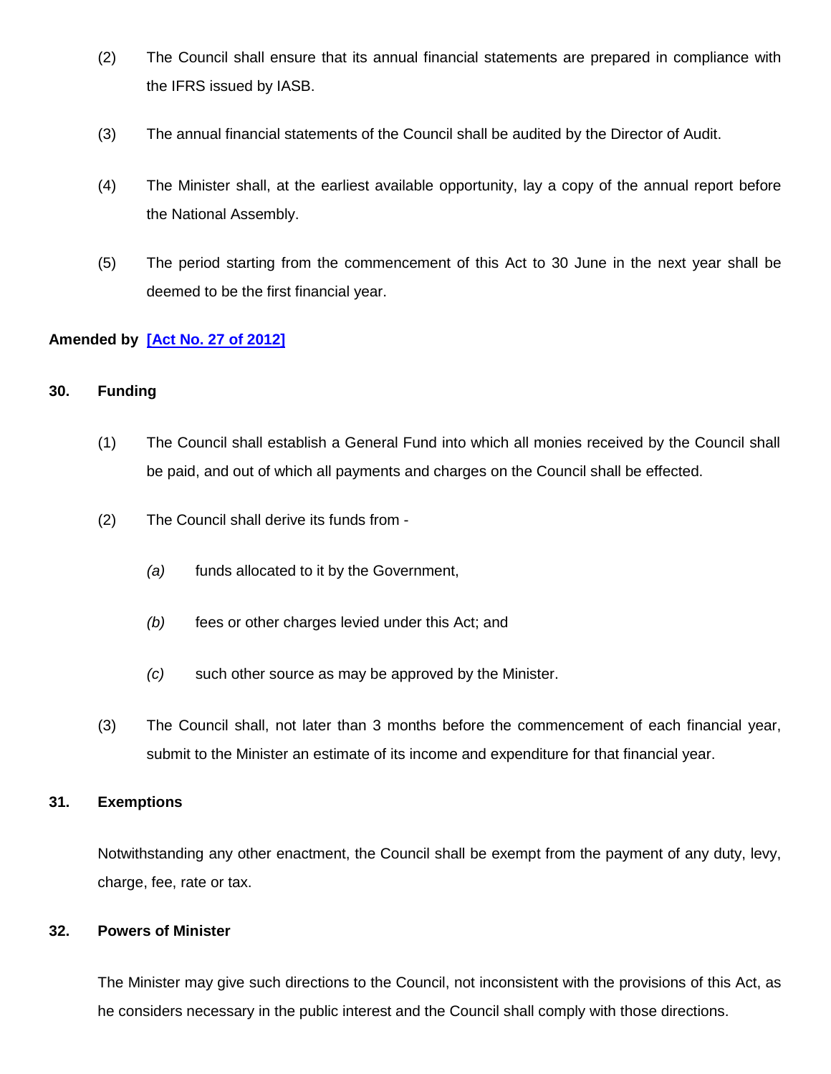- (2) The Council shall ensure that its annual financial statements are prepared in compliance with the IFRS issued by IASB.
- (3) The annual financial statements of the Council shall be audited by the Director of Audit.
- (4) The Minister shall, at the earliest available opportunity, lay a copy of the annual report before the National Assembly.
- (5) The period starting from the commencement of this Act to 30 June in the next year shall be deemed to be the first financial year.

### **Amended by [\[Act No. 27 of 2012\]](http://www.gov.mu/scourt/doc/showDoc.do?dk=Act%20No.%2027%20of%202012&dt=A)**

#### **30. Funding**

- (1) The Council shall establish a General Fund into which all monies received by the Council shall be paid, and out of which all payments and charges on the Council shall be effected.
- (2) The Council shall derive its funds from
	- *(a)* funds allocated to it by the Government,
	- *(b)* fees or other charges levied under this Act; and
	- *(c)* such other source as may be approved by the Minister.
- (3) The Council shall, not later than 3 months before the commencement of each financial year, submit to the Minister an estimate of its income and expenditure for that financial year.

#### **31. Exemptions**

Notwithstanding any other enactment, the Council shall be exempt from the payment of any duty, levy, charge, fee, rate or tax.

#### **32. Powers of Minister**

The Minister may give such directions to the Council, not inconsistent with the provisions of this Act, as he considers necessary in the public interest and the Council shall comply with those directions.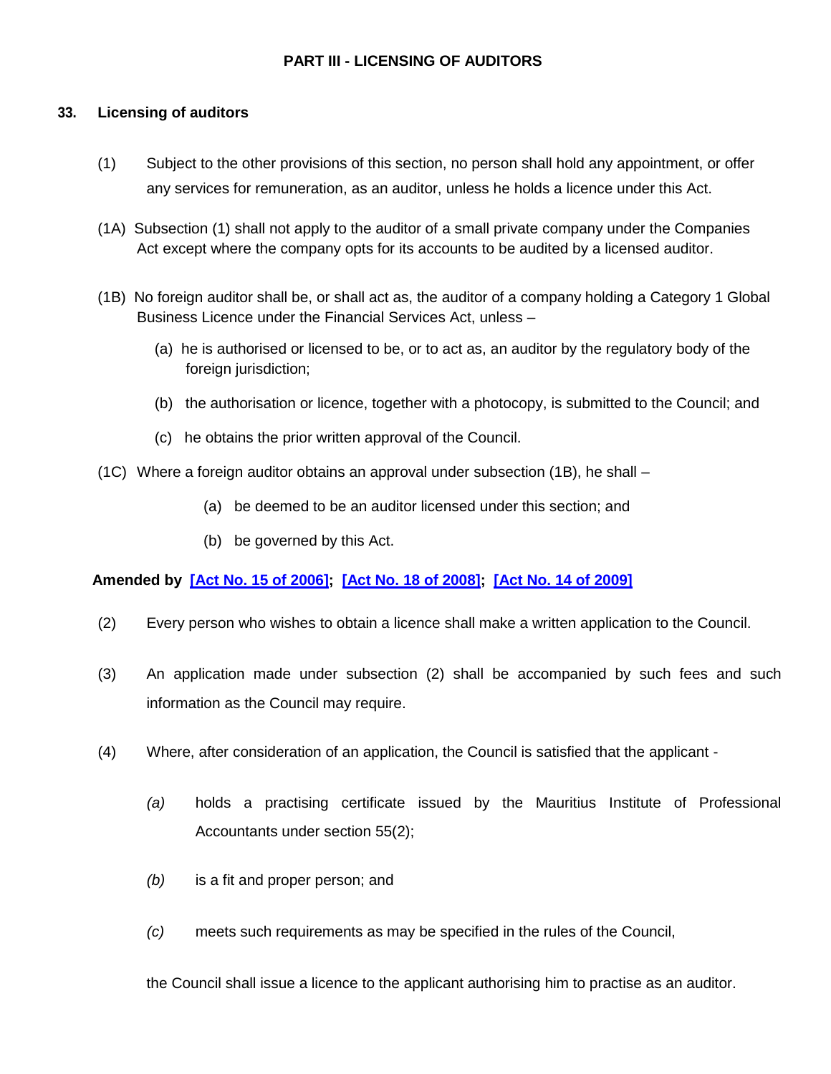### **PART III - LICENSING OF AUDITORS**

### **33. Licensing of auditors**

- (1) Subject to the other provisions of this section, no person shall hold any appointment, or offer any services for remuneration, as an auditor, unless he holds a licence under this Act.
- (1A) Subsection (1) shall not apply to the auditor of a small private company under the Companies Act except where the company opts for its accounts to be audited by a licensed auditor.
- (1B) No foreign auditor shall be, or shall act as, the auditor of a company holding a Category 1 Global Business Licence under the Financial Services Act, unless –
	- (a) he is authorised or licensed to be, or to act as, an auditor by the regulatory body of the foreign jurisdiction;
	- (b) the authorisation or licence, together with a photocopy, is submitted to the Council; and
	- (c) he obtains the prior written approval of the Council.
- (1C) Where a foreign auditor obtains an approval under subsection (1B), he shall
	- (a) be deemed to be an auditor licensed under this section; and
	- (b) be governed by this Act.

**Amended by [\[Act No. 15 of 2006\]](http://www.gov.mu/scourt/doc/showDoc.do?dk=Act%20No.%2015%20of%202006&dt=A); [\[Act No. 18 of 2008\]](http://www.gov.mu/scourt/doc/showDoc.do?dk=Act%20No.%2018%20of%202008&dt=A); [\[Act No. 14 of 2009\]](http://www.gov.mu/scourt/doc/showDoc.do?dk=Act%20No.%2014%20of%202009&dt=A)**

- (2) Every person who wishes to obtain a licence shall make a written application to the Council.
- (3) An application made under subsection (2) shall be accompanied by such fees and such information as the Council may require.
- (4) Where, after consideration of an application, the Council is satisfied that the applicant
	- *(a)* holds a practising certificate issued by the Mauritius Institute of Professional Accountants under section 55(2);
	- *(b)* is a fit and proper person; and
	- *(c)* meets such requirements as may be specified in the rules of the Council,

the Council shall issue a licence to the applicant authorising him to practise as an auditor.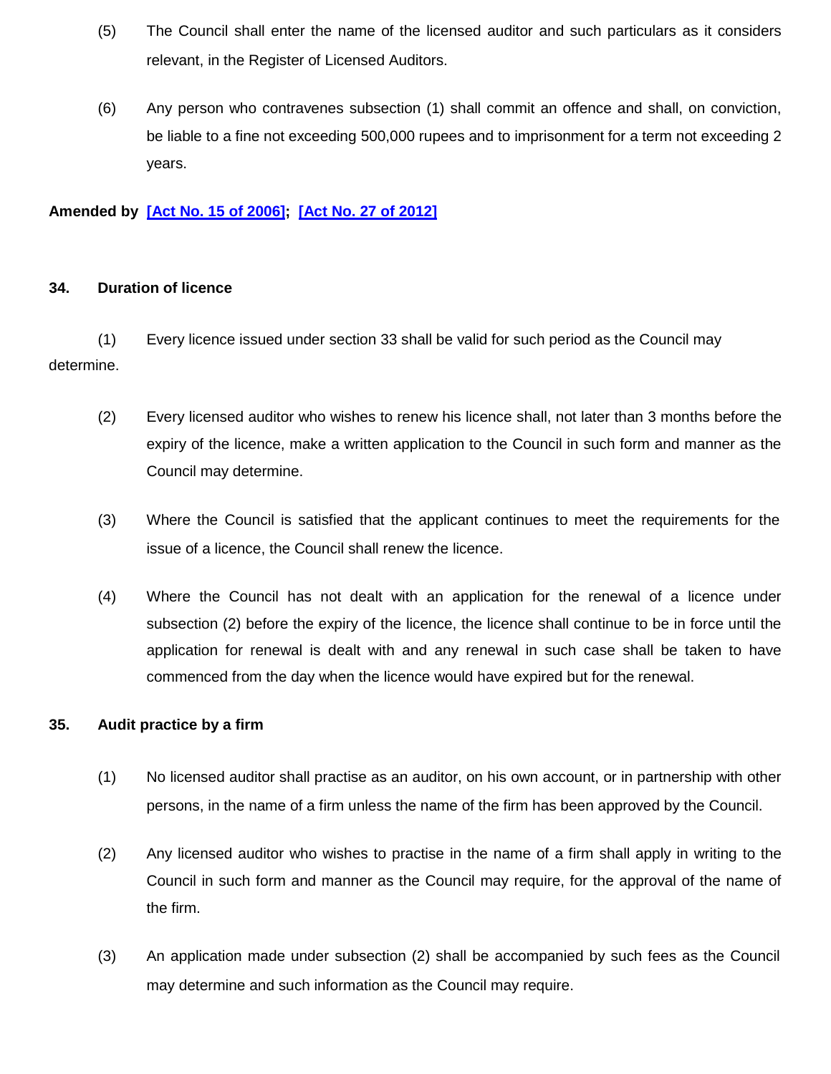- (5) The Council shall enter the name of the licensed auditor and such particulars as it considers relevant, in the Register of Licensed Auditors.
- (6) Any person who contravenes subsection (1) shall commit an offence and shall, on conviction, be liable to a fine not exceeding 500,000 rupees and to imprisonment for a term not exceeding 2 years.

### **Amended by [\[Act No. 15 of 2006\]](http://www.gov.mu/scourt/doc/showDoc.do?dk=Act%20No.%2015%20of%202006&dt=A); [\[Act No. 27 of 2012\]](http://www.gov.mu/scourt/doc/showDoc.do?dk=Act%20No.%2027%20of%202012&dt=A)**

#### **34. Duration of licence**

(1) Every licence issued under section 33 shall be valid for such period as the Council may determine.

- (2) Every licensed auditor who wishes to renew his licence shall, not later than 3 months before the expiry of the licence, make a written application to the Council in such form and manner as the Council may determine.
- (3) Where the Council is satisfied that the applicant continues to meet the requirements for the issue of a licence, the Council shall renew the licence.
- (4) Where the Council has not dealt with an application for the renewal of a licence under subsection (2) before the expiry of the licence, the licence shall continue to be in force until the application for renewal is dealt with and any renewal in such case shall be taken to have commenced from the day when the licence would have expired but for the renewal.

#### **35. Audit practice by a firm**

- (1) No licensed auditor shall practise as an auditor, on his own account, or in partnership with other persons, in the name of a firm unless the name of the firm has been approved by the Council.
- (2) Any licensed auditor who wishes to practise in the name of a firm shall apply in writing to the Council in such form and manner as the Council may require, for the approval of the name of the firm.
- (3) An application made under subsection (2) shall be accompanied by such fees as the Council may determine and such information as the Council may require.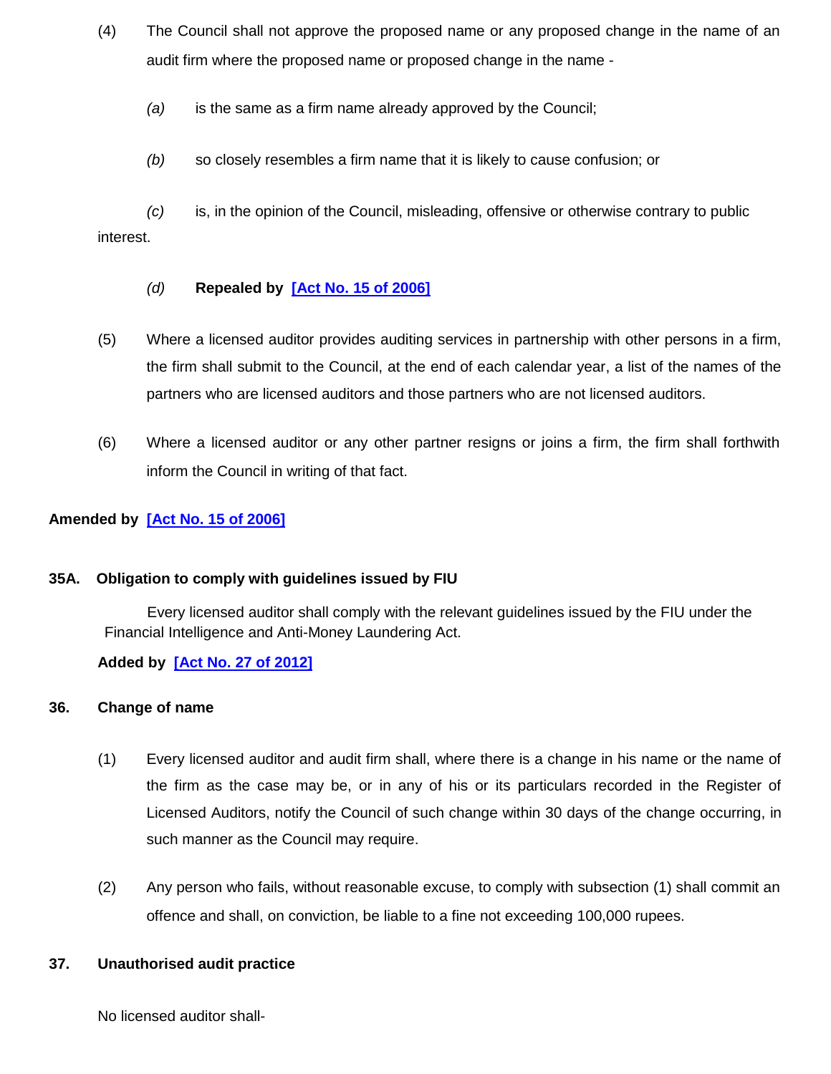- (4) The Council shall not approve the proposed name or any proposed change in the name of an audit firm where the proposed name or proposed change in the name -
	- *(a)* is the same as a firm name already approved by the Council;
	- *(b)* so closely resembles a firm name that it is likely to cause confusion; or

*(c)* is, in the opinion of the Council, misleading, offensive or otherwise contrary to public interest.

### *(d)* **Repealed by [\[Act No. 15 of 2006\]](http://www.gov.mu/scourt/doc/showDoc.do?dk=Act%20No.%2015%20of%202006&dt=A)**

- (5) Where a licensed auditor provides auditing services in partnership with other persons in a firm, the firm shall submit to the Council, at the end of each calendar year, a list of the names of the partners who are licensed auditors and those partners who are not licensed auditors.
- (6) Where a licensed auditor or any other partner resigns or joins a firm, the firm shall forthwith inform the Council in writing of that fact.

### **Amended by [\[Act No. 15 of 2006\]](http://www.gov.mu/scourt/doc/showDoc.do?dk=Act%20No.%2015%20of%202006&dt=A)**

### **35A. Obligation to comply with guidelines issued by FIU**

Every licensed auditor shall comply with the relevant guidelines issued by the FIU under the Financial Intelligence and Anti-Money Laundering Act.

### **Added by [\[Act No. 27 of 2012\]](http://www.gov.mu/scourt/doc/showDoc.do?dk=Act%20No.%2027%20of%202012&dt=A)**

### **36. Change of name**

- (1) Every licensed auditor and audit firm shall, where there is a change in his name or the name of the firm as the case may be, or in any of his or its particulars recorded in the Register of Licensed Auditors, notify the Council of such change within 30 days of the change occurring, in such manner as the Council may require.
- (2) Any person who fails, without reasonable excuse, to comply with subsection (1) shall commit an offence and shall, on conviction, be liable to a fine not exceeding 100,000 rupees.

### **37. Unauthorised audit practice**

No licensed auditor shall-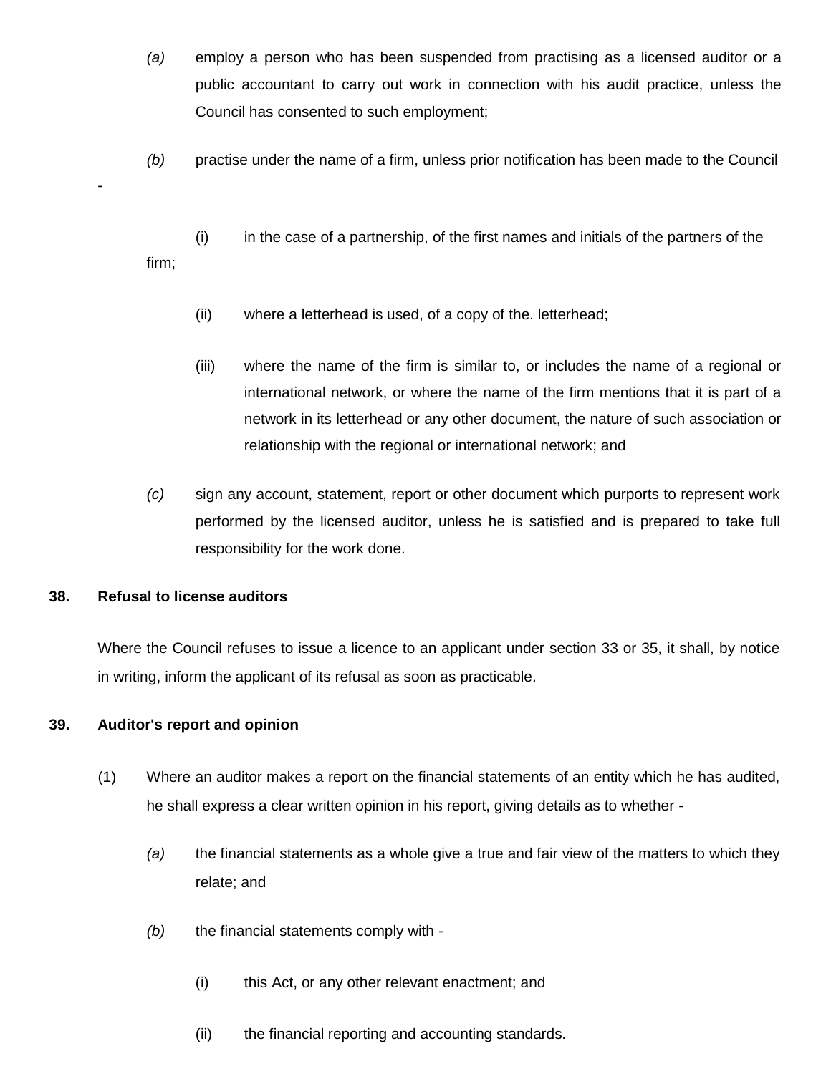- *(a)* employ a person who has been suspended from practising as a licensed auditor or a public accountant to carry out work in connection with his audit practice, unless the Council has consented to such employment;
- *(b)* practise under the name of a firm, unless prior notification has been made to the Council
- (i) in the case of a partnership, of the first names and initials of the partners of the firm;
	- (ii) where a letterhead is used, of a copy of the. letterhead;
	- (iii) where the name of the firm is similar to, or includes the name of a regional or international network, or where the name of the firm mentions that it is part of a network in its letterhead or any other document, the nature of such association or relationship with the regional or international network; and
- *(c)* sign any account, statement, report or other document which purports to represent work performed by the licensed auditor, unless he is satisfied and is prepared to take full responsibility for the work done.

### **38. Refusal to license auditors**

-

Where the Council refuses to issue a licence to an applicant under section 33 or 35, it shall, by notice in writing, inform the applicant of its refusal as soon as practicable.

### **39. Auditor's report and opinion**

- (1) Where an auditor makes a report on the financial statements of an entity which he has audited, he shall express a clear written opinion in his report, giving details as to whether -
	- *(a)* the financial statements as a whole give a true and fair view of the matters to which they relate; and
	- *(b)* the financial statements comply with
		- (i) this Act, or any other relevant enactment; and
		- (ii) the financial reporting and accounting standards.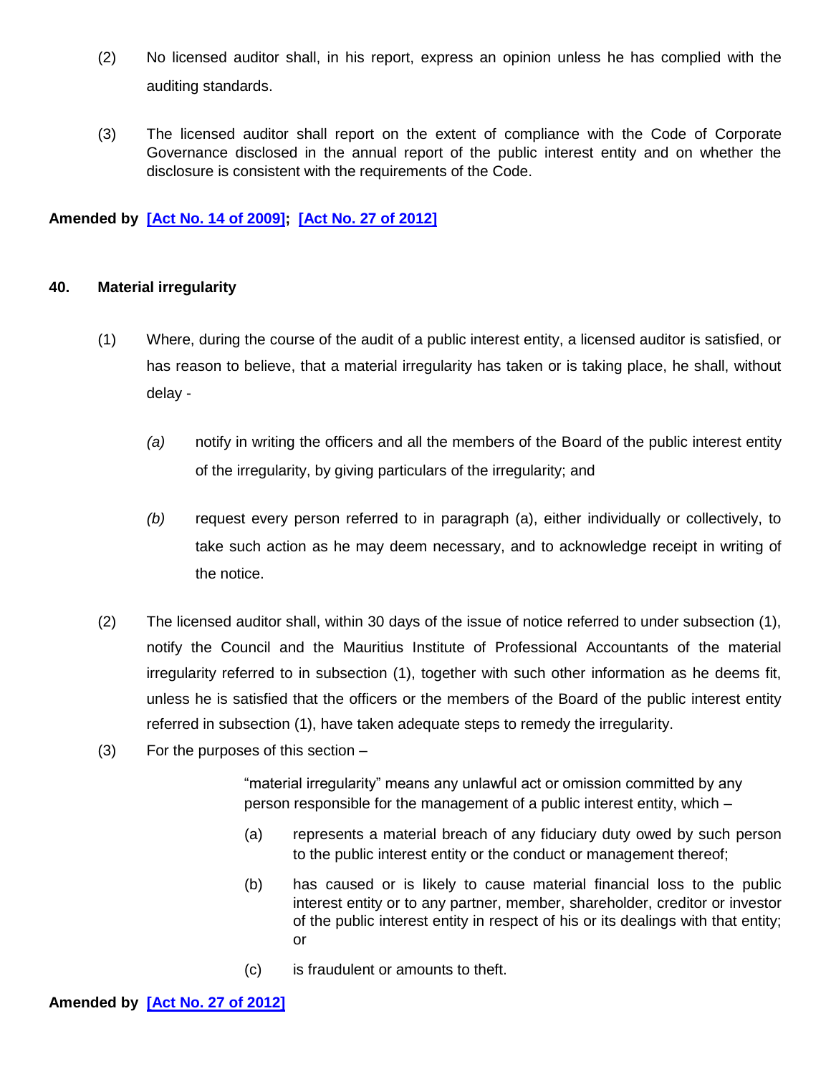- (2) No licensed auditor shall, in his report, express an opinion unless he has complied with the auditing standards.
- (3) The licensed auditor shall report on the extent of compliance with the Code of Corporate Governance disclosed in the annual report of the public interest entity and on whether the disclosure is consistent with the requirements of the Code.

### **Amended by [\[Act No. 14 of 2009\]](http://www.gov.mu/scourt/doc/showDoc.do?dk=Act%20No.%2014%20of%202009&dt=A); [\[Act No. 27 of 2012\]](http://www.gov.mu/scourt/doc/showDoc.do?dk=Act%20No.%2027%20of%202012&dt=A)**

#### **40. Material irregularity**

- (1) Where, during the course of the audit of a public interest entity, a licensed auditor is satisfied, or has reason to believe, that a material irregularity has taken or is taking place, he shall, without delay -
	- *(a)* notify in writing the officers and all the members of the Board of the public interest entity of the irregularity, by giving particulars of the irregularity; and
	- *(b)* request every person referred to in paragraph (a), either individually or collectively, to take such action as he may deem necessary, and to acknowledge receipt in writing of the notice.
- (2) The licensed auditor shall, within 30 days of the issue of notice referred to under subsection (1), notify the Council and the Mauritius Institute of Professional Accountants of the material irregularity referred to in subsection (1), together with such other information as he deems fit, unless he is satisfied that the officers or the members of the Board of the public interest entity referred in subsection (1), have taken adequate steps to remedy the irregularity.
- (3) For the purposes of this section –

"material irregularity" means any unlawful act or omission committed by any person responsible for the management of a public interest entity, which –

- (a) represents a material breach of any fiduciary duty owed by such person to the public interest entity or the conduct or management thereof;
- (b) has caused or is likely to cause material financial loss to the public interest entity or to any partner, member, shareholder, creditor or investor of the public interest entity in respect of his or its dealings with that entity; or
- (c) is fraudulent or amounts to theft.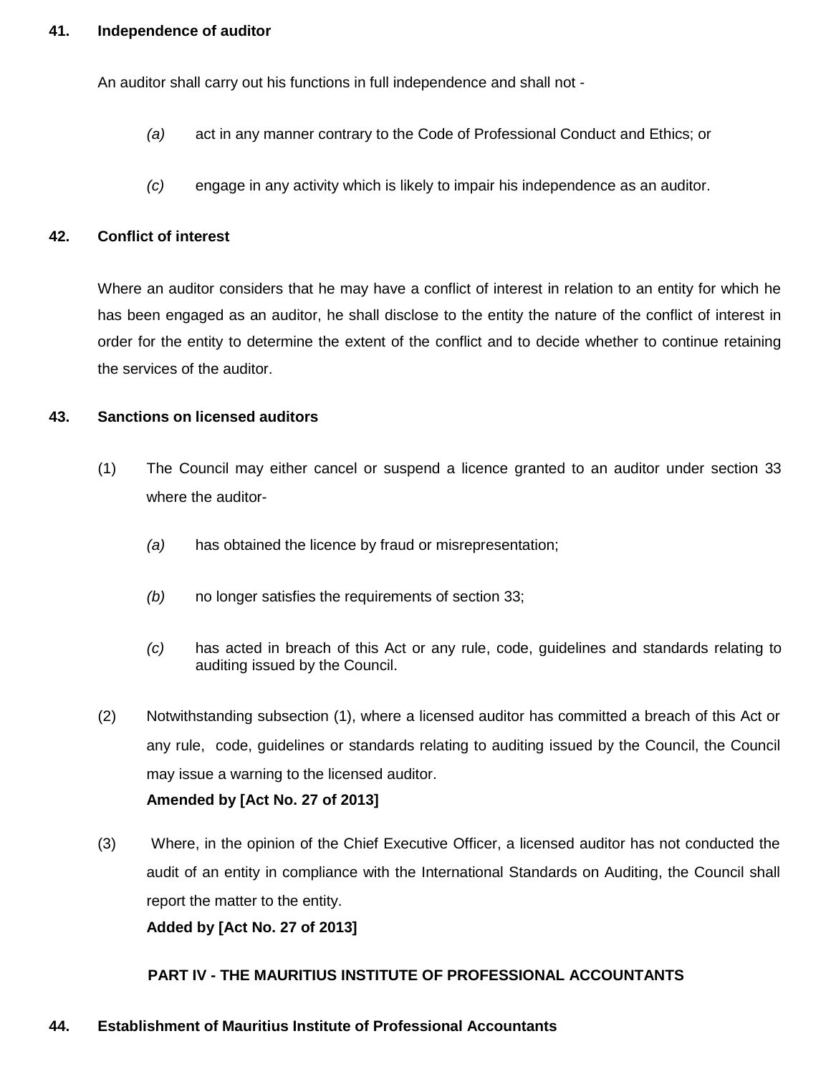#### **41. Independence of auditor**

An auditor shall carry out his functions in full independence and shall not -

- *(a)* act in any manner contrary to the Code of Professional Conduct and Ethics; or
- *(c)* engage in any activity which is likely to impair his independence as an auditor.

#### **42. Conflict of interest**

Where an auditor considers that he may have a conflict of interest in relation to an entity for which he has been engaged as an auditor, he shall disclose to the entity the nature of the conflict of interest in order for the entity to determine the extent of the conflict and to decide whether to continue retaining the services of the auditor.

#### **43. Sanctions on licensed auditors**

- (1) The Council may either cancel or suspend a licence granted to an auditor under section 33 where the auditor-
	- *(a)* has obtained the licence by fraud or misrepresentation;
	- *(b)* no longer satisfies the requirements of section 33;
	- *(c)* has acted in breach of this Act or any rule, code, guidelines and standards relating to auditing issued by the Council.
- (2) Notwithstanding subsection (1), where a licensed auditor has committed a breach of this Act or any rule, code, guidelines or standards relating to auditing issued by the Council, the Council may issue a warning to the licensed auditor.

#### **Amended by [Act No. 27 of 2013]**

(3) Where, in the opinion of the Chief Executive Officer, a licensed auditor has not conducted the audit of an entity in compliance with the International Standards on Auditing, the Council shall report the matter to the entity.

**Added by [Act No. 27 of 2013]**

#### **PART IV - THE MAURITIUS INSTITUTE OF PROFESSIONAL ACCOUNTANTS**

#### **44. Establishment of Mauritius Institute of Professional Accountants**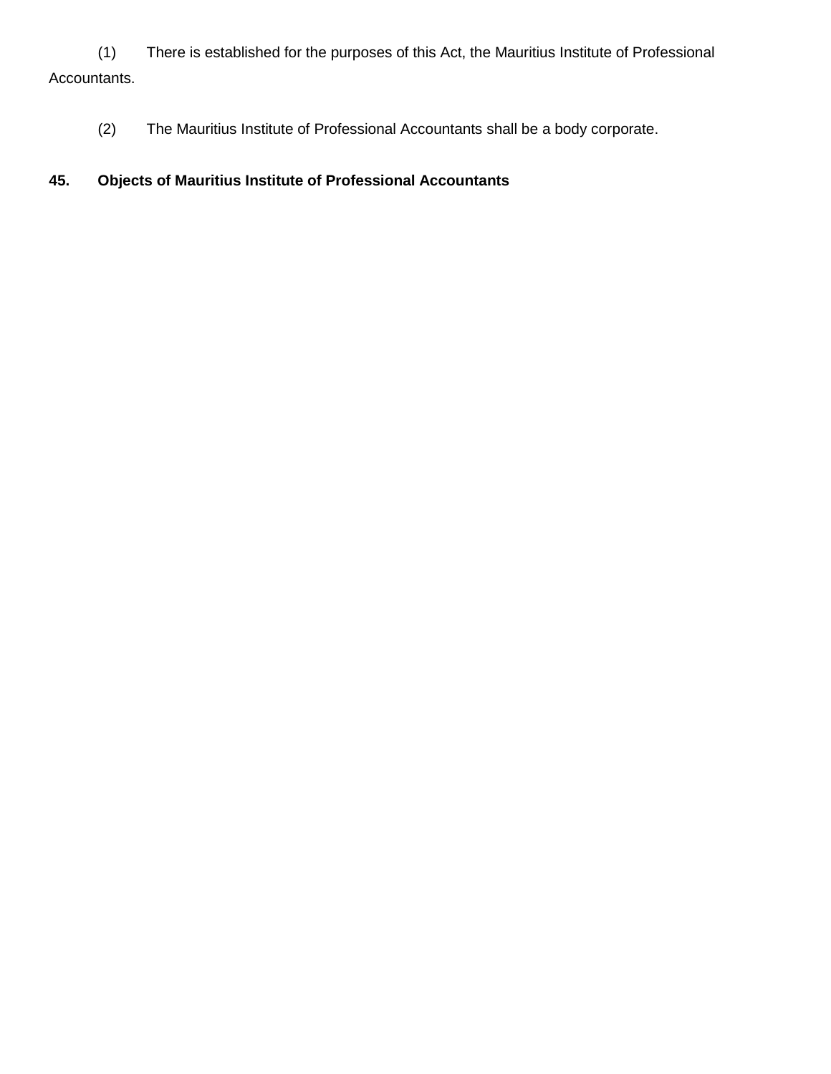(1) There is established for the purposes of this Act, the Mauritius Institute of Professional Accountants.

(2) The Mauritius Institute of Professional Accountants shall be a body corporate.

# **45. Objects of Mauritius Institute of Professional Accountants**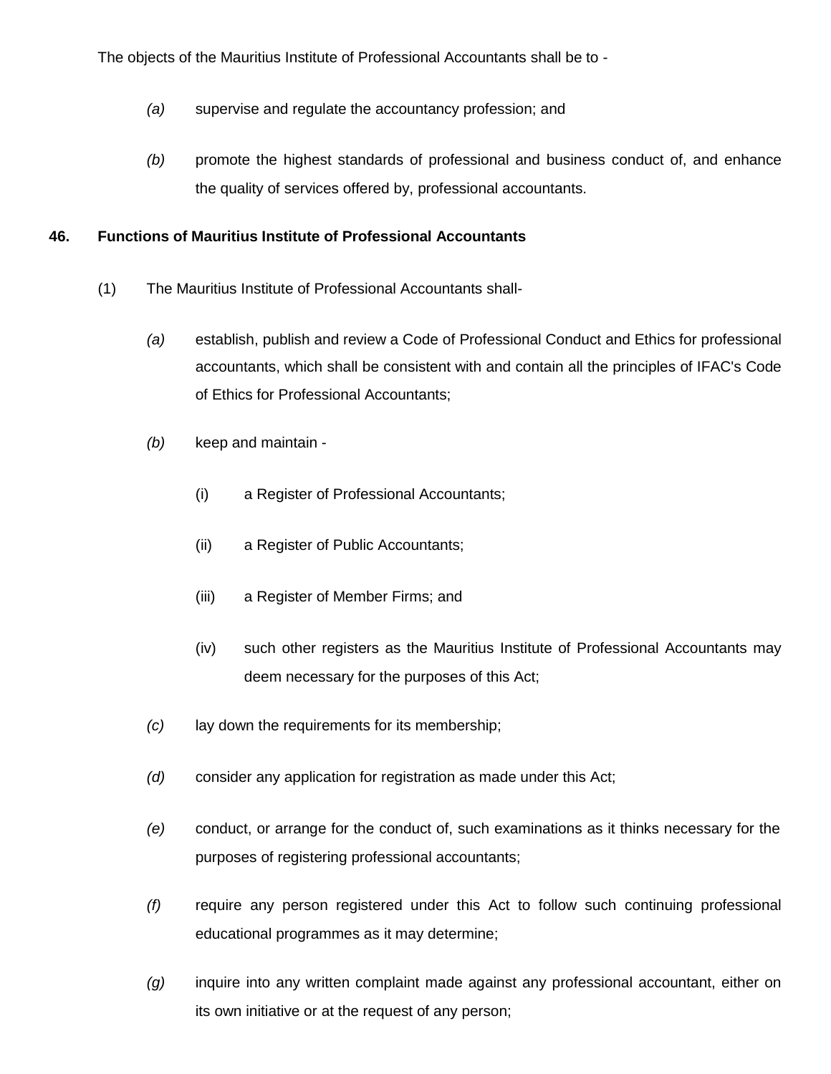The objects of the Mauritius Institute of Professional Accountants shall be to -

- *(a)* supervise and regulate the accountancy profession; and
- *(b)* promote the highest standards of professional and business conduct of, and enhance the quality of services offered by, professional accountants.

### **46. Functions of Mauritius Institute of Professional Accountants**

- (1) The Mauritius Institute of Professional Accountants shall-
	- *(a)* establish, publish and review a Code of Professional Conduct and Ethics for professional accountants, which shall be consistent with and contain all the principles of IFAC's Code of Ethics for Professional Accountants;
	- *(b)* keep and maintain
		- (i) a Register of Professional Accountants;
		- (ii) a Register of Public Accountants;
		- (iii) a Register of Member Firms; and
		- (iv) such other registers as the Mauritius Institute of Professional Accountants may deem necessary for the purposes of this Act;
	- *(c)* lay down the requirements for its membership;
	- *(d)* consider any application for registration as made under this Act;
	- *(e)* conduct, or arrange for the conduct of, such examinations as it thinks necessary for the purposes of registering professional accountants;
	- *(f)* require any person registered under this Act to follow such continuing professional educational programmes as it may determine;
	- *(g)* inquire into any written complaint made against any professional accountant, either on its own initiative or at the request of any person;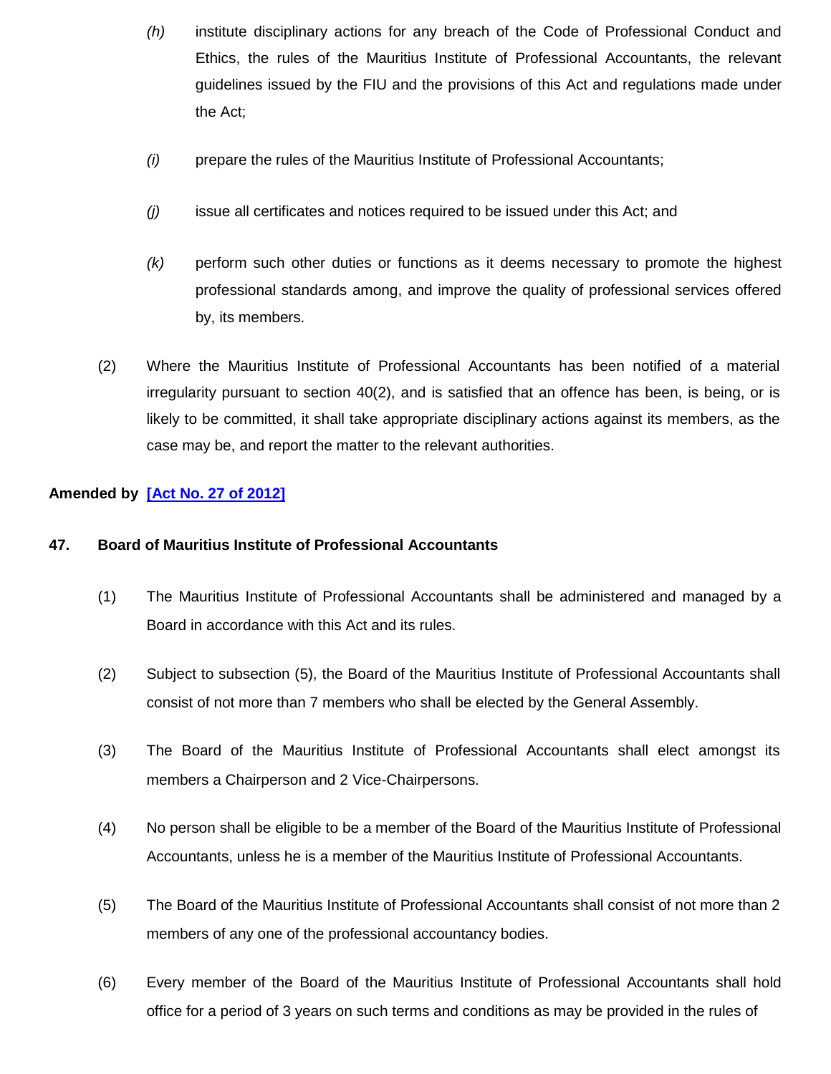- *(h)* institute disciplinary actions for any breach of the Code of Professional Conduct and Ethics, the rules of the Mauritius Institute of Professional Accountants, the relevant guidelines issued by the FIU and the provisions of this Act and regulations made under the Act;
- *(i)* prepare the rules of the Mauritius Institute of Professional Accountants;
- *(j)* issue all certificates and notices required to be issued under this Act; and
- *(k)* perform such other duties or functions as it deems necessary to promote the highest professional standards among, and improve the quality of professional services offered by, its members.
- (2) Where the Mauritius Institute of Professional Accountants has been notified of a material irregularity pursuant to section 40(2), and is satisfied that an offence has been, is being, or is likely to be committed, it shall take appropriate disciplinary actions against its members, as the case may be, and report the matter to the relevant authorities.

### **Amended by [\[Act No. 27 of 2012\]](http://www.gov.mu/scourt/doc/showDoc.do?dk=Act%20No.%2027%20of%202012&dt=A)**

#### **47. Board of Mauritius Institute of Professional Accountants**

- (1) The Mauritius Institute of Professional Accountants shall be administered and managed by a Board in accordance with this Act and its rules.
- (2) Subject to subsection (5), the Board of the Mauritius Institute of Professional Accountants shall consist of not more than 7 members who shall be elected by the General Assembly.
- (3) The Board of the Mauritius Institute of Professional Accountants shall elect amongst its members a Chairperson and 2 Vice-Chairpersons.
- (4) No person shall be eligible to be a member of the Board of the Mauritius Institute of Professional Accountants, unless he is a member of the Mauritius Institute of Professional Accountants.
- (5) The Board of the Mauritius Institute of Professional Accountants shall consist of not more than 2 members of any one of the professional accountancy bodies.
- (6) Every member of the Board of the Mauritius Institute of Professional Accountants shall hold office for a period of 3 years on such terms and conditions as may be provided in the rules of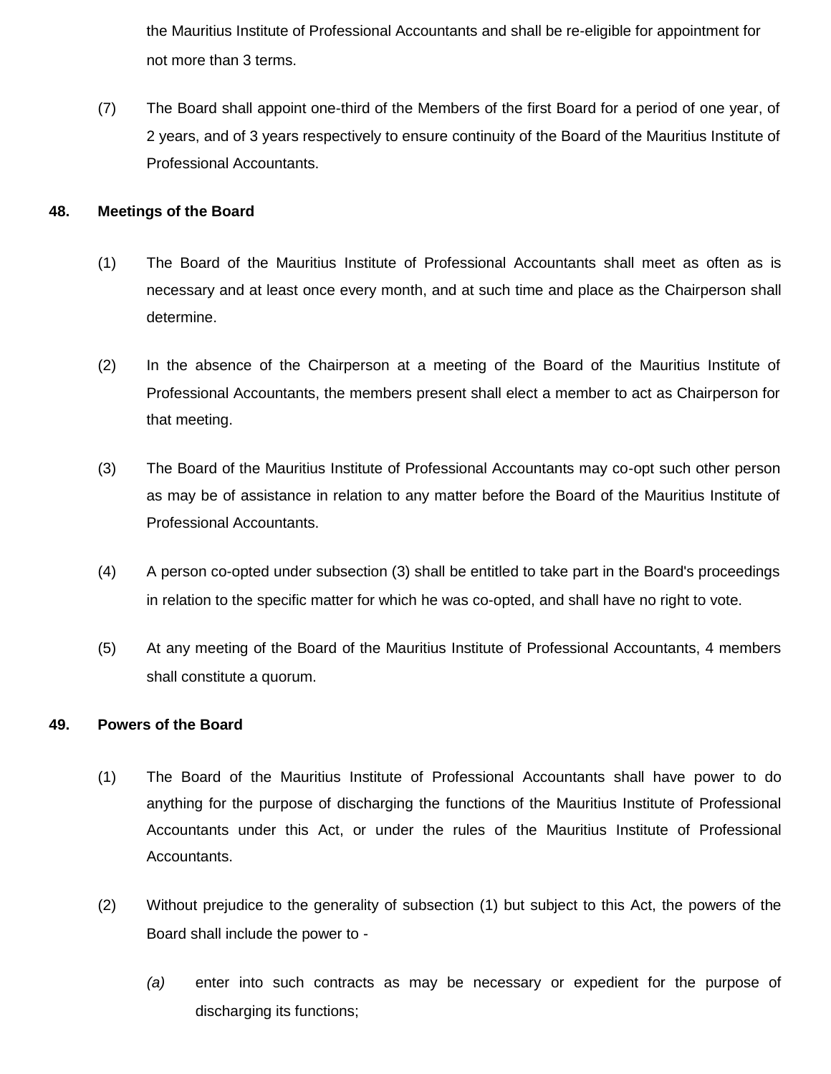the Mauritius Institute of Professional Accountants and shall be re-eligible for appointment for not more than 3 terms.

(7) The Board shall appoint one-third of the Members of the first Board for a period of one year, of 2 years, and of 3 years respectively to ensure continuity of the Board of the Mauritius Institute of Professional Accountants.

#### **48. Meetings of the Board**

- (1) The Board of the Mauritius Institute of Professional Accountants shall meet as often as is necessary and at least once every month, and at such time and place as the Chairperson shall determine.
- (2) In the absence of the Chairperson at a meeting of the Board of the Mauritius Institute of Professional Accountants, the members present shall elect a member to act as Chairperson for that meeting.
- (3) The Board of the Mauritius Institute of Professional Accountants may co-opt such other person as may be of assistance in relation to any matter before the Board of the Mauritius Institute of Professional Accountants.
- (4) A person co-opted under subsection (3) shall be entitled to take part in the Board's proceedings in relation to the specific matter for which he was co-opted, and shall have no right to vote.
- (5) At any meeting of the Board of the Mauritius Institute of Professional Accountants, 4 members shall constitute a quorum.

### **49. Powers of the Board**

- (1) The Board of the Mauritius Institute of Professional Accountants shall have power to do anything for the purpose of discharging the functions of the Mauritius Institute of Professional Accountants under this Act, or under the rules of the Mauritius Institute of Professional Accountants.
- (2) Without prejudice to the generality of subsection (1) but subject to this Act, the powers of the Board shall include the power to -
	- *(a)* enter into such contracts as may be necessary or expedient for the purpose of discharging its functions;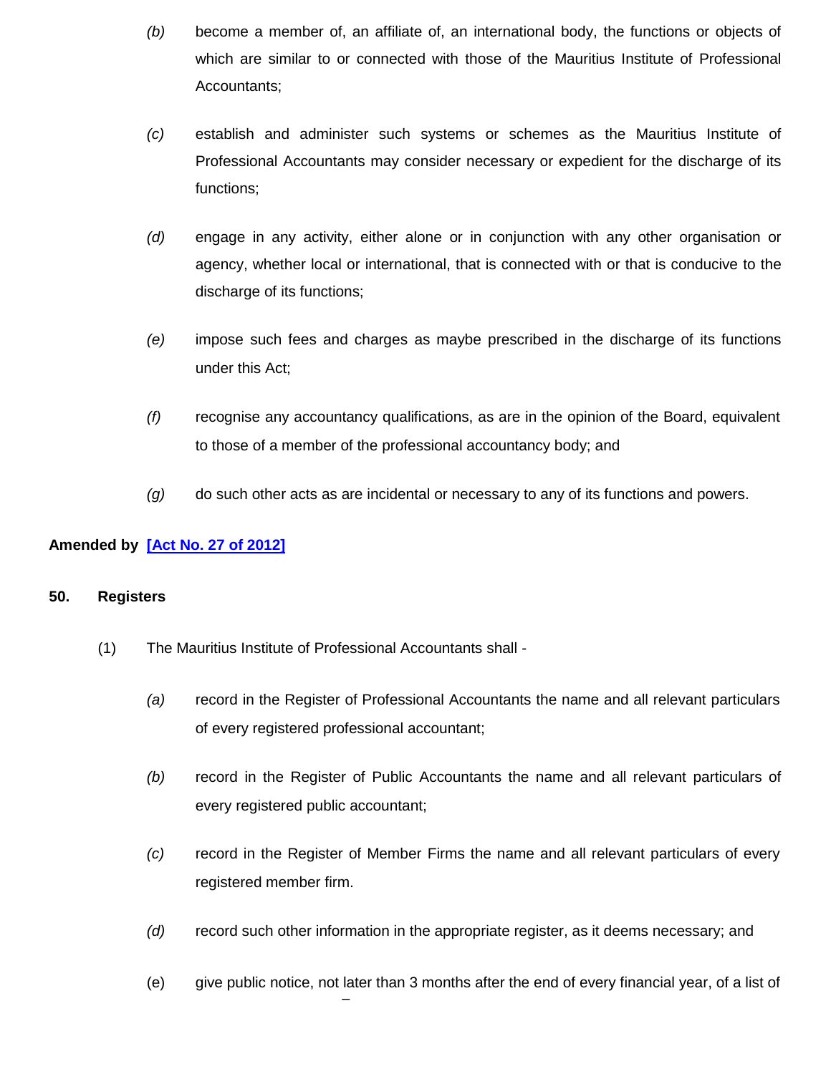- *(b)* become a member of, an affiliate of, an international body, the functions or objects of which are similar to or connected with those of the Mauritius Institute of Professional Accountants;
- *(c)* establish and administer such systems or schemes as the Mauritius Institute of Professional Accountants may consider necessary or expedient for the discharge of its functions;
- *(d)* engage in any activity, either alone or in conjunction with any other organisation or agency, whether local or international, that is connected with or that is conducive to the discharge of its functions;
- *(e)* impose such fees and charges as maybe prescribed in the discharge of its functions under this Act;
- *(f)* recognise any accountancy qualifications, as are in the opinion of the Board, equivalent to those of a member of the professional accountancy body; and
- *(g)* do such other acts as are incidental or necessary to any of its functions and powers.

### **Amended by [\[Act No. 27 of 2012\]](http://www.gov.mu/scourt/doc/showDoc.do?dk=Act%20No.%2027%20of%202012&dt=A)**

### **50. Registers**

(1) The Mauritius Institute of Professional Accountants shall -

–

- *(a)* record in the Register of Professional Accountants the name and all relevant particulars of every registered professional accountant;
- *(b)* record in the Register of Public Accountants the name and all relevant particulars of every registered public accountant;
- *(c)* record in the Register of Member Firms the name and all relevant particulars of every registered member firm.
- *(d)* record such other information in the appropriate register, as it deems necessary; and
- (e) give public notice, not later than 3 months after the end of every financial year, of a list of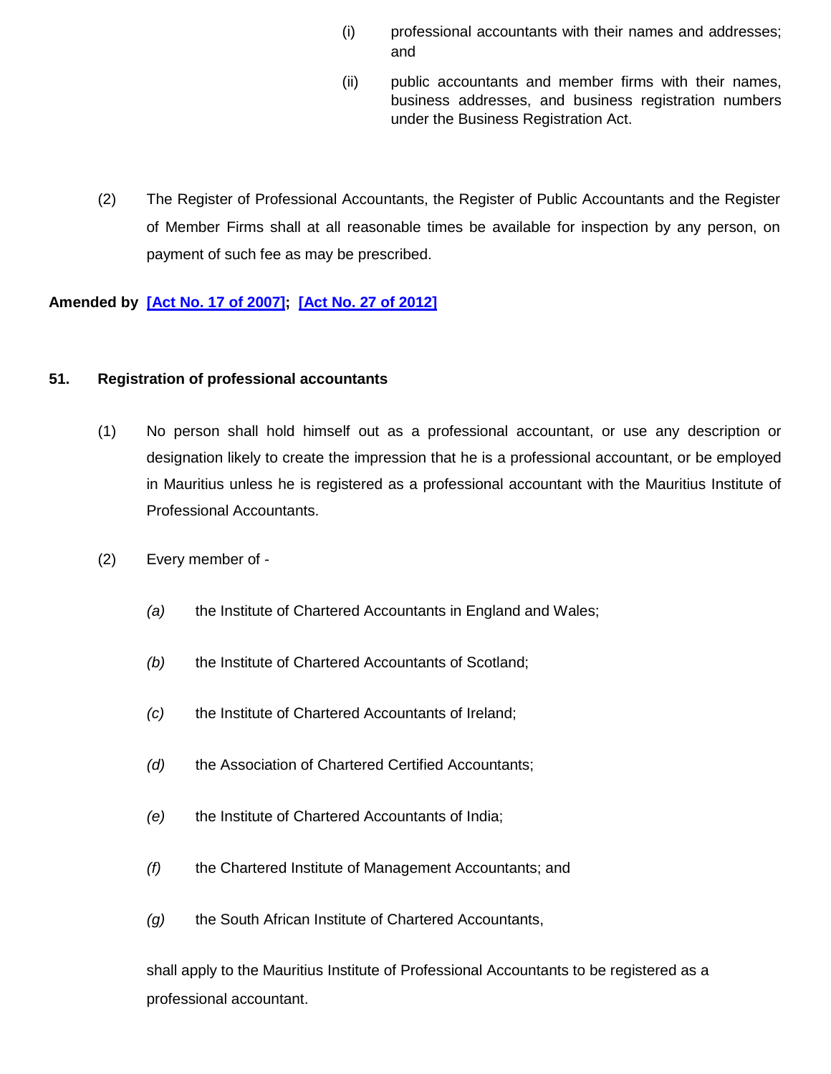- (i) professional accountants with their names and addresses; and
- (ii) public accountants and member firms with their names, business addresses, and business registration numbers under the Business Registration Act.
- (2) The Register of Professional Accountants, the Register of Public Accountants and the Register of Member Firms shall at all reasonable times be available for inspection by any person, on payment of such fee as may be prescribed.

### **Amended by [\[Act No. 17 of 2007\]](http://www.gov.mu/scourt/doc/showDoc.do?dk=Act%20No.%2017%20of%202007&dt=A); [\[Act No. 27 of 2012\]](http://www.gov.mu/scourt/doc/showDoc.do?dk=Act%20No.%2027%20of%202012&dt=A)**

#### **51. Registration of professional accountants**

- (1) No person shall hold himself out as a professional accountant, or use any description or designation likely to create the impression that he is a professional accountant, or be employed in Mauritius unless he is registered as a professional accountant with the Mauritius Institute of Professional Accountants.
- (2) Every member of
	- *(a)* the Institute of Chartered Accountants in England and Wales;
	- *(b)* the Institute of Chartered Accountants of Scotland;
	- *(c)* the Institute of Chartered Accountants of Ireland;
	- *(d)* the Association of Chartered Certified Accountants;
	- *(e)* the Institute of Chartered Accountants of India;
	- *(f)* the Chartered Institute of Management Accountants; and
	- *(g)* the South African Institute of Chartered Accountants,

shall apply to the Mauritius Institute of Professional Accountants to be registered as a professional accountant.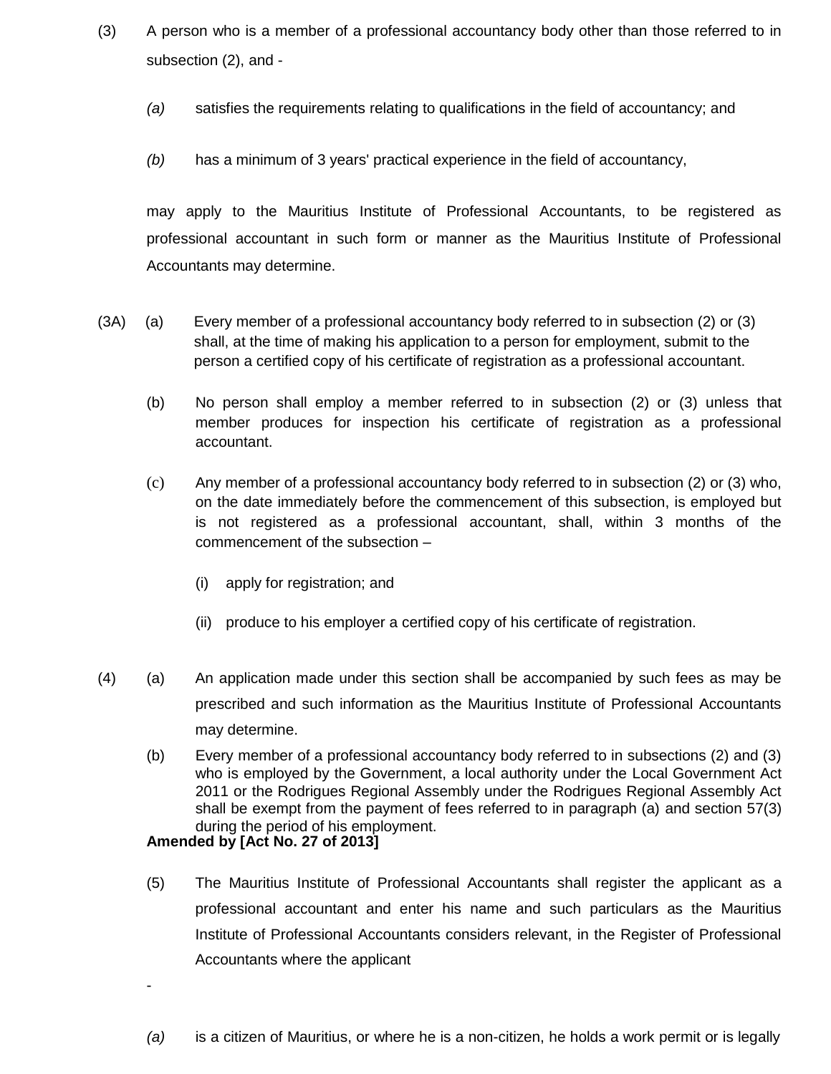- (3) A person who is a member of a professional accountancy body other than those referred to in subsection (2), and -
	- *(a)* satisfies the requirements relating to qualifications in the field of accountancy; and
	- *(b)* has a minimum of 3 years' practical experience in the field of accountancy,

may apply to the Mauritius Institute of Professional Accountants, to be registered as professional accountant in such form or manner as the Mauritius Institute of Professional Accountants may determine.

- (3A) (a) Every member of a professional accountancy body referred to in subsection (2) or (3) shall, at the time of making his application to a person for employment, submit to the person a certified copy of his certificate of registration as a professional accountant.
	- (b) No person shall employ a member referred to in subsection (2) or (3) unless that member produces for inspection his certificate of registration as a professional accountant.
	- (c) Any member of a professional accountancy body referred to in subsection (2) or (3) who, on the date immediately before the commencement of this subsection, is employed but is not registered as a professional accountant, shall, within 3 months of the commencement of the subsection –
		- (i) apply for registration; and
		- (ii) produce to his employer a certified copy of his certificate of registration.
- (4) (a) An application made under this section shall be accompanied by such fees as may be prescribed and such information as the Mauritius Institute of Professional Accountants may determine.
	- (b) Every member of a professional accountancy body referred to in subsections (2) and (3) who is employed by the Government, a local authority under the Local Government Act 2011 or the Rodrigues Regional Assembly under the Rodrigues Regional Assembly Act shall be exempt from the payment of fees referred to in paragraph (a) and section 57(3) during the period of his employment.

### **Amended by [Act No. 27 of 2013]**

-

- (5) The Mauritius Institute of Professional Accountants shall register the applicant as a professional accountant and enter his name and such particulars as the Mauritius Institute of Professional Accountants considers relevant, in the Register of Professional Accountants where the applicant
- *(a)* is a citizen of Mauritius, or where he is a non-citizen, he holds a work permit or is legally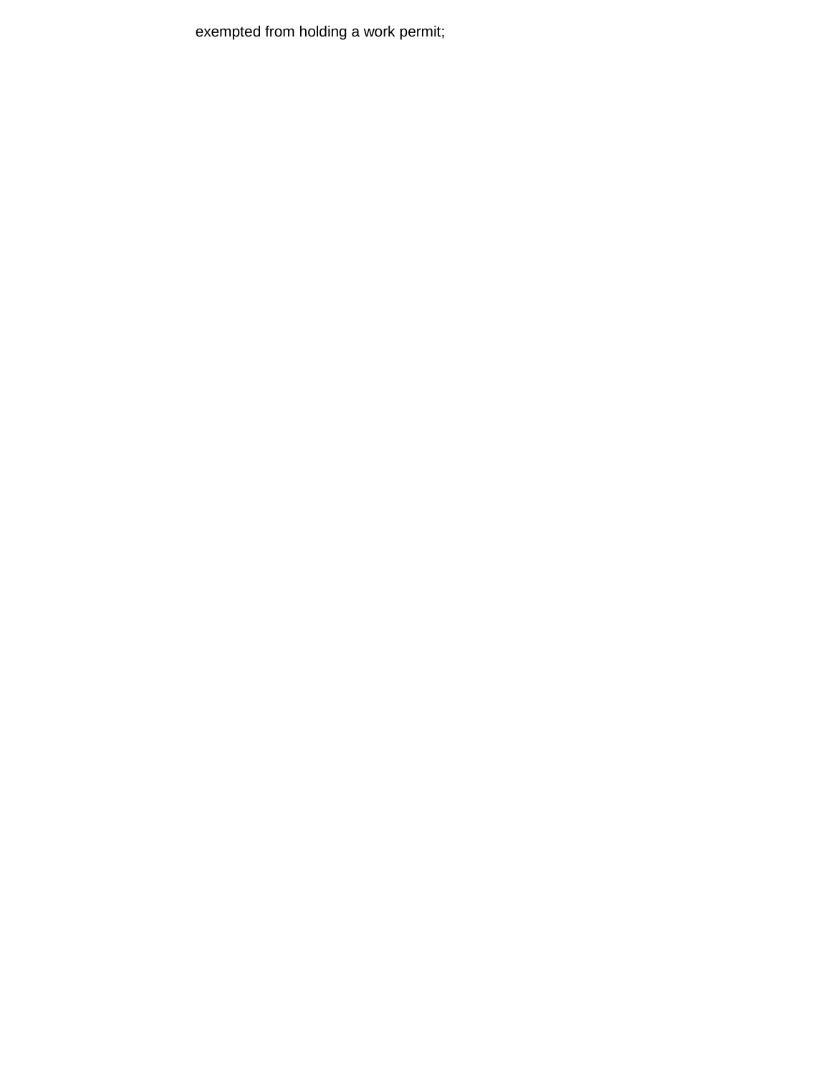exempted from holding a work permit;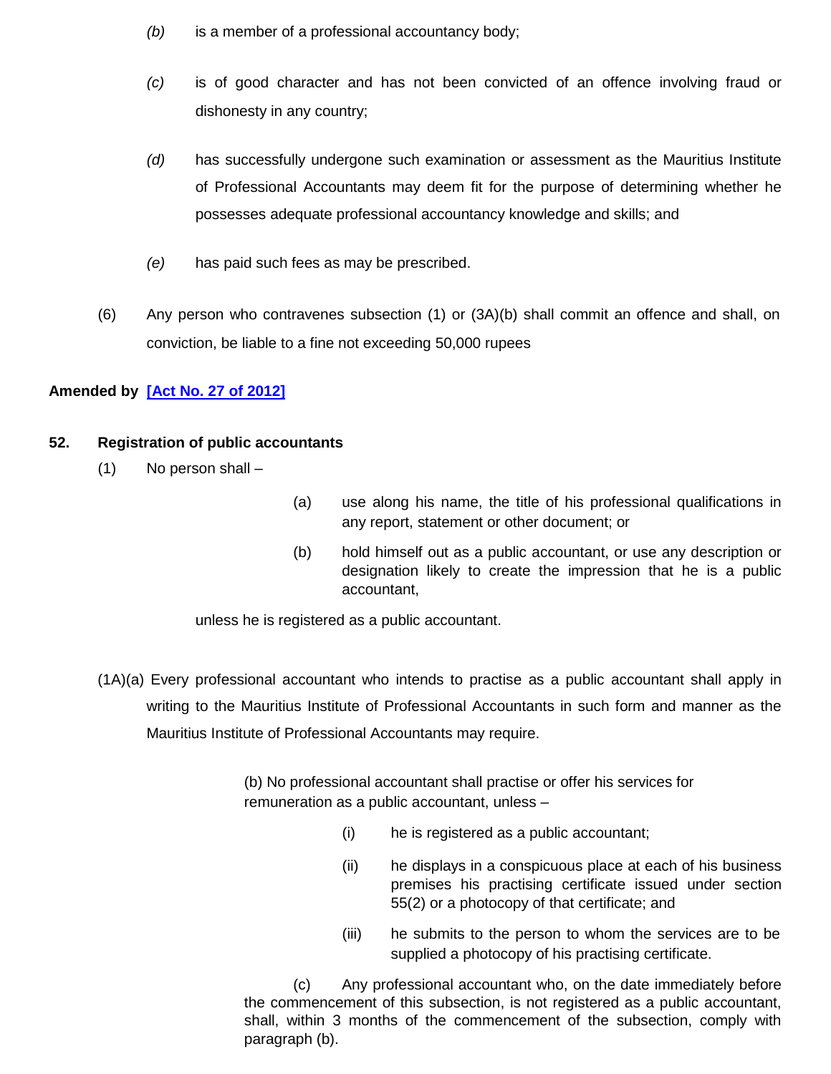- *(b)* is a member of a professional accountancy body;
- *(c)* is of good character and has not been convicted of an offence involving fraud or dishonesty in any country;
- *(d)* has successfully undergone such examination or assessment as the Mauritius Institute of Professional Accountants may deem fit for the purpose of determining whether he possesses adequate professional accountancy knowledge and skills; and
- *(e)* has paid such fees as may be prescribed.
- (6) Any person who contravenes subsection (1) or (3A)(b) shall commit an offence and shall, on conviction, be liable to a fine not exceeding 50,000 rupees

# **Amended by [\[Act No. 27 of 2012\]](http://www.gov.mu/scourt/doc/showDoc.do?dk=Act%20No.%2027%20of%202012&dt=A)**

### **52. Registration of public accountants**

- (1) No person shall –
- (a) use along his name, the title of his professional qualifications in any report, statement or other document; or
- (b) hold himself out as a public accountant, or use any description or designation likely to create the impression that he is a public accountant,

unless he is registered as a public accountant.

(1A)(a) Every professional accountant who intends to practise as a public accountant shall apply in writing to the Mauritius Institute of Professional Accountants in such form and manner as the Mauritius Institute of Professional Accountants may require.

> (b) No professional accountant shall practise or offer his services for remuneration as a public accountant, unless –

- (i) he is registered as a public accountant;
- (ii) he displays in a conspicuous place at each of his business premises his practising certificate issued under section 55(2) or a photocopy of that certificate; and
- (iii) he submits to the person to whom the services are to be supplied a photocopy of his practising certificate.

(c) Any professional accountant who, on the date immediately before the commencement of this subsection, is not registered as a public accountant, shall, within 3 months of the commencement of the subsection, comply with paragraph (b).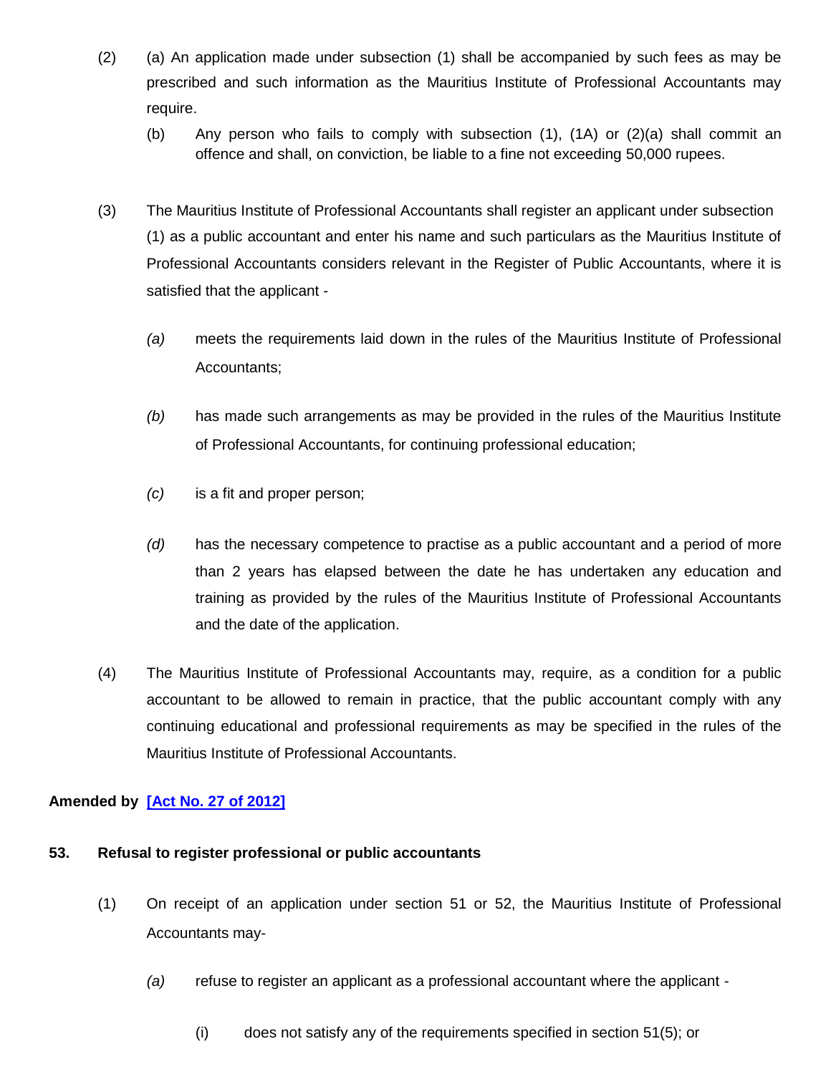- (2) (a) An application made under subsection (1) shall be accompanied by such fees as may be prescribed and such information as the Mauritius Institute of Professional Accountants may require.
	- (b) Any person who fails to comply with subsection (1), (1A) or (2)(a) shall commit an offence and shall, on conviction, be liable to a fine not exceeding 50,000 rupees.
- (3) The Mauritius Institute of Professional Accountants shall register an applicant under subsection (1) as a public accountant and enter his name and such particulars as the Mauritius Institute of Professional Accountants considers relevant in the Register of Public Accountants, where it is satisfied that the applicant -
	- *(a)* meets the requirements laid down in the rules of the Mauritius Institute of Professional Accountants;
	- *(b)* has made such arrangements as may be provided in the rules of the Mauritius Institute of Professional Accountants, for continuing professional education;
	- *(c)* is a fit and proper person;
	- *(d)* has the necessary competence to practise as a public accountant and a period of more than 2 years has elapsed between the date he has undertaken any education and training as provided by the rules of the Mauritius Institute of Professional Accountants and the date of the application.
- (4) The Mauritius Institute of Professional Accountants may, require, as a condition for a public accountant to be allowed to remain in practice, that the public accountant comply with any continuing educational and professional requirements as may be specified in the rules of the Mauritius Institute of Professional Accountants.

# **Amended by [\[Act No. 27 of 2012\]](http://www.gov.mu/scourt/doc/showDoc.do?dk=Act%20No.%2027%20of%202012&dt=A)**

### **53. Refusal to register professional or public accountants**

- (1) On receipt of an application under section 51 or 52, the Mauritius Institute of Professional Accountants may-
	- *(a)* refuse to register an applicant as a professional accountant where the applicant
		- $(i)$  does not satisfy any of the requirements specified in section 51(5); or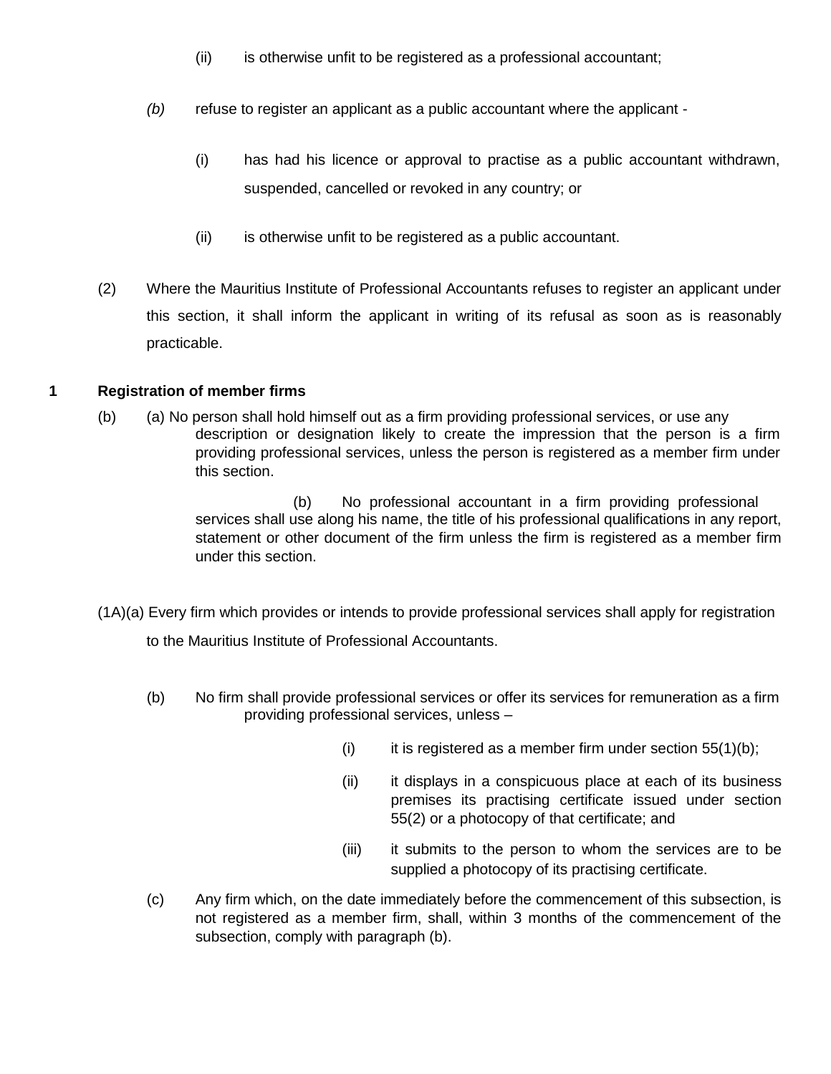- (ii) is otherwise unfit to be registered as a professional accountant;
- *(b)* refuse to register an applicant as a public accountant where the applicant
	- (i) has had his licence or approval to practise as a public accountant withdrawn, suspended, cancelled or revoked in any country; or
	- (ii) is otherwise unfit to be registered as a public accountant.
- (2) Where the Mauritius Institute of Professional Accountants refuses to register an applicant under this section, it shall inform the applicant in writing of its refusal as soon as is reasonably practicable.

# **1 Registration of member firms**

(b) (a) No person shall hold himself out as a firm providing professional services, or use any description or designation likely to create the impression that the person is a firm providing professional services, unless the person is registered as a member firm under this section.

> (b) No professional accountant in a firm providing professional services shall use along his name, the title of his professional qualifications in any report, statement or other document of the firm unless the firm is registered as a member firm under this section.

(1A)(a) Every firm which provides or intends to provide professional services shall apply for registration

to the Mauritius Institute of Professional Accountants.

- (b) No firm shall provide professional services or offer its services for remuneration as a firm providing professional services, unless –
	- (i) it is registered as a member firm under section  $55(1)(b)$ ;
	- (ii) it displays in a conspicuous place at each of its business premises its practising certificate issued under section 55(2) or a photocopy of that certificate; and
	- (iii) it submits to the person to whom the services are to be supplied a photocopy of its practising certificate.
- (c) Any firm which, on the date immediately before the commencement of this subsection, is not registered as a member firm, shall, within 3 months of the commencement of the subsection, comply with paragraph (b).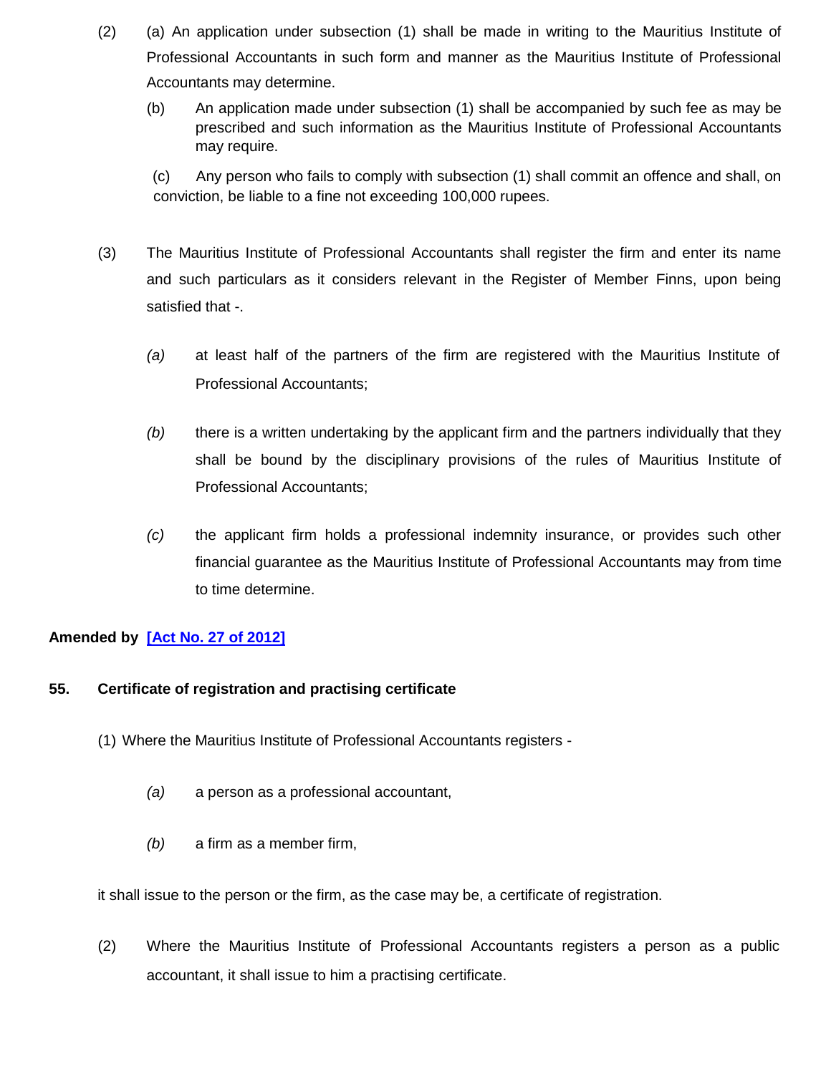- (2) (a) An application under subsection (1) shall be made in writing to the Mauritius Institute of Professional Accountants in such form and manner as the Mauritius Institute of Professional Accountants may determine.
	- (b) An application made under subsection (1) shall be accompanied by such fee as may be prescribed and such information as the Mauritius Institute of Professional Accountants may require.

(c) Any person who fails to comply with subsection (1) shall commit an offence and shall, on conviction, be liable to a fine not exceeding 100,000 rupees.

- (3) The Mauritius Institute of Professional Accountants shall register the firm and enter its name and such particulars as it considers relevant in the Register of Member Finns, upon being satisfied that -.
	- *(a)* at least half of the partners of the firm are registered with the Mauritius Institute of Professional Accountants;
	- *(b)* there is a written undertaking by the applicant firm and the partners individually that they shall be bound by the disciplinary provisions of the rules of Mauritius Institute of Professional Accountants;
	- *(c)* the applicant firm holds a professional indemnity insurance, or provides such other financial guarantee as the Mauritius Institute of Professional Accountants may from time to time determine.

# **Amended by [\[Act No. 27 of 2012\]](http://www.gov.mu/scourt/doc/showDoc.do?dk=Act%20No.%2027%20of%202012&dt=A)**

### **55. Certificate of registration and practising certificate**

- (1) Where the Mauritius Institute of Professional Accountants registers
	- *(a)* a person as a professional accountant,
	- *(b)* a firm as a member firm,

it shall issue to the person or the firm, as the case may be, a certificate of registration.

(2) Where the Mauritius Institute of Professional Accountants registers a person as a public accountant, it shall issue to him a practising certificate.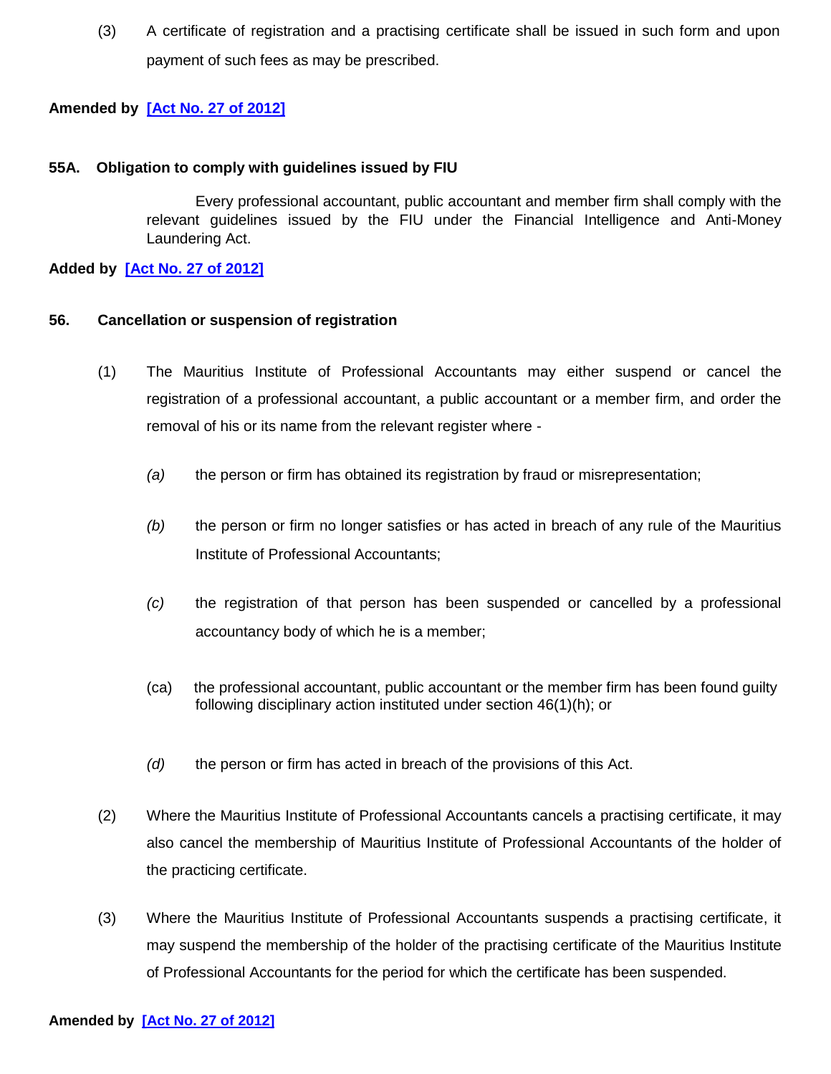(3) A certificate of registration and a practising certificate shall be issued in such form and upon payment of such fees as may be prescribed.

### **Amended by [\[Act No. 27 of 2012\]](http://www.gov.mu/scourt/doc/showDoc.do?dk=Act%20No.%2027%20of%202012&dt=A)**

#### **55A. Obligation to comply with guidelines issued by FIU**

Every professional accountant, public accountant and member firm shall comply with the relevant guidelines issued by the FIU under the Financial Intelligence and Anti-Money Laundering Act.

**Added by [\[Act No. 27 of 2012\]](http://www.gov.mu/scourt/doc/showDoc.do?dk=Act%20No.%2027%20of%202012&dt=A)**

#### **56. Cancellation or suspension of registration**

- (1) The Mauritius Institute of Professional Accountants may either suspend or cancel the registration of a professional accountant, a public accountant or a member firm, and order the removal of his or its name from the relevant register where -
	- *(a)* the person or firm has obtained its registration by fraud or misrepresentation;
	- *(b)* the person or firm no longer satisfies or has acted in breach of any rule of the Mauritius Institute of Professional Accountants;
	- *(c)* the registration of that person has been suspended or cancelled by a professional accountancy body of which he is a member;
	- (ca) the professional accountant, public accountant or the member firm has been found guilty following disciplinary action instituted under section 46(1)(h); or
	- *(d)* the person or firm has acted in breach of the provisions of this Act.
- (2) Where the Mauritius Institute of Professional Accountants cancels a practising certificate, it may also cancel the membership of Mauritius Institute of Professional Accountants of the holder of the practicing certificate.
- (3) Where the Mauritius Institute of Professional Accountants suspends a practising certificate, it may suspend the membership of the holder of the practising certificate of the Mauritius Institute of Professional Accountants for the period for which the certificate has been suspended.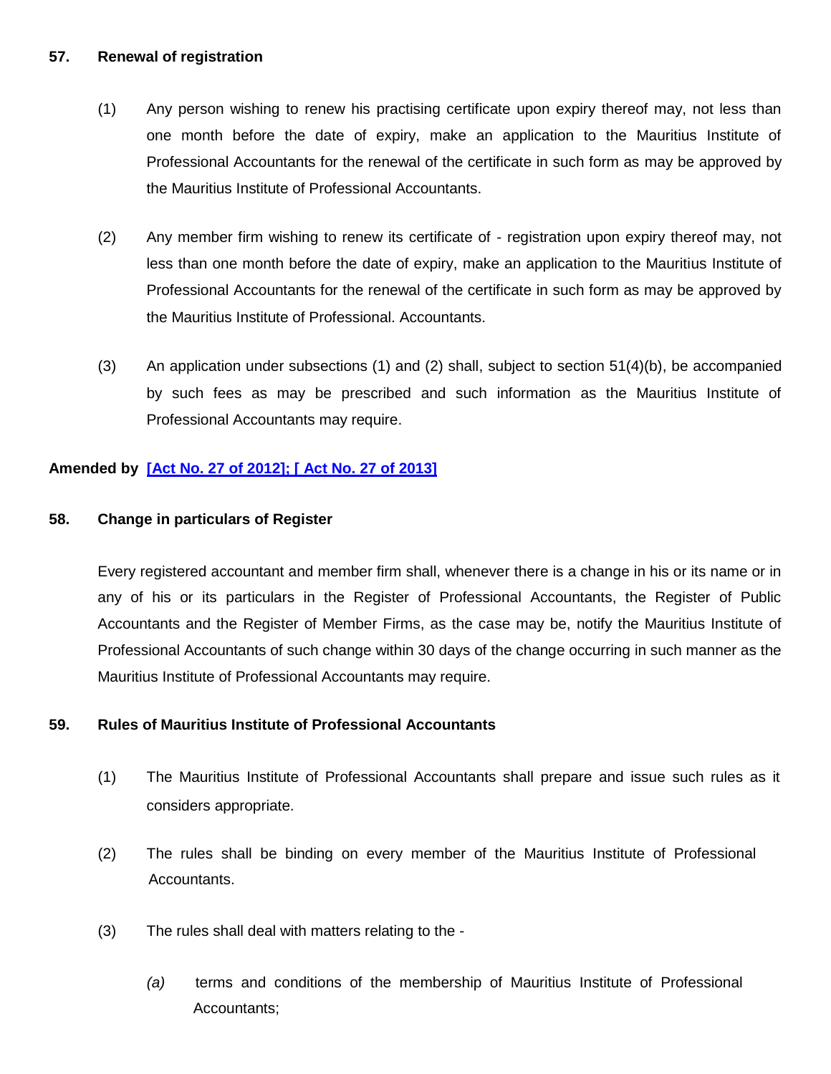#### **57. Renewal of registration**

- (1) Any person wishing to renew his practising certificate upon expiry thereof may, not less than one month before the date of expiry, make an application to the Mauritius Institute of Professional Accountants for the renewal of the certificate in such form as may be approved by the Mauritius Institute of Professional Accountants.
- (2) Any member firm wishing to renew its certificate of registration upon expiry thereof may, not less than one month before the date of expiry, make an application to the Mauritius Institute of Professional Accountants for the renewal of the certificate in such form as may be approved by the Mauritius Institute of Professional. Accountants.
- (3) An application under subsections (1) and (2) shall, subject to section 51(4)(b), be accompanied by such fees as may be prescribed and such information as the Mauritius Institute of Professional Accountants may require.

### **Amended by [\[Act No. 27 of 2012\]](http://www.gov.mu/scourt/doc/showDoc.do?dk=Act%20No.%2027%20of%202012&dt=A); [ Act No. 27 of 2013]**

#### **58. Change in particulars of Register**

Every registered accountant and member firm shall, whenever there is a change in his or its name or in any of his or its particulars in the Register of Professional Accountants, the Register of Public Accountants and the Register of Member Firms, as the case may be, notify the Mauritius Institute of Professional Accountants of such change within 30 days of the change occurring in such manner as the Mauritius Institute of Professional Accountants may require.

### **59. Rules of Mauritius Institute of Professional Accountants**

- (1) The Mauritius Institute of Professional Accountants shall prepare and issue such rules as it considers appropriate.
- (2) The rules shall be binding on every member of the Mauritius Institute of Professional Accountants.
- (3) The rules shall deal with matters relating to the
	- *(a)* terms and conditions of the membership of Mauritius Institute of Professional Accountants;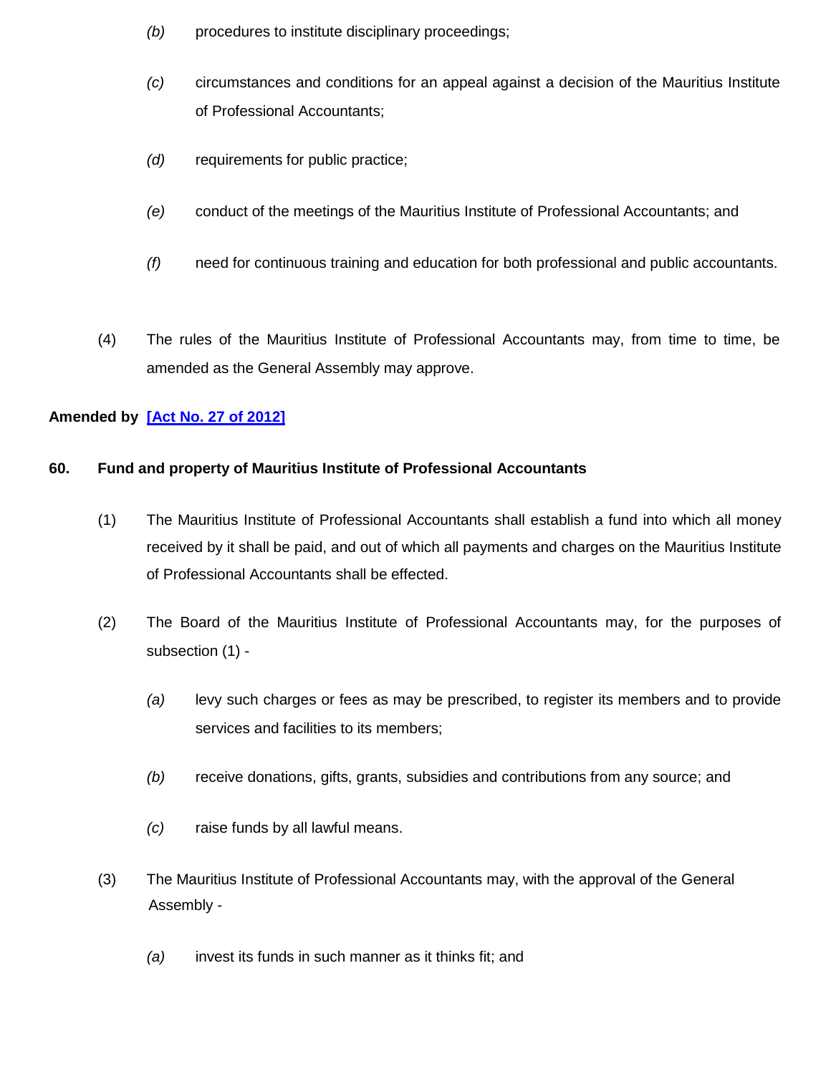- *(b)* procedures to institute disciplinary proceedings;
- *(c)* circumstances and conditions for an appeal against a decision of the Mauritius Institute of Professional Accountants;
- *(d)* requirements for public practice;
- *(e)* conduct of the meetings of the Mauritius Institute of Professional Accountants; and
- *(f)* need for continuous training and education for both professional and public accountants.
- (4) The rules of the Mauritius Institute of Professional Accountants may, from time to time, be amended as the General Assembly may approve.

### **Amended by [\[Act No. 27 of 2012\]](http://www.gov.mu/scourt/doc/showDoc.do?dk=Act%20No.%2027%20of%202012&dt=A)**

#### **60. Fund and property of Mauritius Institute of Professional Accountants**

- (1) The Mauritius Institute of Professional Accountants shall establish a fund into which all money received by it shall be paid, and out of which all payments and charges on the Mauritius Institute of Professional Accountants shall be effected.
- (2) The Board of the Mauritius Institute of Professional Accountants may, for the purposes of subsection (1) -
	- *(a)* levy such charges or fees as may be prescribed, to register its members and to provide services and facilities to its members;
	- *(b)* receive donations, gifts, grants, subsidies and contributions from any source; and
	- *(c)* raise funds by all lawful means.
- (3) The Mauritius Institute of Professional Accountants may, with the approval of the General Assembly -
	- *(a)* invest its funds in such manner as it thinks fit; and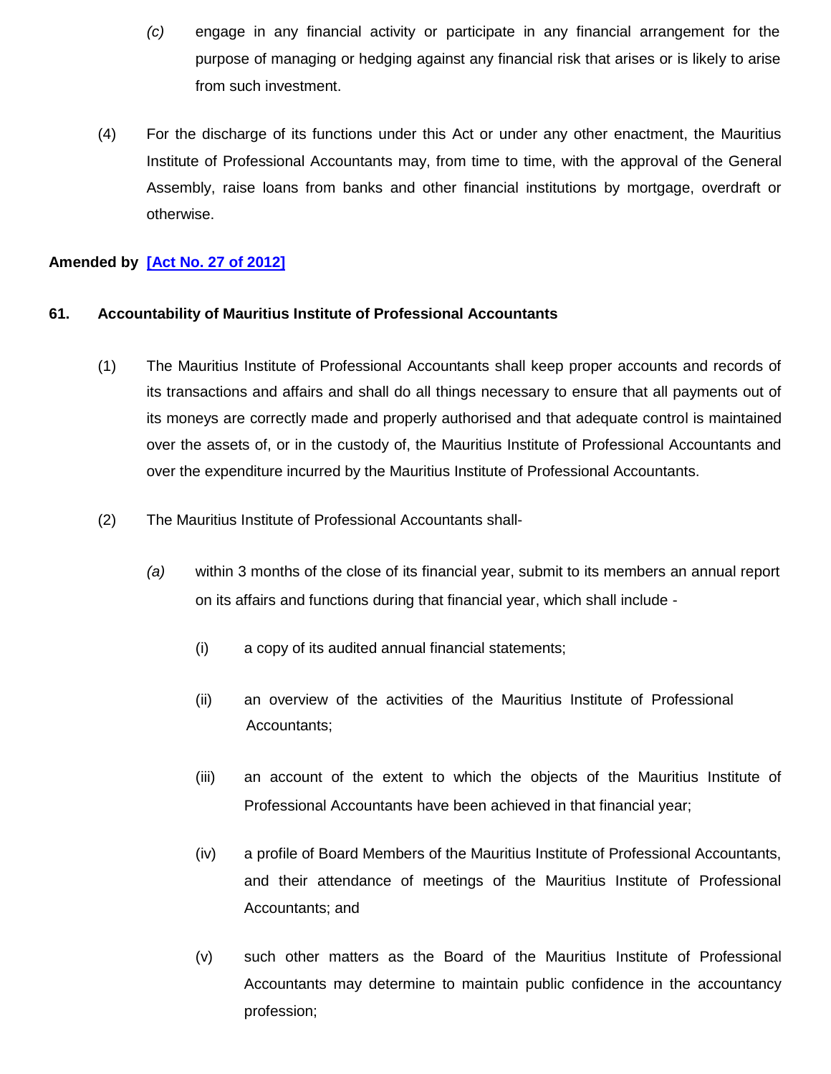- *(c)* engage in any financial activity or participate in any financial arrangement for the purpose of managing or hedging against any financial risk that arises or is likely to arise from such investment.
- (4) For the discharge of its functions under this Act or under any other enactment, the Mauritius Institute of Professional Accountants may, from time to time, with the approval of the General Assembly, raise loans from banks and other financial institutions by mortgage, overdraft or otherwise.

### **Amended by [\[Act No. 27 of 2012\]](http://www.gov.mu/scourt/doc/showDoc.do?dk=Act%20No.%2027%20of%202012&dt=A)**

#### **61. Accountability of Mauritius Institute of Professional Accountants**

- (1) The Mauritius Institute of Professional Accountants shall keep proper accounts and records of its transactions and affairs and shall do all things necessary to ensure that all payments out of its moneys are correctly made and properly authorised and that adequate control is maintained over the assets of, or in the custody of, the Mauritius Institute of Professional Accountants and over the expenditure incurred by the Mauritius Institute of Professional Accountants.
- (2) The Mauritius Institute of Professional Accountants shall-
	- *(a)* within 3 months of the close of its financial year, submit to its members an annual report on its affairs and functions during that financial year, which shall include -
		- (i) a copy of its audited annual financial statements;
		- (ii) an overview of the activities of the Mauritius Institute of Professional Accountants;
		- (iii) an account of the extent to which the objects of the Mauritius Institute of Professional Accountants have been achieved in that financial year;
		- (iv) a profile of Board Members of the Mauritius Institute of Professional Accountants, and their attendance of meetings of the Mauritius Institute of Professional Accountants; and
		- (v) such other matters as the Board of the Mauritius Institute of Professional Accountants may determine to maintain public confidence in the accountancy profession;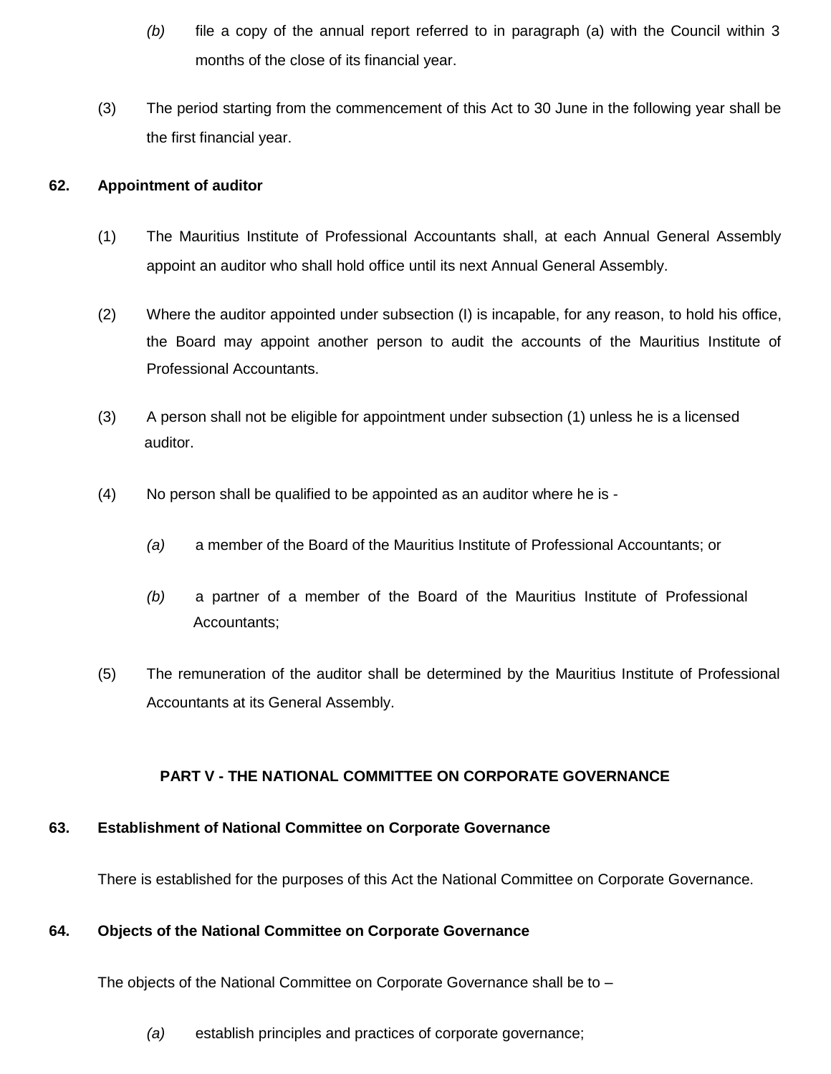- *(b)* file a copy of the annual report referred to in paragraph (a) with the Council within 3 months of the close of its financial year.
- (3) The period starting from the commencement of this Act to 30 June in the following year shall be the first financial year.

### **62. Appointment of auditor**

- (1) The Mauritius Institute of Professional Accountants shall, at each Annual General Assembly appoint an auditor who shall hold office until its next Annual General Assembly.
- (2) Where the auditor appointed under subsection (I) is incapable, for any reason, to hold his office, the Board may appoint another person to audit the accounts of the Mauritius Institute of Professional Accountants.
- (3) A person shall not be eligible for appointment under subsection (1) unless he is a licensed auditor.
- (4) No person shall be qualified to be appointed as an auditor where he is
	- *(a)* a member of the Board of the Mauritius Institute of Professional Accountants; or
	- *(b)* a partner of a member of the Board of the Mauritius Institute of Professional Accountants;
- (5) The remuneration of the auditor shall be determined by the Mauritius Institute of Professional Accountants at its General Assembly.

#### **PART V - THE NATIONAL COMMITTEE ON CORPORATE GOVERNANCE**

#### **63. Establishment of National Committee on Corporate Governance**

There is established for the purposes of this Act the National Committee on Corporate Governance.

#### **64. Objects of the National Committee on Corporate Governance**

The objects of the National Committee on Corporate Governance shall be to –

*(a)* establish principles and practices of corporate governance;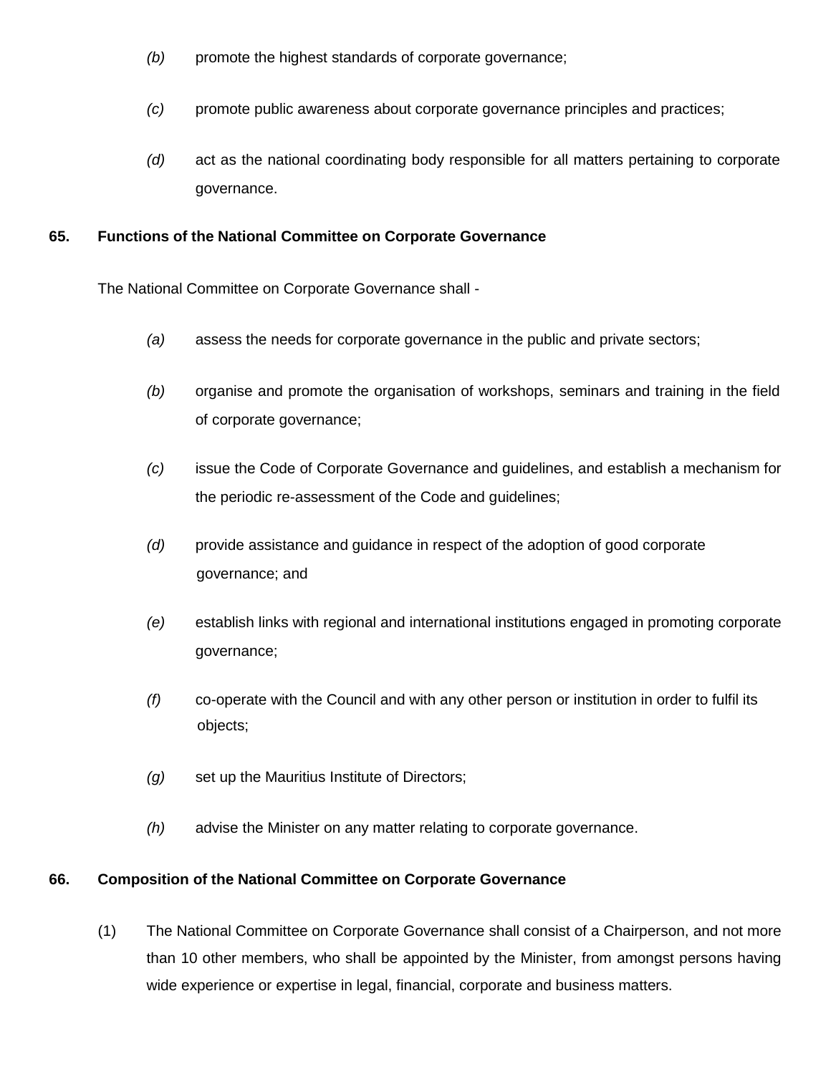- *(b)* promote the highest standards of corporate governance;
- *(c)* promote public awareness about corporate governance principles and practices;
- *(d)* act as the national coordinating body responsible for all matters pertaining to corporate governance.

#### **65. Functions of the National Committee on Corporate Governance**

The National Committee on Corporate Governance shall -

- *(a)* assess the needs for corporate governance in the public and private sectors;
- *(b)* organise and promote the organisation of workshops, seminars and training in the field of corporate governance;
- *(c)* issue the Code of Corporate Governance and guidelines, and establish a mechanism for the periodic re-assessment of the Code and guidelines;
- *(d)* provide assistance and guidance in respect of the adoption of good corporate governance; and
- *(e)* establish links with regional and international institutions engaged in promoting corporate governance;
- *(f)* co-operate with the Council and with any other person or institution in order to fulfil its objects;
- *(g)* set up the Mauritius Institute of Directors;
- *(h)* advise the Minister on any matter relating to corporate governance.

#### **66. Composition of the National Committee on Corporate Governance**

(1) The National Committee on Corporate Governance shall consist of a Chairperson, and not more than 10 other members, who shall be appointed by the Minister, from amongst persons having wide experience or expertise in legal, financial, corporate and business matters.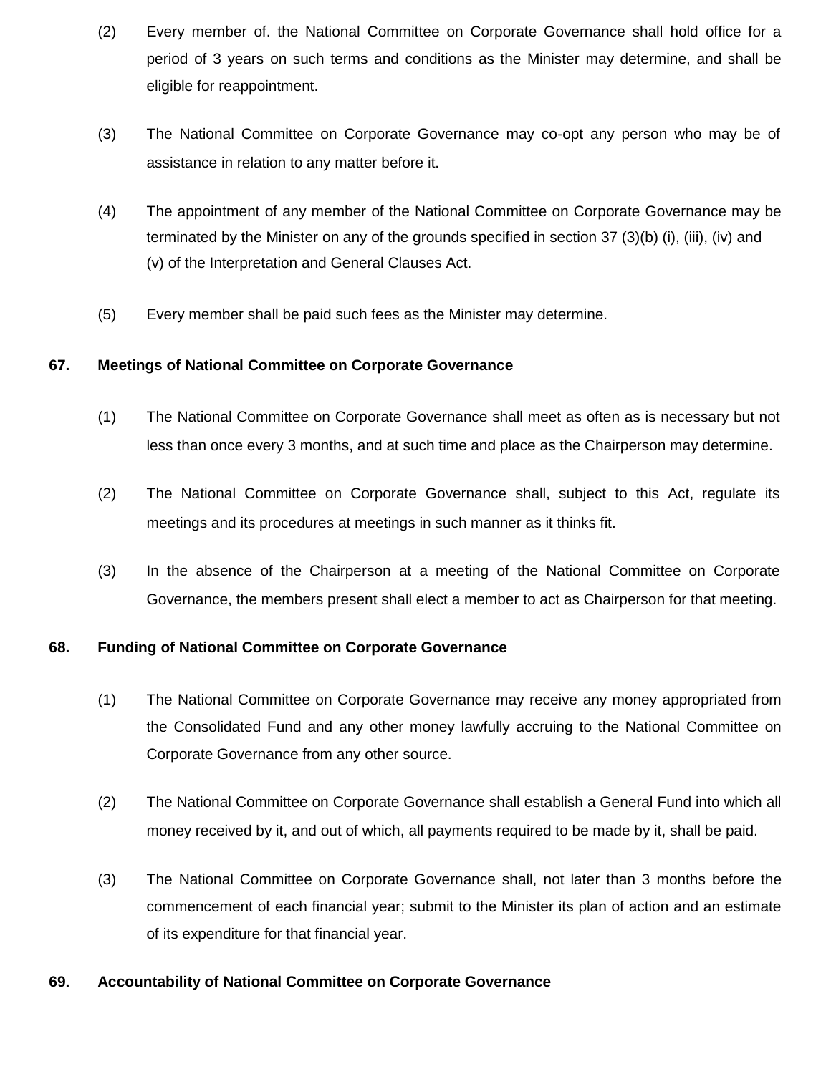- (2) Every member of. the National Committee on Corporate Governance shall hold office for a period of 3 years on such terms and conditions as the Minister may determine, and shall be eligible for reappointment.
- (3) The National Committee on Corporate Governance may co-opt any person who may be of assistance in relation to any matter before it.
- (4) The appointment of any member of the National Committee on Corporate Governance may be terminated by the Minister on any of the grounds specified in section 37 (3)(b) (i), (iii), (iv) and (v) of the Interpretation and General Clauses Act.
- (5) Every member shall be paid such fees as the Minister may determine.

#### **67. Meetings of National Committee on Corporate Governance**

- (1) The National Committee on Corporate Governance shall meet as often as is necessary but not less than once every 3 months, and at such time and place as the Chairperson may determine.
- (2) The National Committee on Corporate Governance shall, subject to this Act, regulate its meetings and its procedures at meetings in such manner as it thinks fit.
- (3) In the absence of the Chairperson at a meeting of the National Committee on Corporate Governance, the members present shall elect a member to act as Chairperson for that meeting.

#### **68. Funding of National Committee on Corporate Governance**

- (1) The National Committee on Corporate Governance may receive any money appropriated from the Consolidated Fund and any other money lawfully accruing to the National Committee on Corporate Governance from any other source.
- (2) The National Committee on Corporate Governance shall establish a General Fund into which all money received by it, and out of which, all payments required to be made by it, shall be paid.
- (3) The National Committee on Corporate Governance shall, not later than 3 months before the commencement of each financial year; submit to the Minister its plan of action and an estimate of its expenditure for that financial year.

#### **69. Accountability of National Committee on Corporate Governance**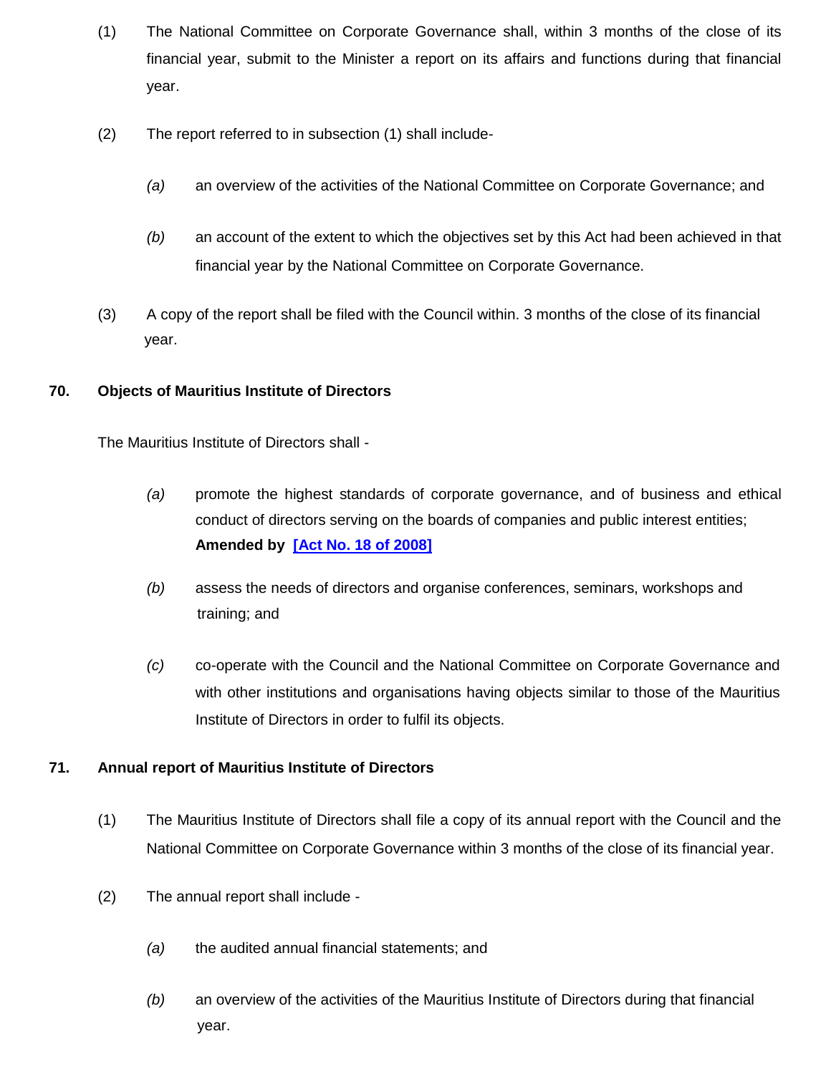- (1) The National Committee on Corporate Governance shall, within 3 months of the close of its financial year, submit to the Minister a report on its affairs and functions during that financial year.
- (2) The report referred to in subsection (1) shall include-
	- *(a)* an overview of the activities of the National Committee on Corporate Governance; and
	- *(b)* an account of the extent to which the objectives set by this Act had been achieved in that financial year by the National Committee on Corporate Governance.
- (3) A copy of the report shall be filed with the Council within. 3 months of the close of its financial year.

#### **70. Objects of Mauritius Institute of Directors**

The Mauritius Institute of Directors shall -

- *(a)* promote the highest standards of corporate governance, and of business and ethical conduct of directors serving on the boards of companies and public interest entities; **Amended by [\[Act No. 18 of 2008\]](http://www.gov.mu/scourt/doc/showDoc.do?dk=Act%20No.%2018%20of%202008&dt=A)**
- *(b)* assess the needs of directors and organise conferences, seminars, workshops and training; and
- *(c)* co-operate with the Council and the National Committee on Corporate Governance and with other institutions and organisations having objects similar to those of the Mauritius Institute of Directors in order to fulfil its objects.

### **71. Annual report of Mauritius Institute of Directors**

- (1) The Mauritius Institute of Directors shall file a copy of its annual report with the Council and the National Committee on Corporate Governance within 3 months of the close of its financial year.
- (2) The annual report shall include
	- *(a)* the audited annual financial statements; and
	- *(b)* an overview of the activities of the Mauritius Institute of Directors during that financial year.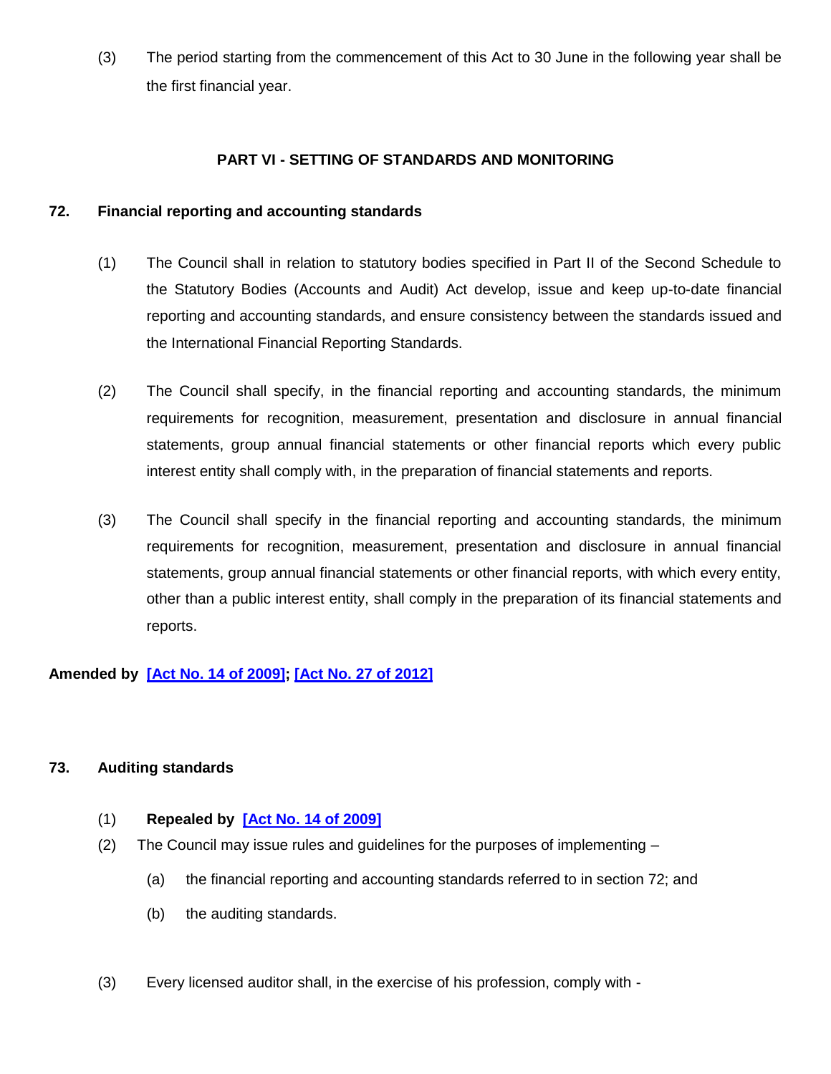(3) The period starting from the commencement of this Act to 30 June in the following year shall be the first financial year.

### **PART VI - SETTING OF STANDARDS AND MONITORING**

### **72. Financial reporting and accounting standards**

- (1) The Council shall in relation to statutory bodies specified in Part II of the Second Schedule to the Statutory Bodies (Accounts and Audit) Act develop, issue and keep up-to-date financial reporting and accounting standards, and ensure consistency between the standards issued and the International Financial Reporting Standards.
- (2) The Council shall specify, in the financial reporting and accounting standards, the minimum requirements for recognition, measurement, presentation and disclosure in annual financial statements, group annual financial statements or other financial reports which every public interest entity shall comply with, in the preparation of financial statements and reports.
- (3) The Council shall specify in the financial reporting and accounting standards, the minimum requirements for recognition, measurement, presentation and disclosure in annual financial statements, group annual financial statements or other financial reports, with which every entity, other than a public interest entity, shall comply in the preparation of its financial statements and reports.

# **Amended by [\[Act No. 14 of 2009\]](http://www.gov.mu/scourt/doc/showDoc.do?dk=Act%20No.%2014%20of%202009&dt=A); [\[Act No. 27 of 2012\]](http://www.gov.mu/scourt/doc/showDoc.do?dk=Act%20No.%2027%20of%202012&dt=A)**

### **73. Auditing standards**

- (1) **Repealed by [\[Act No. 14 of 2009\]](http://www.gov.mu/scourt/doc/showDoc.do?dk=Act%20No.%2014%20of%202009&dt=A)**
- (2) The Council may issue rules and guidelines for the purposes of implementing
	- (a) the financial reporting and accounting standards referred to in section 72; and
	- (b) the auditing standards.
- (3) Every licensed auditor shall, in the exercise of his profession, comply with -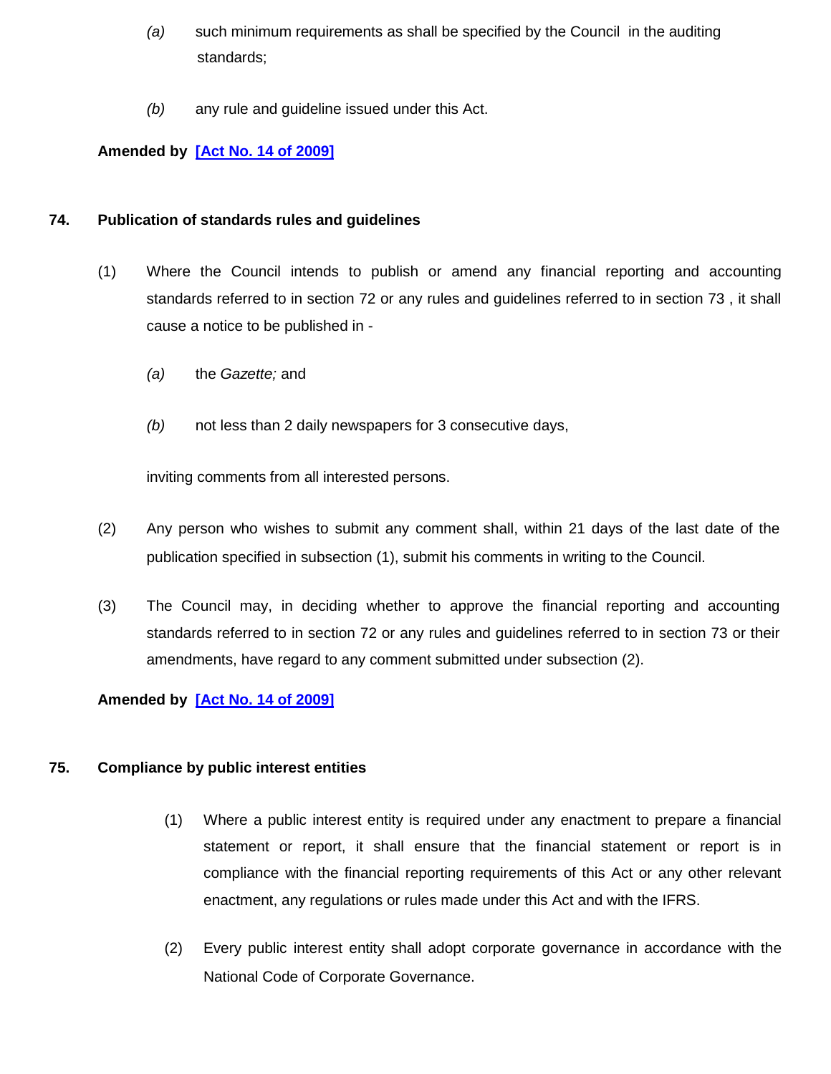- *(a)* such minimum requirements as shall be specified by the Council in the auditing standards;
- *(b)* any rule and guideline issued under this Act.

# **Amended by [\[Act No. 14 of 2009\]](http://www.gov.mu/scourt/doc/showDoc.do?dk=Act%20No.%2014%20of%202009&dt=A)**

### **74. Publication of standards rules and guidelines**

- (1) Where the Council intends to publish or amend any financial reporting and accounting standards referred to in section 72 or any rules and guidelines referred to in section 73 , it shall cause a notice to be published in -
	- *(a)* the *Gazette;* and
	- *(b)* not less than 2 daily newspapers for 3 consecutive days,

inviting comments from all interested persons.

- (2) Any person who wishes to submit any comment shall, within 21 days of the last date of the publication specified in subsection (1), submit his comments in writing to the Council.
- (3) The Council may, in deciding whether to approve the financial reporting and accounting standards referred to in section 72 or any rules and guidelines referred to in section 73 or their amendments, have regard to any comment submitted under subsection (2).

# **Amended by [\[Act No. 14 of 2009\]](http://www.gov.mu/scourt/doc/showDoc.do?dk=Act%20No.%2014%20of%202009&dt=A)**

### **75. Compliance by public interest entities**

- (1) Where a public interest entity is required under any enactment to prepare a financial statement or report, it shall ensure that the financial statement or report is in compliance with the financial reporting requirements of this Act or any other relevant enactment, any regulations or rules made under this Act and with the IFRS.
- (2) Every public interest entity shall adopt corporate governance in accordance with the National Code of Corporate Governance.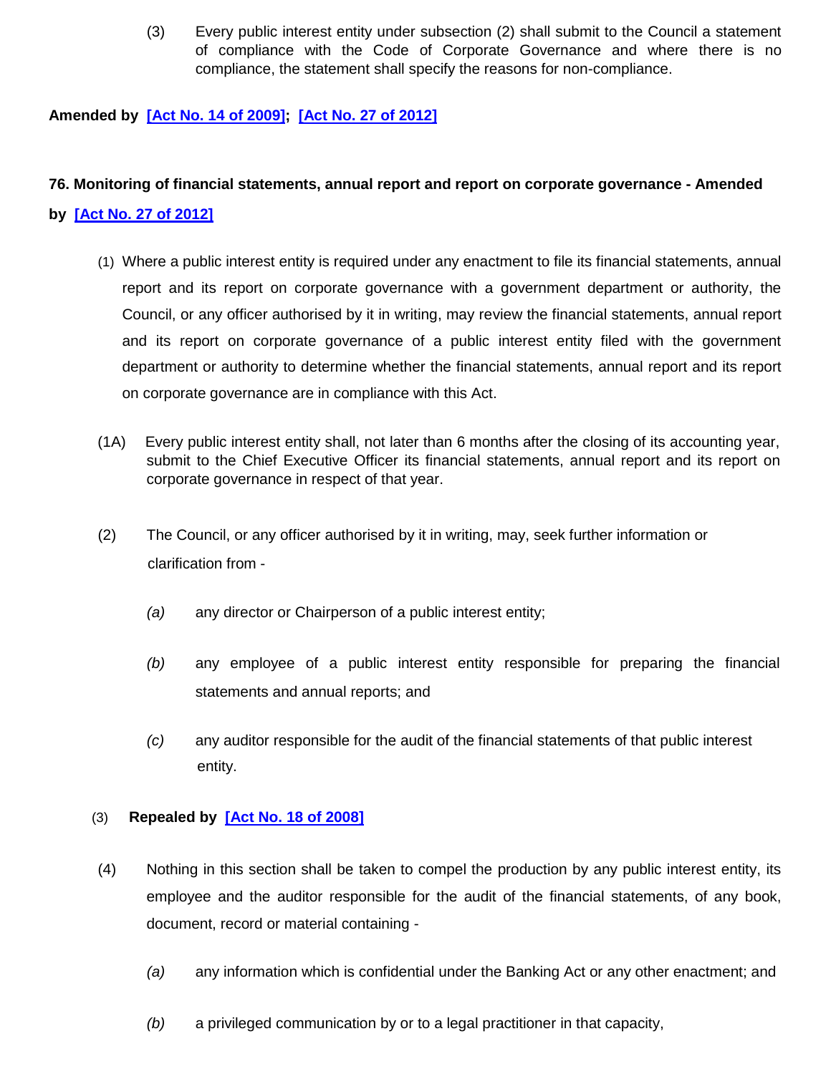(3) Every public interest entity under subsection (2) shall submit to the Council a statement of compliance with the Code of Corporate Governance and where there is no compliance, the statement shall specify the reasons for non-compliance.

### **Amended by [\[Act No. 14 of 2009\]](http://www.gov.mu/scourt/doc/showDoc.do?dk=Act%20No.%2014%20of%202009&dt=A); [\[Act No. 27 of 2012\]](http://www.gov.mu/scourt/doc/showDoc.do?dk=Act%20No.%2027%20of%202012&dt=A)**

### **76. Monitoring of financial statements, annual report and report on corporate governance - Amended**

#### **by [\[Act No. 27 of 2012\]](http://www.gov.mu/scourt/doc/showDoc.do?dk=Act%20No.%2027%20of%202012&dt=A)**

- (1) Where a public interest entity is required under any enactment to file its financial statements, annual report and its report on corporate governance with a government department or authority, the Council, or any officer authorised by it in writing, may review the financial statements, annual report and its report on corporate governance of a public interest entity filed with the government department or authority to determine whether the financial statements, annual report and its report on corporate governance are in compliance with this Act.
- (1A) Every public interest entity shall, not later than 6 months after the closing of its accounting year, submit to the Chief Executive Officer its financial statements, annual report and its report on corporate governance in respect of that year.
- (2) The Council, or any officer authorised by it in writing, may, seek further information or clarification from -
	- *(a)* any director or Chairperson of a public interest entity;
	- *(b)* any employee of a public interest entity responsible for preparing the financial statements and annual reports; and
	- *(c)* any auditor responsible for the audit of the financial statements of that public interest entity.

### (3) **Repealed by [\[Act No. 18 of 2008\]](http://www.gov.mu/scourt/doc/showDoc.do?dk=Act%20No.%2018%20of%202008&dt=A)**

- (4) Nothing in this section shall be taken to compel the production by any public interest entity, its employee and the auditor responsible for the audit of the financial statements, of any book, document, record or material containing -
	- *(a)* any information which is confidential under the Banking Act or any other enactment; and
	- *(b)* a privileged communication by or to a legal practitioner in that capacity,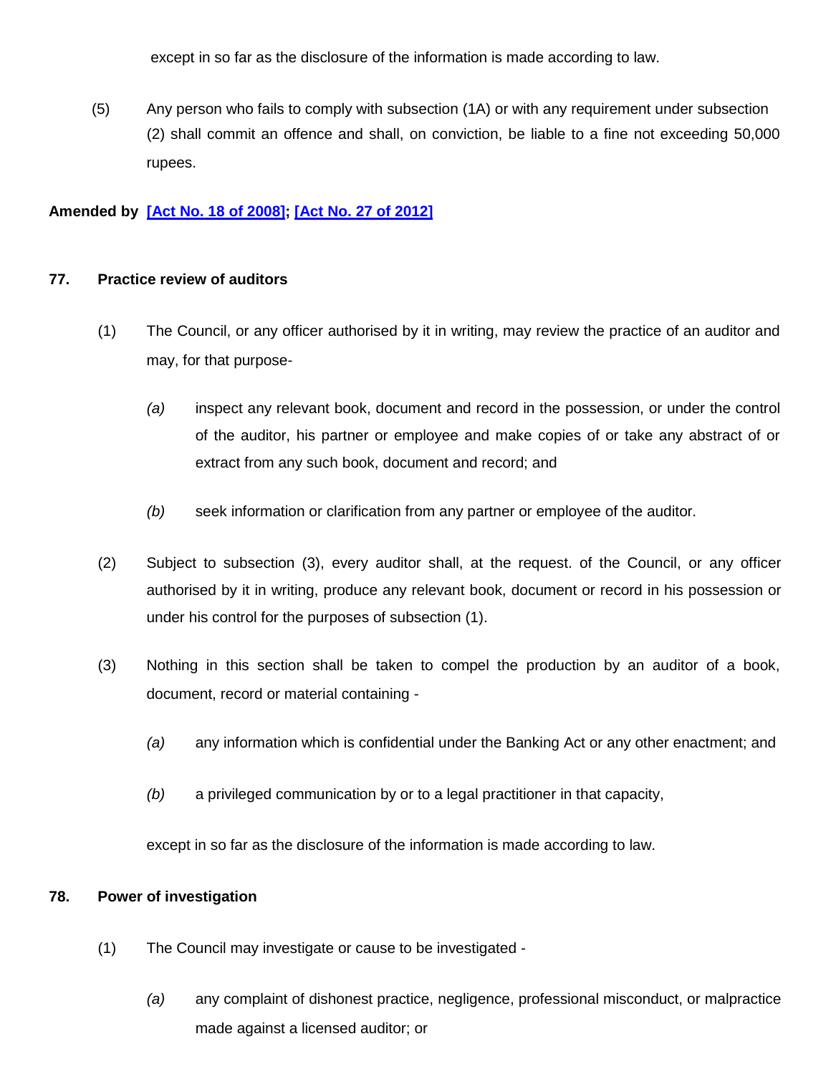except in so far as the disclosure of the information is made according to law.

(5) Any person who fails to comply with subsection (1A) or with any requirement under subsection (2) shall commit an offence and shall, on conviction, be liable to a fine not exceeding 50,000 rupees.

### **Amended by [\[Act No. 18 of 2008\]](http://www.gov.mu/scourt/doc/showDoc.do?dk=Act%20No.%2018%20of%202008&dt=A); [\[Act No. 27 of 2012\]](http://www.gov.mu/scourt/doc/showDoc.do?dk=Act%20No.%2027%20of%202012&dt=A)**

### **77. Practice review of auditors**

- (1) The Council, or any officer authorised by it in writing, may review the practice of an auditor and may, for that purpose-
	- *(a)* inspect any relevant book, document and record in the possession, or under the control of the auditor, his partner or employee and make copies of or take any abstract of or extract from any such book, document and record; and
	- *(b)* seek information or clarification from any partner or employee of the auditor.
- (2) Subject to subsection (3), every auditor shall, at the request. of the Council, or any officer authorised by it in writing, produce any relevant book, document or record in his possession or under his control for the purposes of subsection (1).
- (3) Nothing in this section shall be taken to compel the production by an auditor of a book, document, record or material containing -
	- *(a)* any information which is confidential under the Banking Act or any other enactment; and
	- *(b)* a privileged communication by or to a legal practitioner in that capacity,

except in so far as the disclosure of the information is made according to law.

### **78. Power of investigation**

- (1) The Council may investigate or cause to be investigated
	- *(a)* any complaint of dishonest practice, negligence, professional misconduct, or malpractice made against a licensed auditor; or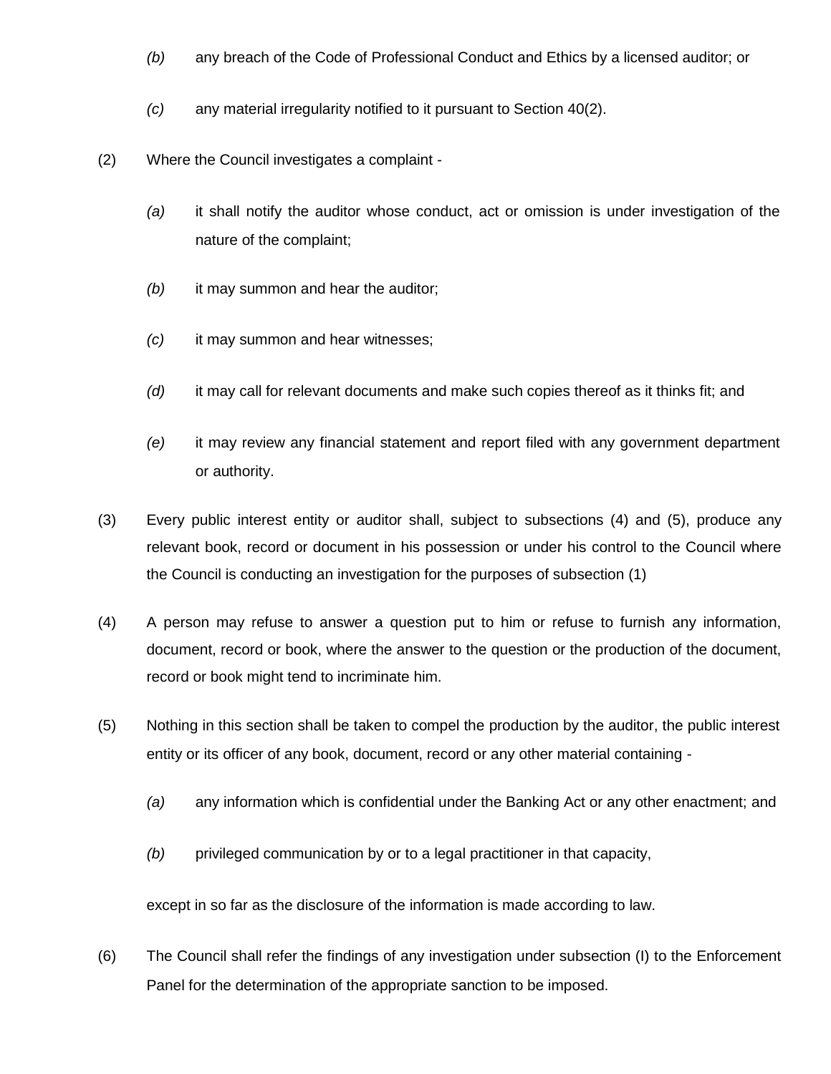- *(b)* any breach of the Code of Professional Conduct and Ethics by a licensed auditor; or
- *(c)* any material irregularity notified to it pursuant to Section 40(2).
- (2) Where the Council investigates a complaint
	- *(a)* it shall notify the auditor whose conduct, act or omission is under investigation of the nature of the complaint;
	- *(b)* it may summon and hear the auditor;
	- *(c)* it may summon and hear witnesses;
	- *(d)* it may call for relevant documents and make such copies thereof as it thinks fit; and
	- *(e)* it may review any financial statement and report filed with any government department or authority.
- (3) Every public interest entity or auditor shall, subject to subsections (4) and (5), produce any relevant book, record or document in his possession or under his control to the Council where the Council is conducting an investigation for the purposes of subsection (1)
- (4) A person may refuse to answer a question put to him or refuse to furnish any information, document, record or book, where the answer to the question or the production of the document, record or book might tend to incriminate him.
- (5) Nothing in this section shall be taken to compel the production by the auditor, the public interest entity or its officer of any book, document, record or any other material containing -
	- *(a)* any information which is confidential under the Banking Act or any other enactment; and
	- *(b)* privileged communication by or to a legal practitioner in that capacity,

except in so far as the disclosure of the information is made according to law.

(6) The Council shall refer the findings of any investigation under subsection (I) to the Enforcement Panel for the determination of the appropriate sanction to be imposed.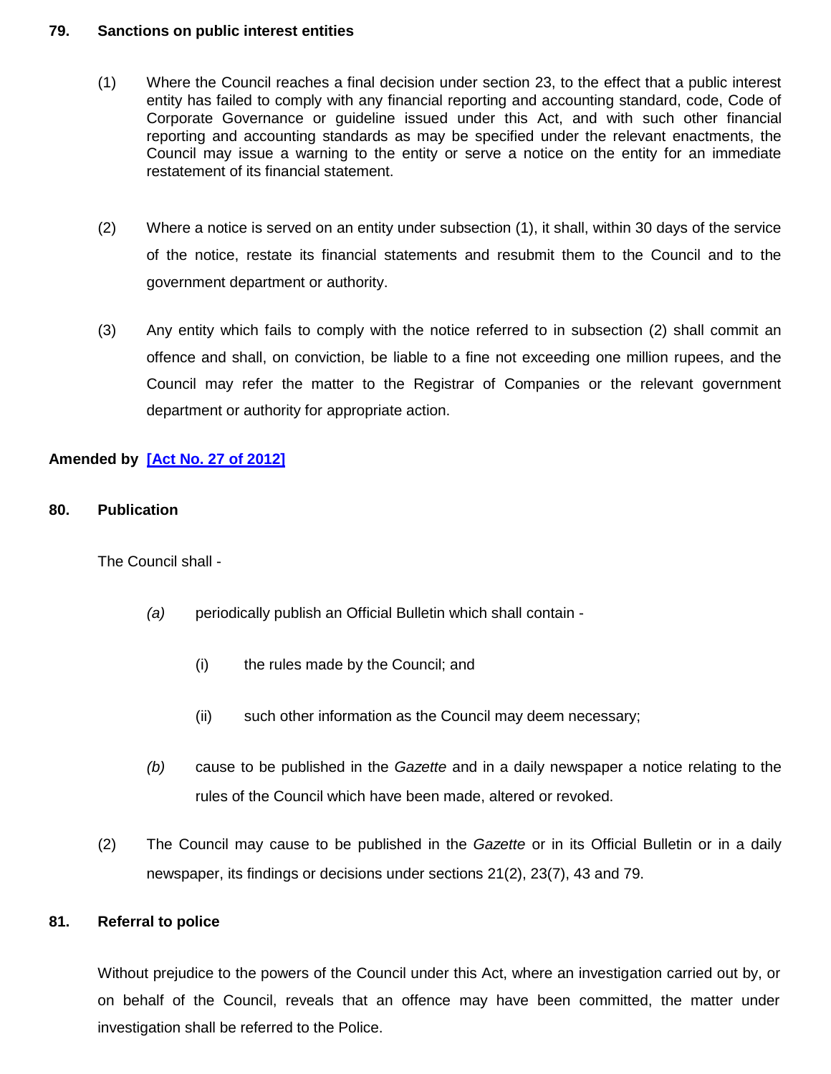#### **79. Sanctions on public interest entities**

- (1) Where the Council reaches a final decision under section 23, to the effect that a public interest entity has failed to comply with any financial reporting and accounting standard, code, Code of Corporate Governance or guideline issued under this Act, and with such other financial reporting and accounting standards as may be specified under the relevant enactments, the Council may issue a warning to the entity or serve a notice on the entity for an immediate restatement of its financial statement.
- (2) Where a notice is served on an entity under subsection (1), it shall, within 30 days of the service of the notice, restate its financial statements and resubmit them to the Council and to the government department or authority.
- (3) Any entity which fails to comply with the notice referred to in subsection (2) shall commit an offence and shall, on conviction, be liable to a fine not exceeding one million rupees, and the Council may refer the matter to the Registrar of Companies or the relevant government department or authority for appropriate action.

# **Amended by [\[Act No. 27 of 2012\]](http://www.gov.mu/scourt/doc/showDoc.do?dk=Act%20No.%2027%20of%202012&dt=A)**

**80. Publication** 

The Council shall -

- *(a)* periodically publish an Official Bulletin which shall contain
	- (i) the rules made by the Council; and
	- (ii) such other information as the Council may deem necessary;
- *(b)* cause to be published in the *Gazette* and in a daily newspaper a notice relating to the rules of the Council which have been made, altered or revoked.
- (2) The Council may cause to be published in the *Gazette* or in its Official Bulletin or in a daily newspaper, its findings or decisions under sections 21(2), 23(7), 43 and 79.

### **81. Referral to police**

Without prejudice to the powers of the Council under this Act, where an investigation carried out by, or on behalf of the Council, reveals that an offence may have been committed, the matter under investigation shall be referred to the Police.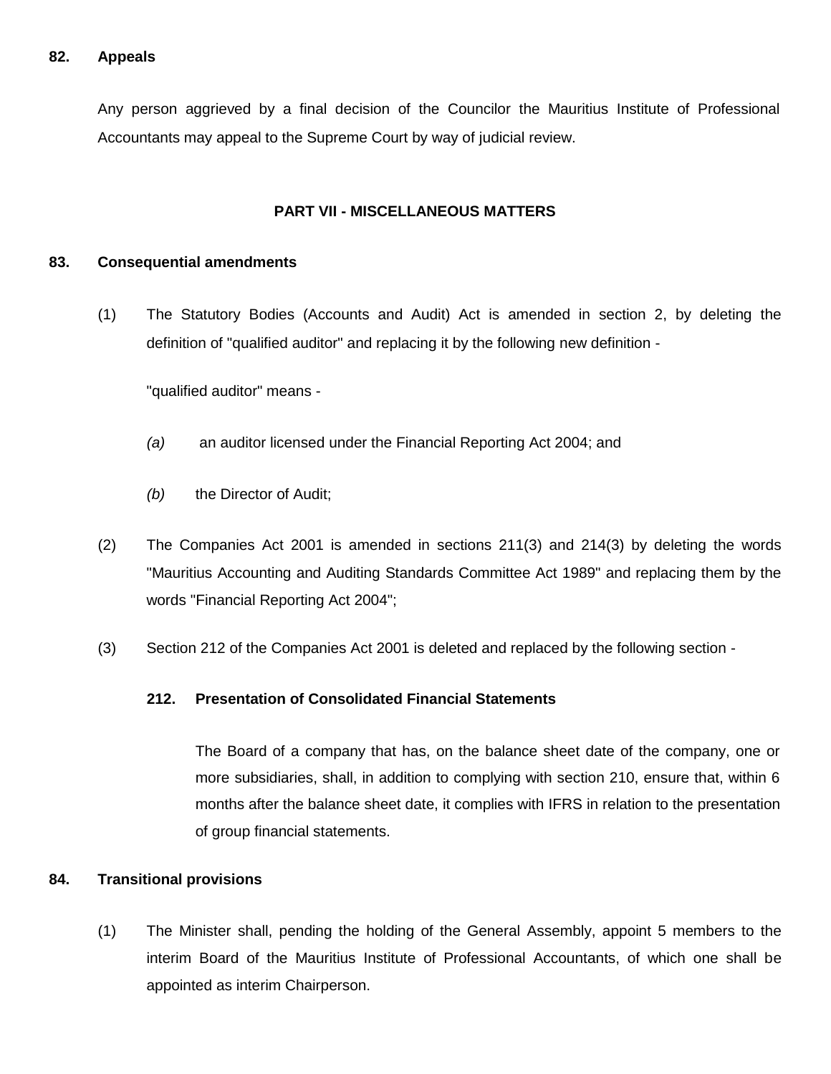### **82. Appeals**

Any person aggrieved by a final decision of the Councilor the Mauritius Institute of Professional Accountants may appeal to the Supreme Court by way of judicial review.

#### **PART VII - MISCELLANEOUS MATTERS**

#### **83. Consequential amendments**

(1) The Statutory Bodies (Accounts and Audit) Act is amended in section 2, by deleting the definition of "qualified auditor" and replacing it by the following new definition -

"qualified auditor" means -

- *(a)* an auditor licensed under the Financial Reporting Act 2004; and
- *(b)* the Director of Audit;
- (2) The Companies Act 2001 is amended in sections 211(3) and 214(3) by deleting the words "Mauritius Accounting and Auditing Standards Committee Act 1989" and replacing them by the words "Financial Reporting Act 2004";
- (3) Section 212 of the Companies Act 2001 is deleted and replaced by the following section -

#### **212. Presentation of Consolidated Financial Statements**

The Board of a company that has, on the balance sheet date of the company, one or more subsidiaries, shall, in addition to complying with section 210, ensure that, within 6 months after the balance sheet date, it complies with IFRS in relation to the presentation of group financial statements.

#### **84. Transitional provisions**

(1) The Minister shall, pending the holding of the General Assembly, appoint 5 members to the interim Board of the Mauritius Institute of Professional Accountants, of which one shall be appointed as interim Chairperson.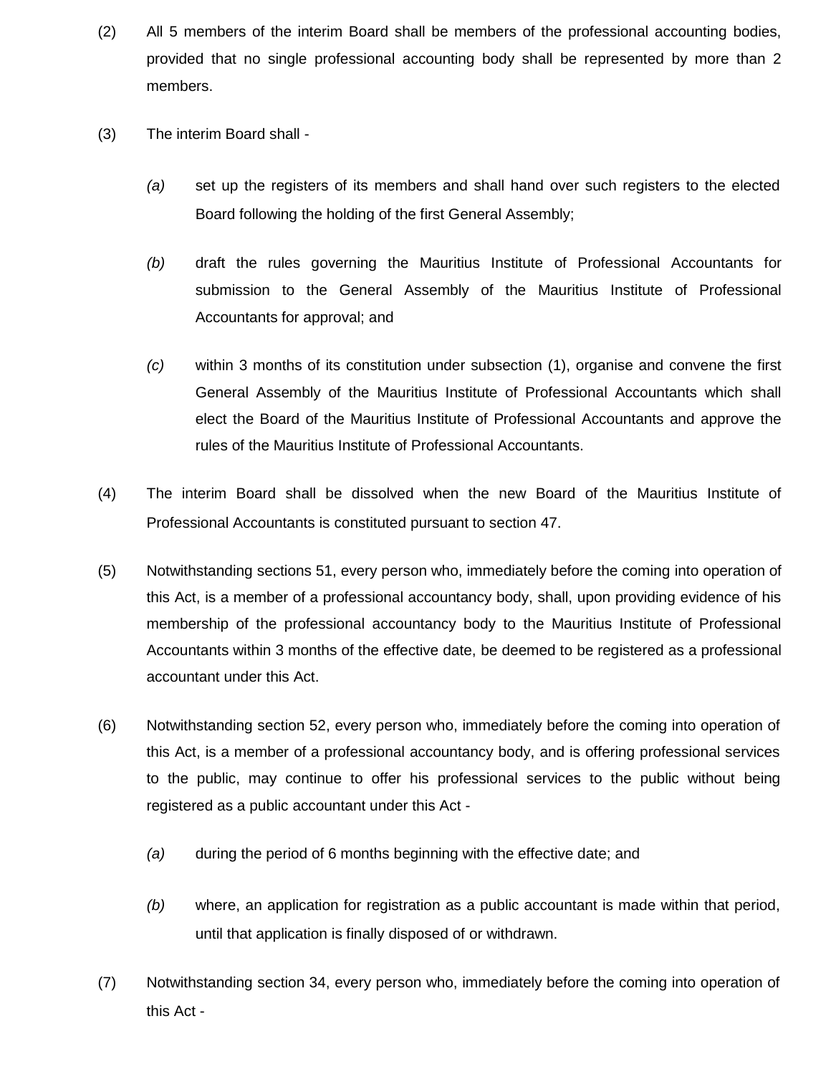- (2) All 5 members of the interim Board shall be members of the professional accounting bodies, provided that no single professional accounting body shall be represented by more than 2 members.
- (3) The interim Board shall
	- *(a)* set up the registers of its members and shall hand over such registers to the elected Board following the holding of the first General Assembly;
	- *(b)* draft the rules governing the Mauritius Institute of Professional Accountants for submission to the General Assembly of the Mauritius Institute of Professional Accountants for approval; and
	- *(c)* within 3 months of its constitution under subsection (1), organise and convene the first General Assembly of the Mauritius Institute of Professional Accountants which shall elect the Board of the Mauritius Institute of Professional Accountants and approve the rules of the Mauritius Institute of Professional Accountants.
- (4) The interim Board shall be dissolved when the new Board of the Mauritius Institute of Professional Accountants is constituted pursuant to section 47.
- (5) Notwithstanding sections 51, every person who, immediately before the coming into operation of this Act, is a member of a professional accountancy body, shall, upon providing evidence of his membership of the professional accountancy body to the Mauritius Institute of Professional Accountants within 3 months of the effective date, be deemed to be registered as a professional accountant under this Act.
- (6) Notwithstanding section 52, every person who, immediately before the coming into operation of this Act, is a member of a professional accountancy body, and is offering professional services to the public, may continue to offer his professional services to the public without being registered as a public accountant under this Act -
	- *(a)* during the period of 6 months beginning with the effective date; and
	- *(b)* where, an application for registration as a public accountant is made within that period, until that application is finally disposed of or withdrawn.
- (7) Notwithstanding section 34, every person who, immediately before the coming into operation of this Act -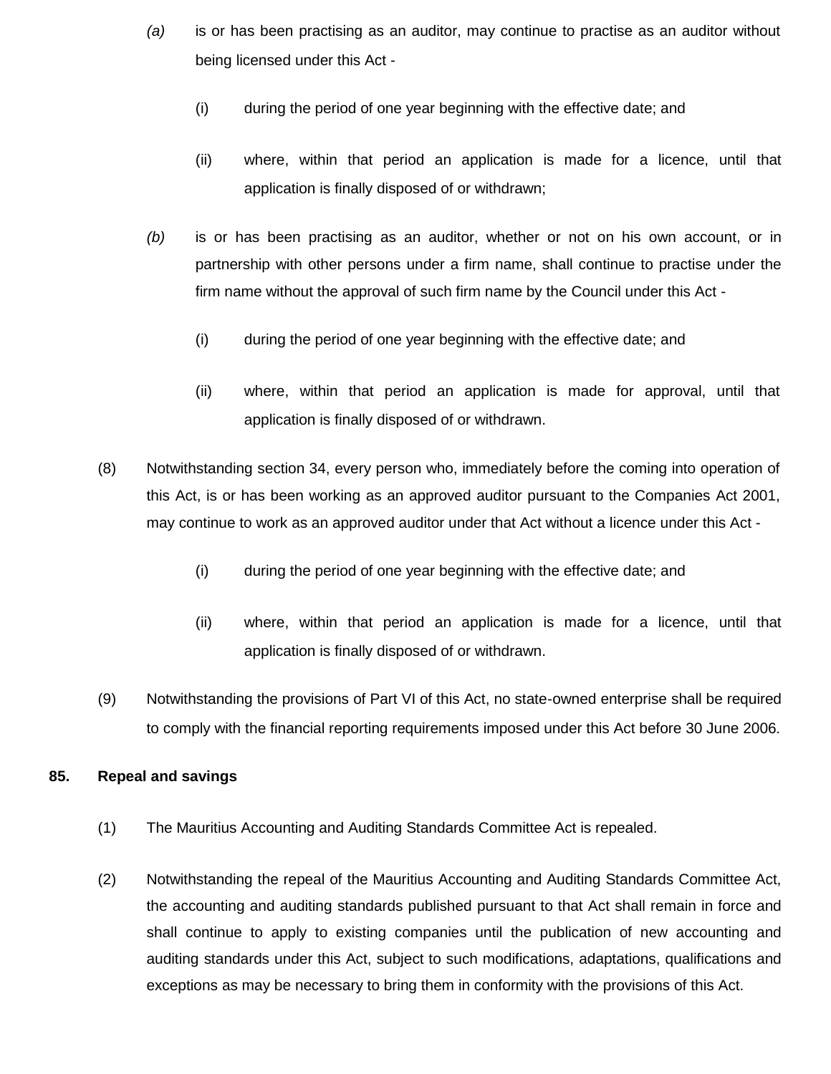- *(a)* is or has been practising as an auditor, may continue to practise as an auditor without being licensed under this Act -
	- (i) during the period of one year beginning with the effective date; and
	- (ii) where, within that period an application is made for a licence, until that application is finally disposed of or withdrawn;
- *(b)* is or has been practising as an auditor, whether or not on his own account, or in partnership with other persons under a firm name, shall continue to practise under the firm name without the approval of such firm name by the Council under this Act -
	- (i) during the period of one year beginning with the effective date; and
	- (ii) where, within that period an application is made for approval, until that application is finally disposed of or withdrawn.
- (8) Notwithstanding section 34, every person who, immediately before the coming into operation of this Act, is or has been working as an approved auditor pursuant to the Companies Act 2001, may continue to work as an approved auditor under that Act without a licence under this Act -
	- (i) during the period of one year beginning with the effective date; and
	- (ii) where, within that period an application is made for a licence, until that application is finally disposed of or withdrawn.
- (9) Notwithstanding the provisions of Part VI of this Act, no state-owned enterprise shall be required to comply with the financial reporting requirements imposed under this Act before 30 June 2006.

### **85. Repeal and savings**

- (1) The Mauritius Accounting and Auditing Standards Committee Act is repealed.
- (2) Notwithstanding the repeal of the Mauritius Accounting and Auditing Standards Committee Act, the accounting and auditing standards published pursuant to that Act shall remain in force and shall continue to apply to existing companies until the publication of new accounting and auditing standards under this Act, subject to such modifications, adaptations, qualifications and exceptions as may be necessary to bring them in conformity with the provisions of this Act.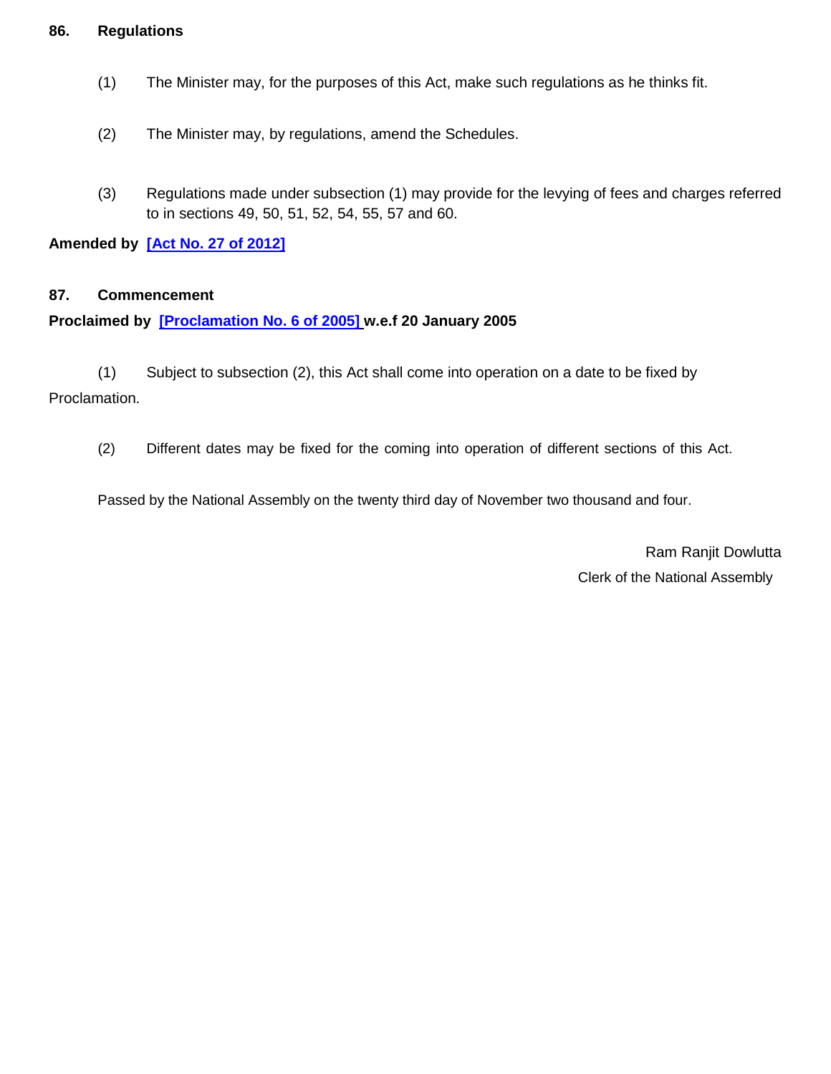#### **86. Regulations**

- (1) The Minister may, for the purposes of this Act, make such regulations as he thinks fit.
- (2) The Minister may, by regulations, amend the Schedules.
- (3) Regulations made under subsection (1) may provide for the levying of fees and charges referred to in sections 49, 50, 51, 52, 54, 55, 57 and 60.

**Amended by [\[Act No. 27 of 2012\]](http://www.gov.mu/scourt/doc/showDoc.do?dk=Act%20No.%2027%20of%202012&dt=A)**

### **87. Commencement**

### **Proclaimed by [\[Proclamation No. 6 of 2005\]](http://www.gov.mu/scourt/doc/showDoc.do?dk=Proclamation%20No.%206%20of%202005&dt=A) w.e.f 20 January 2005**

(1) Subject to subsection (2), this Act shall come into operation on a date to be fixed by Proclamation.

(2) Different dates may be fixed for the coming into operation of different sections of this Act.

Passed by the National Assembly on the twenty third day of November two thousand and four.

Ram Ranjit Dowlutta Clerk of the National Assembly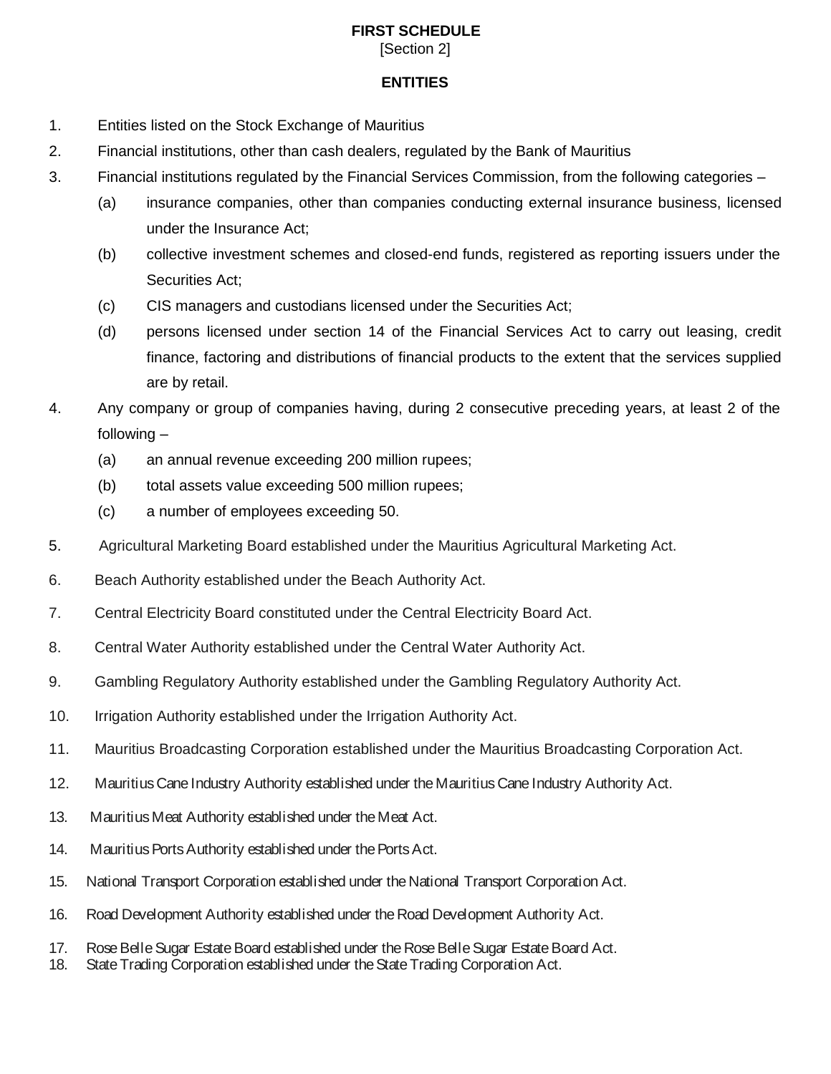# **FIRST SCHEDULE**

[Section 2]

### **ENTITIES**

- 1. Entities listed on the Stock Exchange of Mauritius
- 2. Financial institutions, other than cash dealers, regulated by the Bank of Mauritius
- 3. Financial institutions regulated by the Financial Services Commission, from the following categories
	- (a) insurance companies, other than companies conducting external insurance business, licensed under the Insurance Act;
	- (b) collective investment schemes and closed-end funds, registered as reporting issuers under the Securities Act;
	- (c) CIS managers and custodians licensed under the Securities Act;
	- (d) persons licensed under section 14 of the Financial Services Act to carry out leasing, credit finance, factoring and distributions of financial products to the extent that the services supplied are by retail.
- 4. Any company or group of companies having, during 2 consecutive preceding years, at least 2 of the following –
	- (a) an annual revenue exceeding 200 million rupees;
	- (b) total assets value exceeding 500 million rupees;
	- (c) a number of employees exceeding 50.
- 5. Agricultural Marketing Board established under the Mauritius Agricultural Marketing Act.
- 6. Beach Authority established under the Beach Authority Act.
- 7. Central Electricity Board constituted under the Central Electricity Board Act.
- 8. Central Water Authority established under the Central Water Authority Act.
- 9. Gambling Regulatory Authority established under the Gambling Regulatory Authority Act.
- 10. Irrigation Authority established under the Irrigation Authority Act.
- 11. Mauritius Broadcasting Corporation established under the Mauritius Broadcasting Corporation Act.
- 12. Mauritius Cane Industry Authority established under the Mauritius Cane Industry Authority Act.
- 13. Mauritius Meat Authority established under the Meat Act.
- 14. Mauritius Ports Authority established under the Ports Act.
- 15. National Transport Corporation established under the National Transport Corporation Act.
- 16. Road Development Authority established under the Road Development Authority Act.
- 17. Rose Belle Sugar Estate Board established under the Rose Belle Sugar Estate Board Act.
- 18. State Trading Corporation established under the State Trading Corporation Act.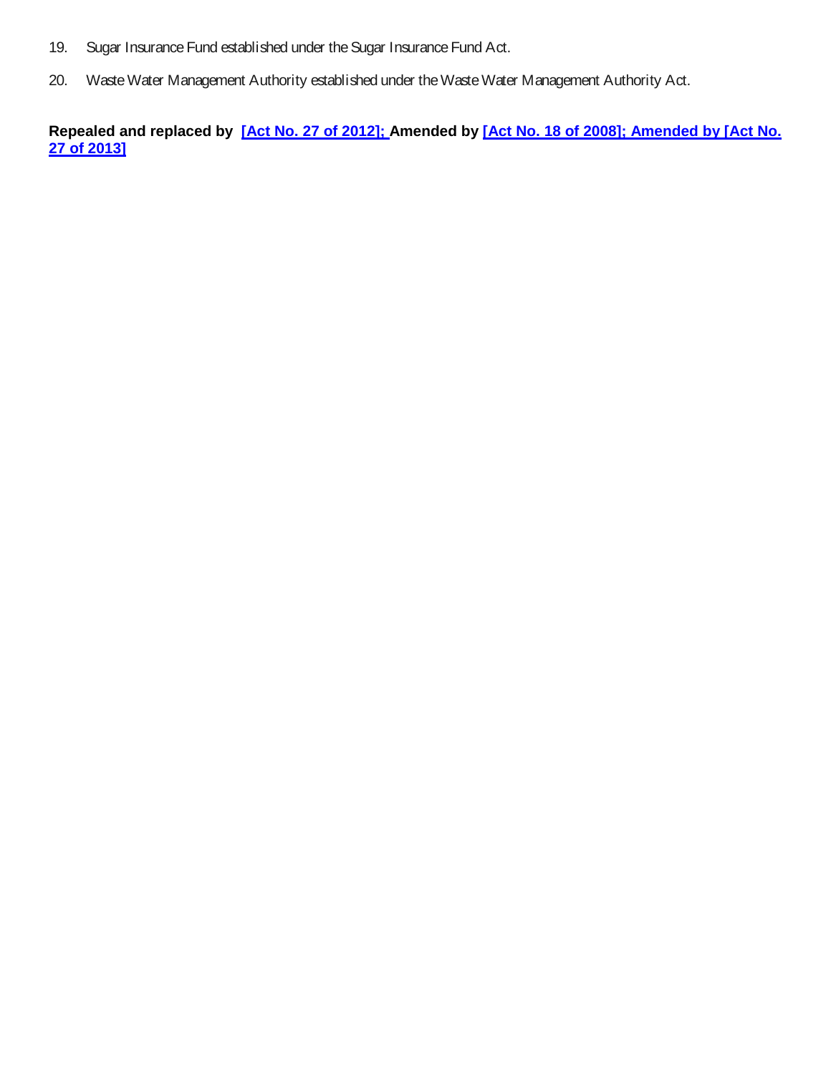- 19. Sugar Insurance Fund established under the Sugar Insurance Fund Act.
- 20. Waste Water Management Authority established under the Waste Water Management Authority Act.

**Repealed and replaced by [\[Act No. 27 of 2012\]](http://www.gov.mu/scourt/doc/showDoc.do?dk=Act%20No.%2027%20of%202012&dt=A); Amended by [\[Act No. 18 of 2008\]](http://www.gov.mu/scourt/doc/showDoc.do?dk=Act%20No.%2018%20of%202008&dt=A); Amended by [Act No. 27 of 2013]**